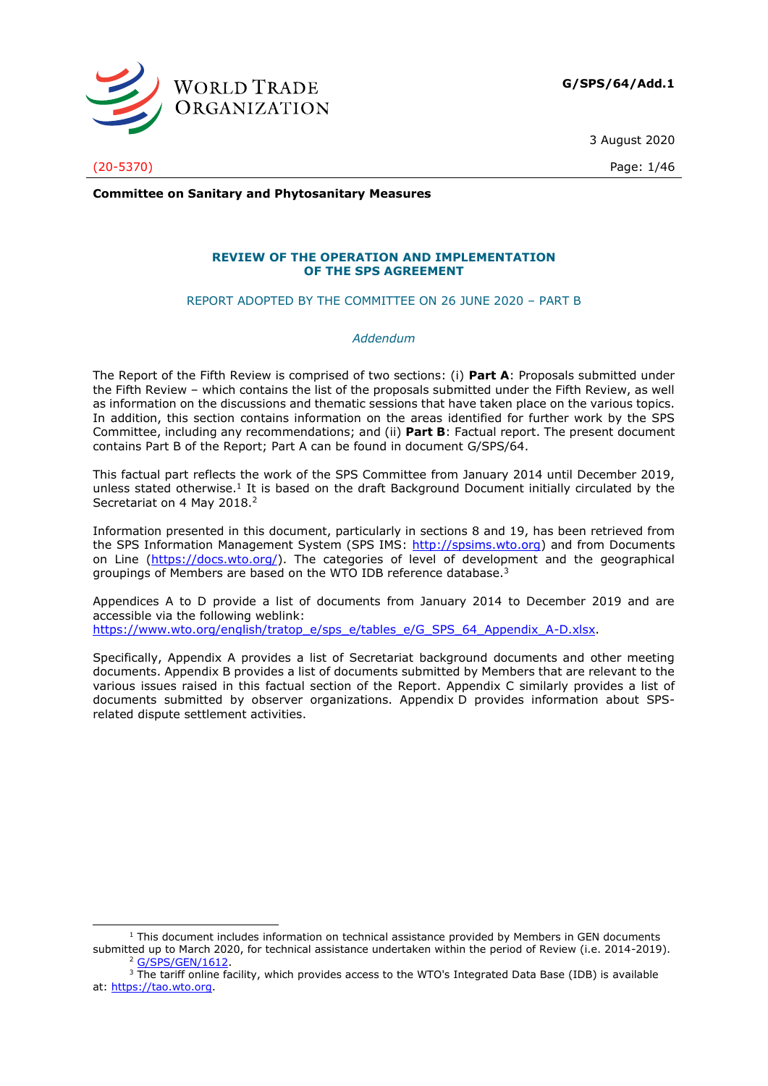

**G/SPS/64/Add.1**

3 August 2020

(20-5370) Page: 1/46

**Committee on Sanitary and Phytosanitary Measures**

## **REVIEW OF THE OPERATION AND IMPLEMENTATION OF THE SPS AGREEMENT**

REPORT ADOPTED BY THE COMMITTEE ON 26 JUNE 2020 – PART B

#### *Addendum*

The Report of the Fifth Review is comprised of two sections: (i) **Part A**: Proposals submitted under the Fifth Review – which contains the list of the proposals submitted under the Fifth Review, as well as information on the discussions and thematic sessions that have taken place on the various topics. In addition, this section contains information on the areas identified for further work by the SPS Committee, including any recommendations; and (ii) **Part B**: Factual report. The present document contains Part B of the Report; Part A can be found in document G/SPS/64.

This factual part reflects the work of the SPS Committee from January 2014 until December 2019, unless stated otherwise.<sup>1</sup> It is based on the draft Background Document initially circulated by the Secretariat on 4 May 2018.<sup>2</sup>

Information presented in this document, particularly in sections 8 and 19, has been retrieved from the SPS Information Management System (SPS IMS: [http://spsims.wto.org\)](http://spsims.wto.org/) and from Documents on Line [\(https://docs.wto.org/\)](https://docs.wto.org/). The categories of level of development and the geographical groupings of Members are based on the WTO IDB reference database.<sup>3</sup>

Appendices A to D provide a list of documents from January 2014 to December 2019 and are accessible via the following weblink:

[https://www.wto.org/english/tratop\\_e/sps\\_e/tables\\_e/G\\_SPS\\_64\\_Appendix\\_A-D.xlsx.](https://www.wto.org/english/tratop_e/sps_e/tables_e/G_SPS_64_Appendix_A-D.xlsx)

Specifically, Appendix A provides a list of Secretariat background documents and other meeting documents. Appendix B provides a list of documents submitted by Members that are relevant to the various issues raised in this factual section of the Report. Appendix C similarly provides a list of documents submitted by observer organizations. Appendix D provides information about SPSrelated dispute settlement activities.

<sup>&</sup>lt;sup>1</sup> This document includes information on technical assistance provided by Members in GEN documents submitted up to March 2020, for technical assistance undertaken within the period of Review (i.e. 2014-2019). <sup>2</sup> [G/SPS/GEN/1612.](https://docs.wto.org/dol2fe/Pages/FE_Search/FE_S_S006.aspx?MetaCollection=WTO&SymbolList=%22G%2fSPS%2fGEN%2f1612%22+OR+%22G%2fSPS%2fGEN%2f1612%2f*%22&Serial=&IssuingDateFrom=&IssuingDateTo=&CATTITLE=&ConcernedCountryList=&OtherCountryList=&SubjectList=&TypeList=&FullTextHash=371857150&ProductList=&BodyList=&OrganizationList=&ArticleList=&Contents=&CollectionList=&RestrictionTypeName=&PostingDateFrom=&PostingDateTo=&DerestrictionDateFrom=&DerestrictionDateTo=&ReferenceList=&Language=ENGLISH&SearchPage=FE_S_S001&ActiveTabIndex=0&HSClassificationList=&ServicesClassificationList=&EnvironmentClassificationList=&ICSClassificationList=&ICSClassificationDescList:EnvironmentClassificationDescList:ServicesClassificationDescList:HSClassificationDescList=&languageUIChanged=true)

<sup>&</sup>lt;sup>3</sup> The tariff online facility, which provides access to the WTO's Integrated Data Base (IDB) is available at: [https://tao.wto.org.](https://tao.wto.org/)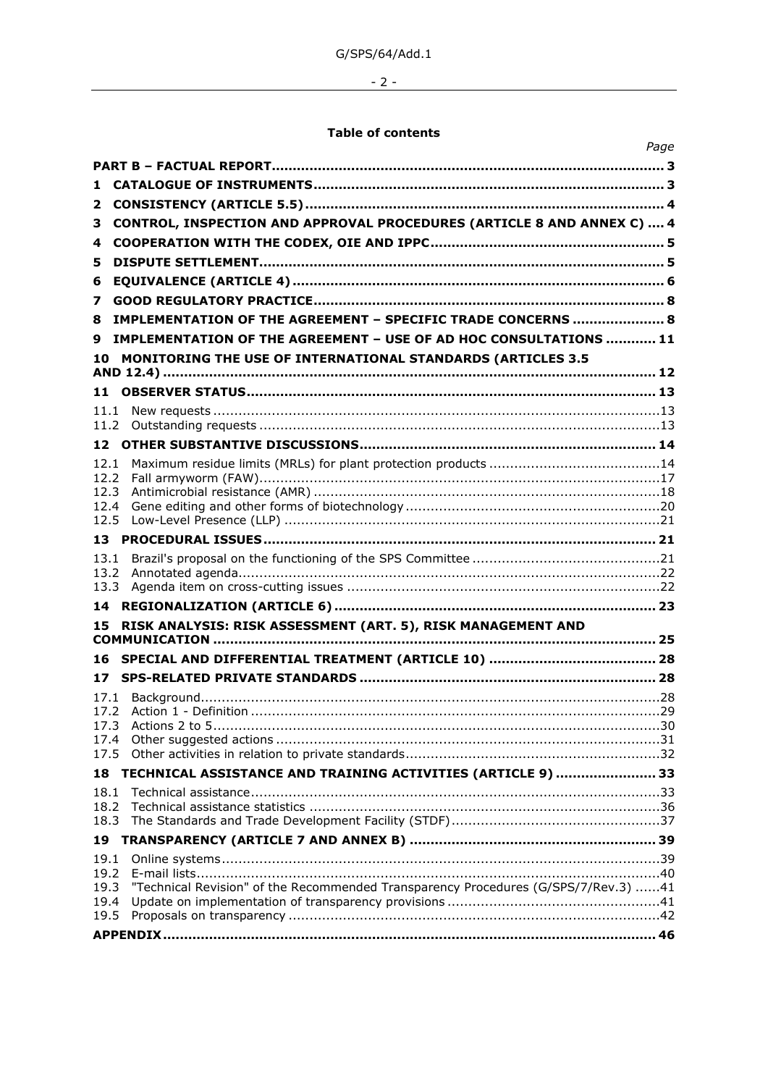$-2$  -

# **Table of contents**

|              | Page                                                                               |
|--------------|------------------------------------------------------------------------------------|
|              |                                                                                    |
| 1            |                                                                                    |
| 2            |                                                                                    |
| 3            | CONTROL, INSPECTION AND APPROVAL PROCEDURES (ARTICLE 8 AND ANNEX C)  4             |
| 4            |                                                                                    |
| 5            |                                                                                    |
| 6            |                                                                                    |
| 7            |                                                                                    |
| 8            | IMPLEMENTATION OF THE AGREEMENT - SPECIFIC TRADE CONCERNS  8                       |
| 9            | IMPLEMENTATION OF THE AGREEMENT - USE OF AD HOC CONSULTATIONS  11                  |
| 10           | MONITORING THE USE OF INTERNATIONAL STANDARDS (ARTICLES 3.5                        |
| 11           |                                                                                    |
| 11.1         |                                                                                    |
| 11.2         |                                                                                    |
| 12           |                                                                                    |
| 12.1         |                                                                                    |
| 12.2<br>12.3 |                                                                                    |
| 12.4         |                                                                                    |
| 12.5         |                                                                                    |
| 13           |                                                                                    |
| 13.1         |                                                                                    |
| 13.2<br>13.3 |                                                                                    |
| 14           |                                                                                    |
| 15           | RISK ANALYSIS: RISK ASSESSMENT (ART. 5), RISK MANAGEMENT AND                       |
|              |                                                                                    |
| 16           |                                                                                    |
| 17           |                                                                                    |
| 17.1         |                                                                                    |
| 17.3         |                                                                                    |
| 17.4         |                                                                                    |
| 17.5         |                                                                                    |
| 18           | TECHNICAL ASSISTANCE AND TRAINING ACTIVITIES (ARTICLE 9)  33                       |
| 18.1<br>18.2 |                                                                                    |
| 18.3         |                                                                                    |
| 19           |                                                                                    |
| 19.1         |                                                                                    |
| 19.2         |                                                                                    |
| 19.3<br>19.4 | "Technical Revision" of the Recommended Transparency Procedures (G/SPS/7/Rev.3) 41 |
| 19.5         |                                                                                    |
|              |                                                                                    |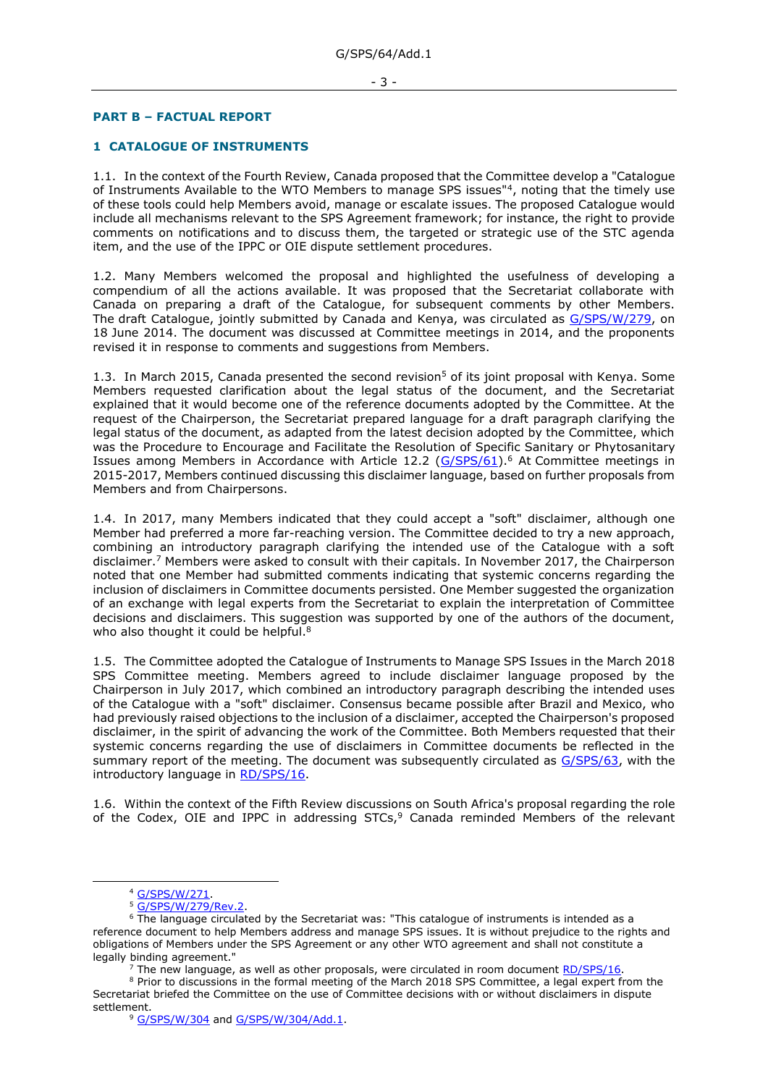#### <span id="page-2-0"></span>**PART B – FACTUAL REPORT**

### <span id="page-2-1"></span>**1 CATALOGUE OF INSTRUMENTS**

1.1. In the context of the Fourth Review, Canada proposed that the Committee develop a "Catalogue of Instruments Available to the WTO Members to manage SPS issues"<sup>4</sup>, noting that the timely use of these tools could help Members avoid, manage or escalate issues. The proposed Catalogue would include all mechanisms relevant to the SPS Agreement framework; for instance, the right to provide comments on notifications and to discuss them, the targeted or strategic use of the STC agenda item, and the use of the IPPC or OIE dispute settlement procedures.

1.2. Many Members welcomed the proposal and highlighted the usefulness of developing a compendium of all the actions available. It was proposed that the Secretariat collaborate with Canada on preparing a draft of the Catalogue, for subsequent comments by other Members. The draft Catalogue, jointly submitted by Canada and Kenya, was circulated as [G/SPS/W/279,](https://docs.wto.org/dol2fe/Pages/FE_Search/FE_S_S006.aspx?DataSource=Cat&query=@Symbol=%22G/SPS/W/279%22%20OR%20@Symbol=%22G/SPS/W/279/*%22&Language=English&Context=ScriptedSearches&languageUIChanged=true) on 18 June 2014. The document was discussed at Committee meetings in 2014, and the proponents revised it in response to comments and suggestions from Members.

1.3. In March 2015, Canada presented the second revision<sup>5</sup> of its joint proposal with Kenya. Some Members requested clarification about the legal status of the document, and the Secretariat explained that it would become one of the reference documents adopted by the Committee. At the request of the Chairperson, the Secretariat prepared language for a draft paragraph clarifying the legal status of the document, as adapted from the latest decision adopted by the Committee, which was the Procedure to Encourage and Facilitate the Resolution of Specific Sanitary or Phytosanitary Issues among Members in Accordance with Article 12.2 [\(G/SPS/61\)](https://docs.wto.org/dol2fe/Pages/FE_Search/FE_S_S006.aspx?DataSource=Cat&query=@Symbol=%22G/SPS/61%22%20OR%20@Symbol=%22G/SPS/61/*%22&Language=English&Context=ScriptedSearches&languageUIChanged=true).<sup>6</sup> At Committee meetings in 2015-2017, Members continued discussing this disclaimer language, based on further proposals from Members and from Chairpersons.

1.4. In 2017, many Members indicated that they could accept a "soft" disclaimer, although one Member had preferred a more far-reaching version. The Committee decided to try a new approach, combining an introductory paragraph clarifying the intended use of the Catalogue with a soft disclaimer.<sup>7</sup> Members were asked to consult with their capitals. In November 2017, the Chairperson noted that one Member had submitted comments indicating that systemic concerns regarding the inclusion of disclaimers in Committee documents persisted. One Member suggested the organization of an exchange with legal experts from the Secretariat to explain the interpretation of Committee decisions and disclaimers. This suggestion was supported by one of the authors of the document, who also thought it could be helpful.<sup>8</sup>

1.5. The Committee adopted the Catalogue of Instruments to Manage SPS Issues in the March 2018 SPS Committee meeting. Members agreed to include disclaimer language proposed by the Chairperson in July 2017, which combined an introductory paragraph describing the intended uses of the Catalogue with a "soft" disclaimer. Consensus became possible after Brazil and Mexico, who had previously raised objections to the inclusion of a disclaimer, accepted the Chairperson's proposed disclaimer, in the spirit of advancing the work of the Committee. Both Members requested that their systemic concerns regarding the use of disclaimers in Committee documents be reflected in the summary report of the meeting. The document was subsequently circulated as [G/SPS/63,](https://docs.wto.org/dol2fe/Pages/FE_Search/FE_S_S006.aspx?DataSource=Cat&query=@Symbol=%22G/SPS/63%22%20OR%20@Symbol=%22G/SPS/63/*%22&Language=English&Context=ScriptedSearches&languageUIChanged=true) with the introductory language in [RD/SPS/16.](https://docs.wto.org/dol2fe/Pages/FE_Search/FE_S_S006.aspx?DataSource=Cat&query=@Symbol=%22RD/SPS/16%22%20OR%20@Symbol=%22RD/SPS/16/*%22&Language=English&Context=ScriptedSearches&languageUIChanged=true)

1.6. Within the context of the Fifth Review discussions on South Africa's proposal regarding the role of the Codex, OIE and IPPC in addressing  $STCs$ , Canada reminded Members of the relevant

<sup>4</sup> [G/SPS/W/271.](https://docs.wto.org/dol2fe/Pages/FE_Search/FE_S_S006.aspx?DataSource=Cat&query=@Symbol=%22G/SPS/W/271%22%20OR%20@Symbol=%22G/SPS/W/271/*%22&Language=English&Context=ScriptedSearches&languageUIChanged=true)

<sup>5</sup> [G/SPS/W/279/Rev.2.](https://docs.wto.org/dol2fe/Pages/FE_Search/FE_S_S006.aspx?DataSource=Cat&query=@Symbol=%22G/SPS/W/279/Rev.2%22%20OR%20@Symbol=%22G/SPS/W/279/Rev.2/*%22&Language=English&Context=ScriptedSearches&languageUIChanged=true)

<sup>&</sup>lt;sup>6</sup> The language circulated by the Secretariat was: "This catalogue of instruments is intended as a reference document to help Members address and manage SPS issues. It is without prejudice to the rights and obligations of Members under the SPS Agreement or any other WTO agreement and shall not constitute a legally binding agreement."

<sup>7</sup> The new language, as well as other proposals, were circulated in room document [RD/SPS/16.](https://docs.wto.org/dol2fe/Pages/FE_Search/FE_S_S006.aspx?DataSource=Cat&query=@Symbol=%22RD/SPS/16%22%20OR%20@Symbol=%22RD/SPS/16/*%22&Language=English&Context=ScriptedSearches&languageUIChanged=true)

<sup>&</sup>lt;sup>8</sup> Prior to discussions in the formal meeting of the March 2018 SPS Committee, a legal expert from the Secretariat briefed the Committee on the use of Committee decisions with or without disclaimers in dispute settlement.

<sup>&</sup>lt;sup>9</sup> [G/SPS/W/304](https://docs.wto.org/dol2fe/Pages/FE_Search/FE_S_S006.aspx?DataSource=Cat&query=@Symbol=%22G/SPS/W/304%22%20OR%20@Symbol=%22G/SPS/W/304/*%22&Language=English&Context=ScriptedSearches&languageUIChanged=true) and [G/SPS/W/304/Add.1.](https://docs.wto.org/dol2fe/Pages/FE_Search/FE_S_S006.aspx?DataSource=Cat&query=@Symbol=%22G/SPS/W/304/Add.1%22%20OR%20@Symbol=%22G/SPS/W/304/Add.1/*%22&Language=English&Context=ScriptedSearches&languageUIChanged=true)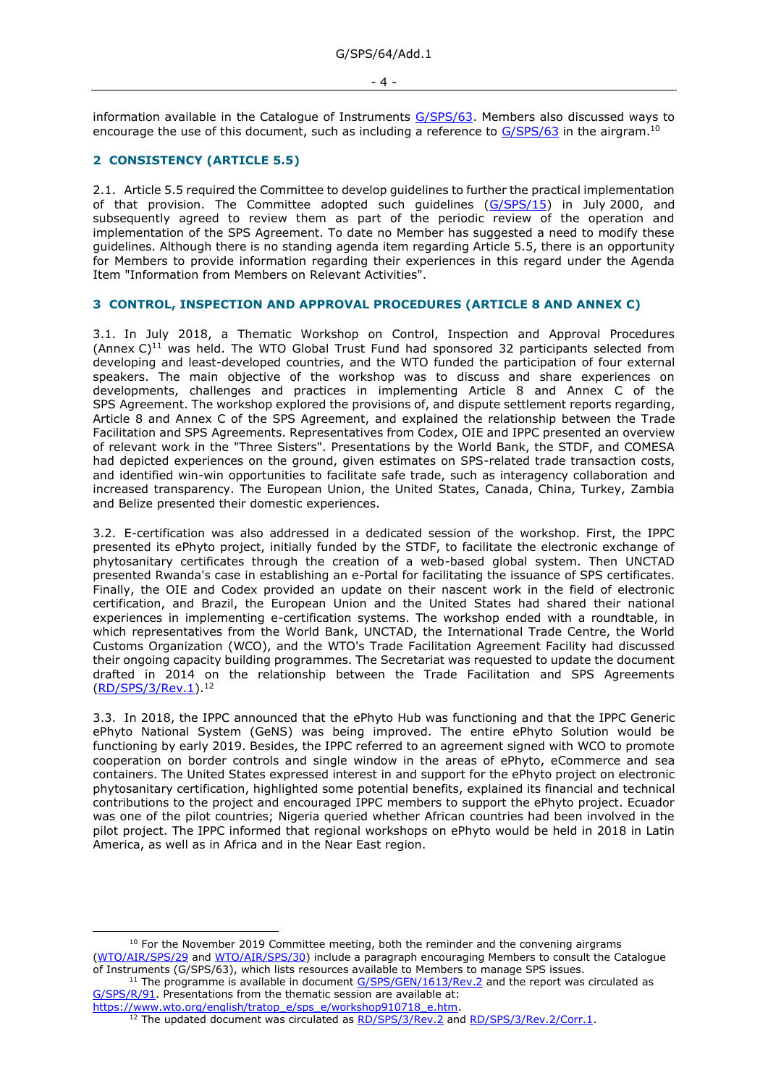information available in the Catalogue of Instruments [G/SPS/63.](https://docs.wto.org/dol2fe/Pages/FE_Search/FE_S_S006.aspx?DataSource=Cat&query=@Symbol=%22G/SPS/63%22%20OR%20@Symbol=%22G/SPS/63/*%22&Language=English&Context=ScriptedSearches&languageUIChanged=true) Members also discussed ways to encourage the use of this document, such as including a reference to [G/SPS/63](https://docs.wto.org/dol2fe/Pages/FE_Search/FE_S_S006.aspx?DataSource=Cat&query=@Symbol=%22G/SPS/63%22%20OR%20@Symbol=%22G/SPS/63/*%22&Language=English&Context=ScriptedSearches&languageUIChanged=true) in the airgram.<sup>10</sup>

#### <span id="page-3-0"></span>**2 CONSISTENCY (ARTICLE 5.5)**

2.1. Article 5.5 required the Committee to develop guidelines to further the practical implementation of that provision. The Committee adopted such guidelines  $(G/SPS/15)$  in July 2000, and subsequently agreed to review them as part of the periodic review of the operation and implementation of the SPS Agreement. To date no Member has suggested a need to modify these guidelines. Although there is no standing agenda item regarding Article 5.5, there is an opportunity for Members to provide information regarding their experiences in this regard under the Agenda Item "Information from Members on Relevant Activities".

#### <span id="page-3-1"></span>**3 CONTROL, INSPECTION AND APPROVAL PROCEDURES (ARTICLE 8 AND ANNEX C)**

3.1. In July 2018, a Thematic Workshop on Control, Inspection and Approval Procedures (Annex  $C$ )<sup>11</sup> was held. The WTO Global Trust Fund had sponsored 32 participants selected from developing and least-developed countries, and the WTO funded the participation of four external speakers. The main objective of the workshop was to discuss and share experiences on developments, challenges and practices in implementing Article 8 and Annex C of the SPS Agreement. The workshop explored the provisions of, and dispute settlement reports regarding, Article 8 and Annex C of the SPS Agreement, and explained the relationship between the Trade Facilitation and SPS Agreements. Representatives from Codex, OIE and IPPC presented an overview of relevant work in the "Three Sisters". Presentations by the World Bank, the STDF, and COMESA had depicted experiences on the ground, given estimates on SPS-related trade transaction costs, and identified win-win opportunities to facilitate safe trade, such as interagency collaboration and increased transparency. The European Union, the United States, Canada, China, Turkey, Zambia and Belize presented their domestic experiences.

3.2. E-certification was also addressed in a dedicated session of the workshop. First, the IPPC presented its ePhyto project, initially funded by the STDF, to facilitate the electronic exchange of phytosanitary certificates through the creation of a web-based global system. Then UNCTAD presented Rwanda's case in establishing an e-Portal for facilitating the issuance of SPS certificates. Finally, the OIE and Codex provided an update on their nascent work in the field of electronic certification, and Brazil, the European Union and the United States had shared their national experiences in implementing e-certification systems. The workshop ended with a roundtable, in which representatives from the World Bank, UNCTAD, the International Trade Centre, the World Customs Organization (WCO), and the WTO's Trade Facilitation Agreement Facility had discussed their ongoing capacity building programmes. The Secretariat was requested to update the document drafted in 2014 on the relationship between the Trade Facilitation and SPS Agreements [\(RD/SPS/3/Rev.1\)](https://docs.wto.org/dol2fe/Pages/FE_Search/FE_S_S006.aspx?MetaCollection=WTO&SymbolList=%22RD%2fSPS%2f3%2fRev.1%22+OR+%22RD%2fSPS%2f3%2fRev.1%2f*%22&Serial=&IssuingDateFrom=&IssuingDateTo=&CATTITLE=&ConcernedCountryList=&OtherCountryList=&SubjectList=&TypeList=&FullTextHash=371857150&ProductList=&BodyList=&OrganizationList=&ArticleList=&Contents=&CollectionList=&RestrictionTypeName=&PostingDateFrom=&PostingDateTo=&DerestrictionDateFrom=&DerestrictionDateTo=&ReferenceList=&Language=ENGLISH&SearchPage=FE_S_S001&ActiveTabIndex=0&HSClassificationList=&ServicesClassificationList=&EnvironmentClassificationList=&ICSClassificationList=&ICSClassificationDescList:EnvironmentClassificationDescList:ServicesClassificationDescList:HSClassificationDescList=&languageUIChanged=true).<sup>12</sup>

3.3. In 2018, the IPPC announced that the ePhyto Hub was functioning and that the IPPC Generic ePhyto National System (GeNS) was being improved. The entire ePhyto Solution would be functioning by early 2019. Besides, the IPPC referred to an agreement signed with WCO to promote cooperation on border controls and single window in the areas of ePhyto, eCommerce and sea containers. The United States expressed interest in and support for the ePhyto project on electronic phytosanitary certification, highlighted some potential benefits, explained its financial and technical contributions to the project and encouraged IPPC members to support the ePhyto project. Ecuador was one of the pilot countries; Nigeria queried whether African countries had been involved in the pilot project. The IPPC informed that regional workshops on ePhyto would be held in 2018 in Latin America, as well as in Africa and in the Near East region.

 $10$  For the November 2019 Committee meeting, both the reminder and the convening airgrams [\(WTO/AIR/SPS/29](https://docs.wto.org/dol2fe/Pages/FE_Search/FE_S_S006.aspx?DataSource=Cat&query=@Symbol=%22WTO/AIR/SPS/29%22%20OR%20@Symbol=%22WTO/AIR/SPS/29/*%22&Language=English&Context=ScriptedSearches&languageUIChanged=true) and [WTO/AIR/SPS/30\)](https://docs.wto.org/dol2fe/Pages/FE_Search/FE_S_S006.aspx?DataSource=Cat&query=@Symbol=%22WTO/AIR/SPS/30%22%20OR%20@Symbol=%22WTO/AIR/SPS/30/*%22&Language=English&Context=ScriptedSearches&languageUIChanged=true) include a paragraph encouraging Members to consult the Catalogue of Instruments (G/SPS/63), which lists resources available to Members to manage SPS issues.

<sup>&</sup>lt;sup>11</sup> The programme is available in document  $G/SPS/GEN/1613/Rev.2$  and the report was circulated as [G/SPS/R/91.](https://docs.wto.org/dol2fe/Pages/FE_Search/FE_S_S006.aspx?DataSource=Cat&query=@Symbol=%22G/SPS/R/91%22%20OR%20@Symbol=%22G/SPS/R/91/*%22&Language=English&Context=ScriptedSearches&languageUIChanged=true) Presentations from the thematic session are available at:

[https://www.wto.org/english/tratop\\_e/sps\\_e/workshop910718\\_e.htm.](https://www.wto.org/english/tratop_e/sps_e/workshop910718_e.htm)  $12$  The updated document was circulated as  $RD/SPS/3/Rev.2$  and  $RD/SPS/3/Rev.2/Corr.1$ .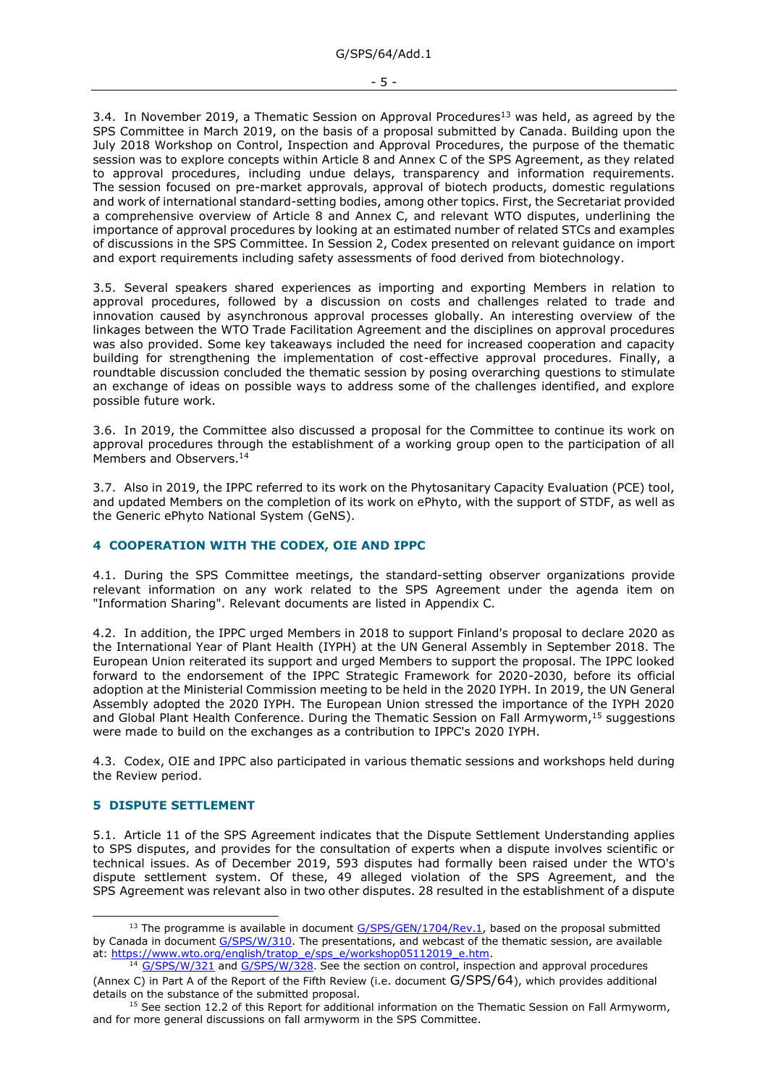3.4. In November 2019, a Thematic Session on Approval Procedures<sup>13</sup> was held, as agreed by the SPS Committee in March 2019, on the basis of a proposal submitted by Canada. Building upon the July 2018 Workshop on Control, Inspection and Approval Procedures, the purpose of the thematic session was to explore concepts within Article 8 and Annex C of the SPS Agreement, as they related to approval procedures, including undue delays, transparency and information requirements. The session focused on pre-market approvals, approval of biotech products, domestic regulations and work of international standard-setting bodies, among other topics. First, the Secretariat provided a comprehensive overview of Article 8 and Annex C, and relevant WTO disputes, underlining the importance of approval procedures by looking at an estimated number of related STCs and examples of discussions in the SPS Committee. In Session 2, Codex presented on relevant guidance on import and export requirements including safety assessments of food derived from biotechnology.

3.5. Several speakers shared experiences as importing and exporting Members in relation to approval procedures, followed by a discussion on costs and challenges related to trade and innovation caused by asynchronous approval processes globally. An interesting overview of the linkages between the WTO Trade Facilitation Agreement and the disciplines on approval procedures was also provided. Some key takeaways included the need for increased cooperation and capacity building for strengthening the implementation of cost-effective approval procedures. Finally, a roundtable discussion concluded the thematic session by posing overarching questions to stimulate an exchange of ideas on possible ways to address some of the challenges identified, and explore possible future work.

3.6. In 2019, the Committee also discussed a proposal for the Committee to continue its work on approval procedures through the establishment of a working group open to the participation of all Members and Observers.<sup>14</sup>

3.7. Also in 2019, the IPPC referred to its work on the Phytosanitary Capacity Evaluation (PCE) tool, and updated Members on the completion of its work on ePhyto, with the support of STDF, as well as the Generic ePhyto National System (GeNS).

### <span id="page-4-0"></span>**4 COOPERATION WITH THE CODEX, OIE AND IPPC**

4.1. During the SPS Committee meetings, the standard-setting observer organizations provide relevant information on any work related to the SPS Agreement under the agenda item on "Information Sharing". Relevant documents are listed in Appendix C.

4.2. In addition, the IPPC urged Members in 2018 to support Finland's proposal to declare 2020 as the International Year of Plant Health (IYPH) at the UN General Assembly in September 2018. The European Union reiterated its support and urged Members to support the proposal. The IPPC looked forward to the endorsement of the IPPC Strategic Framework for 2020-2030, before its official adoption at the Ministerial Commission meeting to be held in the 2020 IYPH. In 2019, the UN General Assembly adopted the 2020 IYPH. The European Union stressed the importance of the IYPH 2020 and Global Plant Health Conference. During the Thematic Session on Fall Armyworm,<sup>15</sup> suggestions were made to build on the exchanges as a contribution to IPPC's 2020 IYPH.

4.3. Codex, OIE and IPPC also participated in various thematic sessions and workshops held during the Review period.

### <span id="page-4-1"></span>**5 DISPUTE SETTLEMENT**

5.1. Article 11 of the SPS Agreement indicates that the Dispute Settlement Understanding applies to SPS disputes, and provides for the consultation of experts when a dispute involves scientific or technical issues. As of December 2019, 593 disputes had formally been raised under the WTO's dispute settlement system. Of these, 49 alleged violation of the SPS Agreement, and the SPS Agreement was relevant also in two other disputes. 28 resulted in the establishment of a dispute

 $13$  The programme is available in document  $G/SPS/GEN/1704/Rev.1$ , based on the proposal submitted by Canada in document [G/SPS/W/310.](https://docs.wto.org/dol2fe/Pages/FE_Search/FE_S_S006.aspx?DataSource=Cat&query=@Symbol=%22G/SPS/W/310%22%20OR%20@Symbol=%22G/SPS/W/310/*%22&Language=English&Context=ScriptedSearches&languageUIChanged=true) The presentations, and webcast of the thematic session, are available at: [https://www.wto.org/english/tratop\\_e/sps\\_e/workshop05112019\\_e.htm.](https://www.wto.org/english/tratop_e/sps_e/workshop05112019_e.htm)

<sup>&</sup>lt;sup>14</sup> [G/SPS/W/321](https://docs.wto.org/dol2fe/Pages/FE_Search/FE_S_S006.aspx?MetaCollection=WTO&SymbolList=%22G%2fSPS%2fW%2f321%22+OR+%22G%2fSPS%2fW%2f321%2f*%22&Serial=&IssuingDateFrom=&IssuingDateTo=&CATTITLE=&ConcernedCountryList=&OtherCountryList=&SubjectList=&TypeList=&FullTextHash=371857150&ProductList=&BodyList=&OrganizationList=&ArticleList=&Contents=&CollectionList=&RestrictionTypeName=&PostingDateFrom=&PostingDateTo=&DerestrictionDateFrom=&DerestrictionDateTo=&ReferenceList=&Language=ENGLISH&SearchPage=FE_S_S001&ActiveTabIndex=0&HSClassificationList=&ServicesClassificationList=&EnvironmentClassificationList=&ICSClassificationList=&ICSClassificationDescList:EnvironmentClassificationDescList:ServicesClassificationDescList:HSClassificationDescList=&languageUIChanged=true) an[d G/SPS/W/328](https://docs.wto.org/dol2fe/Pages/FE_Search/FE_S_S006.aspx?MetaCollection=WTO&SymbolList=%22G%2fSPS%2fW%2f328%22+OR+%22G%2fSPS%2fW%2f328%2f*%22&Serial=&IssuingDateFrom=&IssuingDateTo=&CATTITLE=&ConcernedCountryList=&OtherCountryList=&SubjectList=&TypeList=&FullTextHash=371857150&ProductList=&BodyList=&OrganizationList=&ArticleList=&Contents=&CollectionList=&RestrictionTypeName=&PostingDateFrom=&PostingDateTo=&DerestrictionDateFrom=&DerestrictionDateTo=&ReferenceList=&Language=ENGLISH&SearchPage=FE_S_S001&ActiveTabIndex=0&HSClassificationList=&ServicesClassificationList=&EnvironmentClassificationList=&ICSClassificationList=&ICSClassificationDescList:EnvironmentClassificationDescList:ServicesClassificationDescList:HSClassificationDescList=&languageUIChanged=true). See the section on control, inspection and approval procedures (Annex C) in Part A of the Report of the Fifth Review (i.e. document G/SPS/64), which provides additional details on the substance of the submitted proposal.

 $15$  See section 12.2 of this Report for additional information on the Thematic Session on Fall Armyworm, and for more general discussions on fall armyworm in the SPS Committee.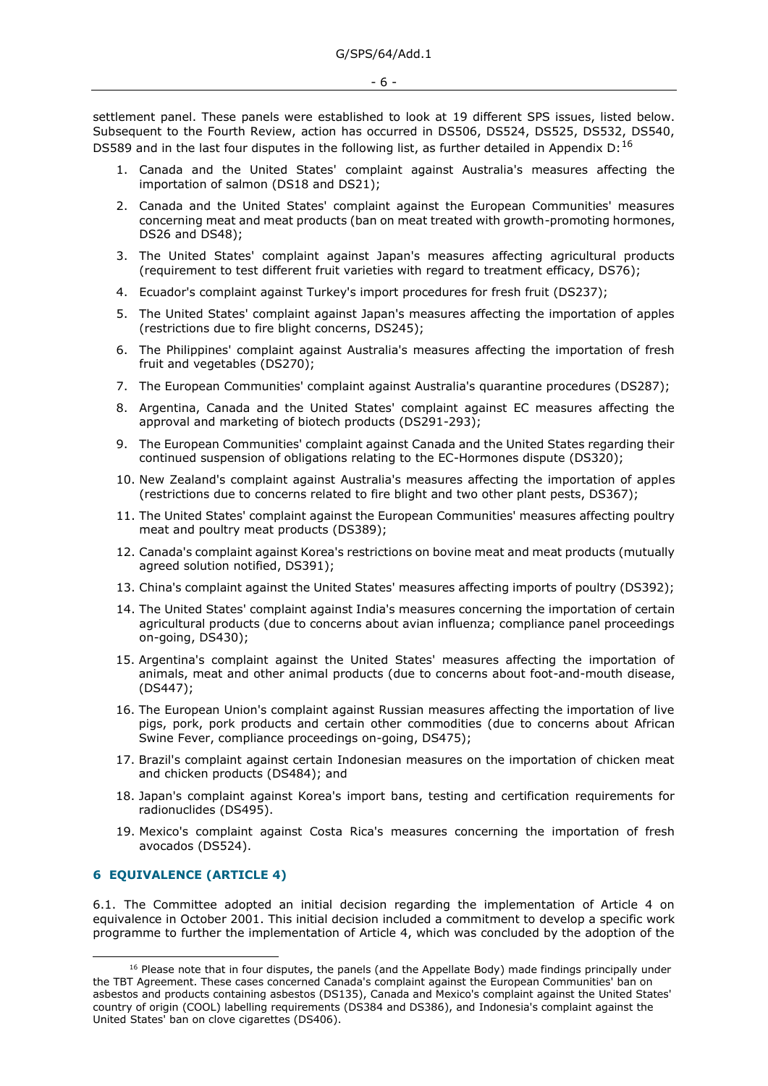settlement panel. These panels were established to look at 19 different SPS issues, listed below. Subsequent to the Fourth Review, action has occurred in DS506, DS524, DS525, DS532, DS540, DS589 and in the last four disputes in the following list, as further detailed in Appendix D:  $^{16}$ 

- 1. Canada and the United States' complaint against Australia's measures affecting the importation of salmon (DS18 and DS21);
- 2. Canada and the United States' complaint against the European Communities' measures concerning meat and meat products (ban on meat treated with growth-promoting hormones, DS26 and DS48);
- 3. The United States' complaint against Japan's measures affecting agricultural products (requirement to test different fruit varieties with regard to treatment efficacy, DS76);
- 4. Ecuador's complaint against Turkey's import procedures for fresh fruit (DS237);
- 5. The United States' complaint against Japan's measures affecting the importation of apples (restrictions due to fire blight concerns, DS245);
- 6. The Philippines' complaint against Australia's measures affecting the importation of fresh fruit and vegetables (DS270);
- 7. The European Communities' complaint against Australia's quarantine procedures (DS287);
- 8. Argentina, Canada and the United States' complaint against EC measures affecting the approval and marketing of biotech products (DS291-293);
- 9. The European Communities' complaint against Canada and the United States regarding their continued suspension of obligations relating to the EC-Hormones dispute (DS320);
- 10. New Zealand's complaint against Australia's measures affecting the importation of apples (restrictions due to concerns related to fire blight and two other plant pests, DS367);
- 11. The United States' complaint against the European Communities' measures affecting poultry meat and poultry meat products (DS389);
- 12. Canada's complaint against Korea's restrictions on bovine meat and meat products (mutually agreed solution notified, DS391);
- 13. China's complaint against the United States' measures affecting imports of poultry (DS392);
- 14. The United States' complaint against India's measures concerning the importation of certain agricultural products (due to concerns about avian influenza; compliance panel proceedings on-going, DS430);
- 15. Argentina's complaint against the United States' measures affecting the importation of animals, meat and other animal products (due to concerns about foot-and-mouth disease, (DS447);
- 16. The European Union's complaint against Russian measures affecting the importation of live pigs, pork, pork products and certain other commodities (due to concerns about African Swine Fever, compliance proceedings on-going, DS475);
- 17. Brazil's complaint against certain Indonesian measures on the importation of chicken meat and chicken products (DS484); and
- 18. Japan's complaint against Korea's import bans, testing and certification requirements for radionuclides (DS495).
- 19. Mexico's complaint against Costa Rica's measures concerning the importation of fresh avocados (DS524).

## <span id="page-5-0"></span>**6 EQUIVALENCE (ARTICLE 4)**

6.1. The Committee adopted an initial decision regarding the implementation of Article 4 on equivalence in October 2001. This initial decision included a commitment to develop a specific work programme to further the implementation of Article 4, which was concluded by the adoption of the

 $16$  Please note that in four disputes, the panels (and the Appellate Body) made findings principally under the TBT Agreement. These cases concerned Canada's complaint against the European Communities' ban on asbestos and products containing asbestos (DS135), Canada and Mexico's complaint against the United States' country of origin (COOL) labelling requirements (DS384 and DS386), and Indonesia's complaint against the United States' ban on clove cigarettes (DS406).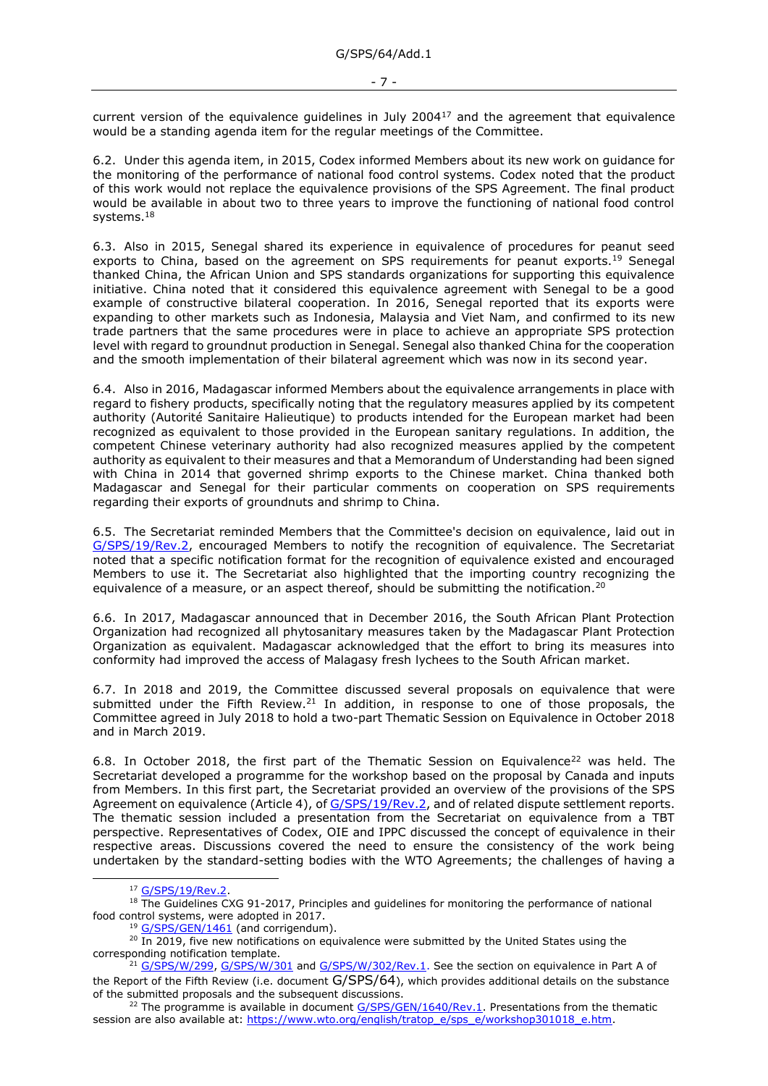current version of the equivalence guidelines in July 2004<sup>17</sup> and the agreement that equivalence would be a standing agenda item for the regular meetings of the Committee.

6.2. Under this agenda item, in 2015, Codex informed Members about its new work on guidance for the monitoring of the performance of national food control systems. Codex noted that the product of this work would not replace the equivalence provisions of the SPS Agreement. The final product would be available in about two to three years to improve the functioning of national food control systems.<sup>18</sup>

6.3. Also in 2015, Senegal shared its experience in equivalence of procedures for peanut seed exports to China, based on the agreement on SPS requirements for peanut exports.<sup>19</sup> Senegal thanked China, the African Union and SPS standards organizations for supporting this equivalence initiative. China noted that it considered this equivalence agreement with Senegal to be a good example of constructive bilateral cooperation. In 2016, Senegal reported that its exports were expanding to other markets such as Indonesia, Malaysia and Viet Nam, and confirmed to its new trade partners that the same procedures were in place to achieve an appropriate SPS protection level with regard to groundnut production in Senegal. Senegal also thanked China for the cooperation and the smooth implementation of their bilateral agreement which was now in its second year.

6.4. Also in 2016, Madagascar informed Members about the equivalence arrangements in place with regard to fishery products, specifically noting that the regulatory measures applied by its competent authority (Autorité Sanitaire Halieutique) to products intended for the European market had been recognized as equivalent to those provided in the European sanitary regulations. In addition, the competent Chinese veterinary authority had also recognized measures applied by the competent authority as equivalent to their measures and that a Memorandum of Understanding had been signed with China in 2014 that governed shrimp exports to the Chinese market. China thanked both Madagascar and Senegal for their particular comments on cooperation on SPS requirements regarding their exports of groundnuts and shrimp to China.

6.5. The Secretariat reminded Members that the Committee's decision on equivalence, laid out in [G/SPS/19/Rev.2,](https://docs.wto.org/dol2fe/Pages/FE_Search/FE_S_S006.aspx?DataSource=Cat&query=@Symbol=%22G/SPS/19/Rev.2%22%20OR%20@Symbol=%22G/SPS/19/Rev.2/*%22&Language=English&Context=ScriptedSearches&languageUIChanged=true) encouraged Members to notify the recognition of equivalence. The Secretariat noted that a specific notification format for the recognition of equivalence existed and encouraged Members to use it. The Secretariat also highlighted that the importing country recognizing the equivalence of a measure, or an aspect thereof, should be submitting the notification.<sup>20</sup>

6.6. In 2017, Madagascar announced that in December 2016, the South African Plant Protection Organization had recognized all phytosanitary measures taken by the Madagascar Plant Protection Organization as equivalent. Madagascar acknowledged that the effort to bring its measures into conformity had improved the access of Malagasy fresh lychees to the South African market.

6.7. In 2018 and 2019, the Committee discussed several proposals on equivalence that were submitted under the Fifth Review.<sup>21</sup> In addition, in response to one of those proposals, the Committee agreed in July 2018 to hold a two-part Thematic Session on Equivalence in October 2018 and in March 2019.

6.8. In October 2018, the first part of the Thematic Session on Equivalence<sup>22</sup> was held. The Secretariat developed a programme for the workshop based on the proposal by Canada and inputs from Members. In this first part, the Secretariat provided an overview of the provisions of the SPS Agreement on equivalence (Article 4), of [G/SPS/19/Rev.2,](https://docs.wto.org/dol2fe/Pages/FE_Search/FE_S_S006.aspx?DataSource=Cat&query=@Symbol=%22G/SPS/19/Rev.2%22%20OR%20@Symbol=%22G/SPS/19/Rev.2/*%22&Language=English&Context=ScriptedSearches&languageUIChanged=true) and of related dispute settlement reports. The thematic session included a presentation from the Secretariat on equivalence from a TBT perspective. Representatives of Codex, OIE and IPPC discussed the concept of equivalence in their respective areas. Discussions covered the need to ensure the consistency of the work being undertaken by the standard-setting bodies with the WTO Agreements; the challenges of having a

<sup>&</sup>lt;sup>17</sup> G/SPS/19/Rev.2

<sup>&</sup>lt;sup>18</sup> The Guidelines CXG 91-2017, Principles and quidelines for monitoring the performance of national food control systems, were adopted in 2017.

<sup>&</sup>lt;sup>19</sup> [G/SPS/GEN/1461](https://docs.wto.org/dol2fe/Pages/FE_Search/FE_S_S006.aspx?DataSource=Cat&query=@Symbol=%22G/SPS/GEN/1461%22%20OR%20@Symbol=%22G/SPS/GEN/1461/*%22&Language=English&Context=ScriptedSearches&languageUIChanged=true) (and corrigendum).

 $20$  In 2019, five new notifications on equivalence were submitted by the United States using the corresponding notification template.

<sup>&</sup>lt;sup>21</sup> [G/SPS/W/299,](https://docs.wto.org/dol2fe/Pages/FE_Search/FE_S_S006.aspx?DataSource=Cat&query=@Symbol=%22G/SPS/W/299%22%20OR%20@Symbol=%22G/SPS/W/299/*%22&Language=English&Context=ScriptedSearches&languageUIChanged=true) [G/SPS/W/301](https://docs.wto.org/dol2fe/Pages/FE_Search/FE_S_S006.aspx?DataSource=Cat&query=@Symbol=%22G/SPS/W/301%22%20OR%20@Symbol=%22G/SPS/W/301/*%22&Language=English&Context=ScriptedSearches&languageUIChanged=true) an[d G/SPS/W/302/Rev.1.](https://docs.wto.org/dol2fe/Pages/FE_Search/FE_S_S006.aspx?DataSource=Cat&query=@Symbol=%22G/SPS/W/302/Rev.1%22%20OR%20@Symbol=%22G/SPS/W/302/Rev.1/*%22&Language=English&Context=ScriptedSearches&languageUIChanged=true) See the section on equivalence in Part A of the Report of the Fifth Review (i.e. document G/SPS/64), which provides additional details on the substance of the submitted proposals and the subsequent discussions.

<sup>&</sup>lt;sup>22</sup> The programme is available in document  $G/SPS/GEN/1640/Rev.1$ . Presentations from the thematic session are also available at: [https://www.wto.org/english/tratop\\_e/sps\\_e/workshop301018\\_e.htm.](https://www.wto.org/english/tratop_e/sps_e/workshop301018_e.htm)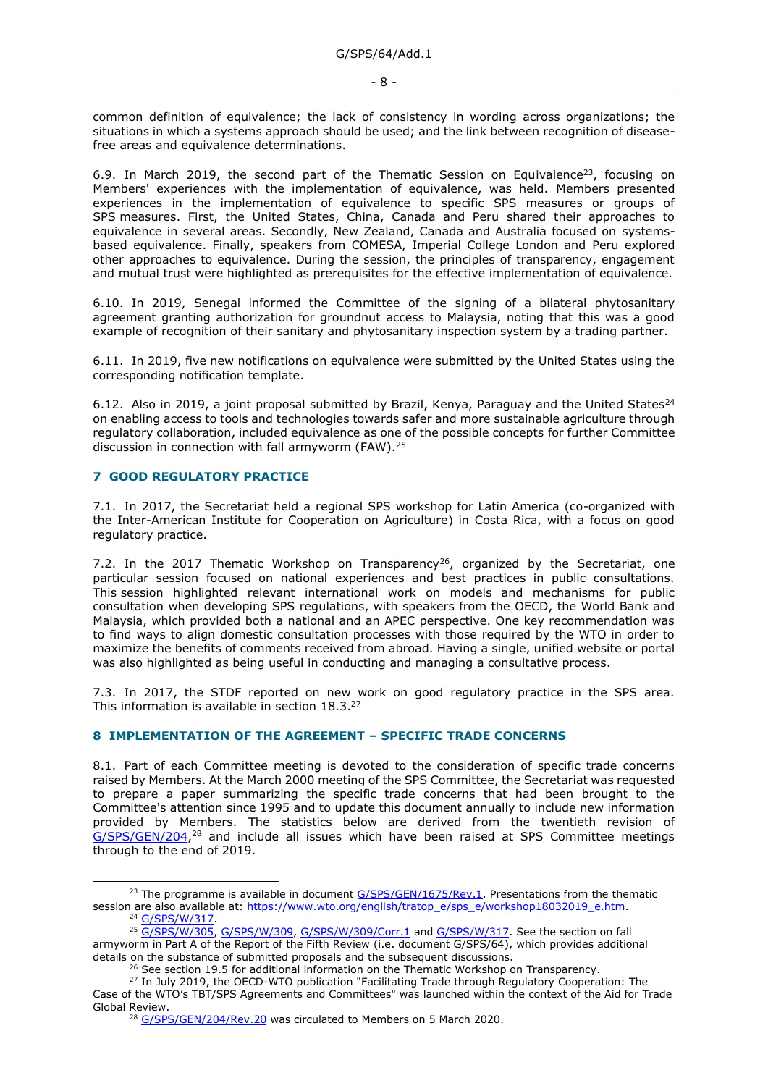common definition of equivalence; the lack of consistency in wording across organizations; the situations in which a systems approach should be used; and the link between recognition of diseasefree areas and equivalence determinations.

6.9. In March 2019, the second part of the Thematic Session on Equivalence<sup>23</sup>, focusing on Members' experiences with the implementation of equivalence, was held. Members presented experiences in the implementation of equivalence to specific SPS measures or groups of SPS measures. First, the United States, China, Canada and Peru shared their approaches to equivalence in several areas. Secondly, New Zealand, Canada and Australia focused on systemsbased equivalence. Finally, speakers from COMESA, Imperial College London and Peru explored other approaches to equivalence. During the session, the principles of transparency, engagement and mutual trust were highlighted as prerequisites for the effective implementation of equivalence.

6.10. In 2019, Senegal informed the Committee of the signing of a bilateral phytosanitary agreement granting authorization for groundnut access to Malaysia, noting that this was a good example of recognition of their sanitary and phytosanitary inspection system by a trading partner.

6.11. In 2019, five new notifications on equivalence were submitted by the United States using the corresponding notification template.

6.12. Also in 2019, a joint proposal submitted by Brazil, Kenya, Paraguay and the United States<sup>24</sup> on enabling access to tools and technologies towards safer and more sustainable agriculture through regulatory collaboration, included equivalence as one of the possible concepts for further Committee discussion in connection with fall armyworm (FAW).<sup>25</sup>

## <span id="page-7-0"></span>**7 GOOD REGULATORY PRACTICE**

7.1. In 2017, the Secretariat held a regional SPS workshop for Latin America (co-organized with the Inter-American Institute for Cooperation on Agriculture) in Costa Rica, with a focus on good regulatory practice.

7.2. In the 2017 Thematic Workshop on Transparency<sup>26</sup>, organized by the Secretariat, one particular session focused on national experiences and best practices in public consultations. This session highlighted relevant international work on models and mechanisms for public consultation when developing SPS regulations, with speakers from the OECD, the World Bank and Malaysia, which provided both a national and an APEC perspective. One key recommendation was to find ways to align domestic consultation processes with those required by the WTO in order to maximize the benefits of comments received from abroad. Having a single, unified website or portal was also highlighted as being useful in conducting and managing a consultative process.

7.3. In 2017, the STDF reported on new work on good regulatory practice in the SPS area. This information is available in section 18.3.<sup>27</sup>

### <span id="page-7-1"></span>**8 IMPLEMENTATION OF THE AGREEMENT – SPECIFIC TRADE CONCERNS**

8.1. Part of each Committee meeting is devoted to the consideration of specific trade concerns raised by Members. At the March 2000 meeting of the SPS Committee, the Secretariat was requested to prepare a paper summarizing the specific trade concerns that had been brought to the Committee's attention since 1995 and to update this document annually to include new information provided by Members. The statistics below are derived from the twentieth revision of [G/SPS/GEN/204,](https://docs.wto.org/dol2fe/Pages/FE_Search/FE_S_S006.aspx?DataSource=Cat&query=@Symbol=%22G/SPS/GEN/204%22%20OR%20@Symbol=%22G/SPS/GEN/204/*%22&Language=English&Context=ScriptedSearches&languageUIChanged=true)<sup>28</sup> and include all issues which have been raised at SPS Committee meetings through to the end of 2019.

<sup>&</sup>lt;sup>23</sup> The programme is available in document  $G/SPS/GEN/1675/Rev.1$ . Presentations from the thematic session are also available at: [https://www.wto.org/english/tratop\\_e/sps\\_e/workshop18032019\\_e.htm.](https://www.wto.org/english/tratop_e/sps_e/workshop18032019_e.htm) <sup>24</sup> [G/SPS/W/317.](https://docs.wto.org/dol2fe/Pages/FE_Search/FE_S_S006.aspx?DataSource=Cat&query=@Symbol=%22G/SPS/W/317%22%20OR%20@Symbol=%22G/SPS/W/317/*%22&Language=English&Context=ScriptedSearches&languageUIChanged=true)

<sup>&</sup>lt;sup>25</sup> [G/SPS/W/305,](https://docs.wto.org/dol2fe/Pages/FE_Search/FE_S_S006.aspx?DataSource=Cat&query=@Symbol=%22G/SPS/W/305%22%20OR%20@Symbol=%22G/SPS/W/305/*%22&Language=English&Context=ScriptedSearches&languageUIChanged=true) [G/SPS/W/309,](https://docs.wto.org/dol2fe/Pages/FE_Search/FE_S_S006.aspx?DataSource=Cat&query=@Symbol=%22G/SPS/W/309%22%20OR%20@Symbol=%22G/SPS/W/309/*%22&Language=English&Context=ScriptedSearches&languageUIChanged=true) [G/SPS/W/309/Corr.1](https://docs.wto.org/dol2fe/Pages/FE_Search/FE_S_S006.aspx?DataSource=Cat&query=@Symbol=%22G/SPS/W/309/Corr.1%22%20OR%20@Symbol=%22G/SPS/W/309/Corr.1/*%22&Language=English&Context=ScriptedSearches&languageUIChanged=true) and [G/SPS/W/317.](https://docs.wto.org/dol2fe/Pages/FE_Search/FE_S_S006.aspx?DataSource=Cat&query=@Symbol=%22G/SPS/W/317%22%20OR%20@Symbol=%22G/SPS/W/317/*%22&Language=English&Context=ScriptedSearches&languageUIChanged=true) See the section on fall armyworm in Part A of the Report of the Fifth Review (i.e. document G/SPS/64), which provides additional details on the substance of submitted proposals and the subsequent discussions.

 $26$  See section 19.5 for additional information on the Thematic Workshop on Transparency.

<sup>27</sup> In July 2019, the OECD-WTO publication "Facilitating Trade through Regulatory Cooperation: The Case of the WTO's TBT/SPS Agreements and Committees" was launched within the context of the Aid for Trade Global Review.

<sup>&</sup>lt;sup>28</sup> [G/SPS/GEN/204/Rev.20](https://docs.wto.org/dol2fe/Pages/FE_Search/FE_S_S006.aspx?DataSource=Cat&query=@Symbol=%22G/SPS/GEN/204/Rev.20%22%20OR%20@Symbol=%22G/SPS/GEN/204/Rev.20/*%22&Language=English&Context=ScriptedSearches&languageUIChanged=true) was circulated to Members on 5 March 2020.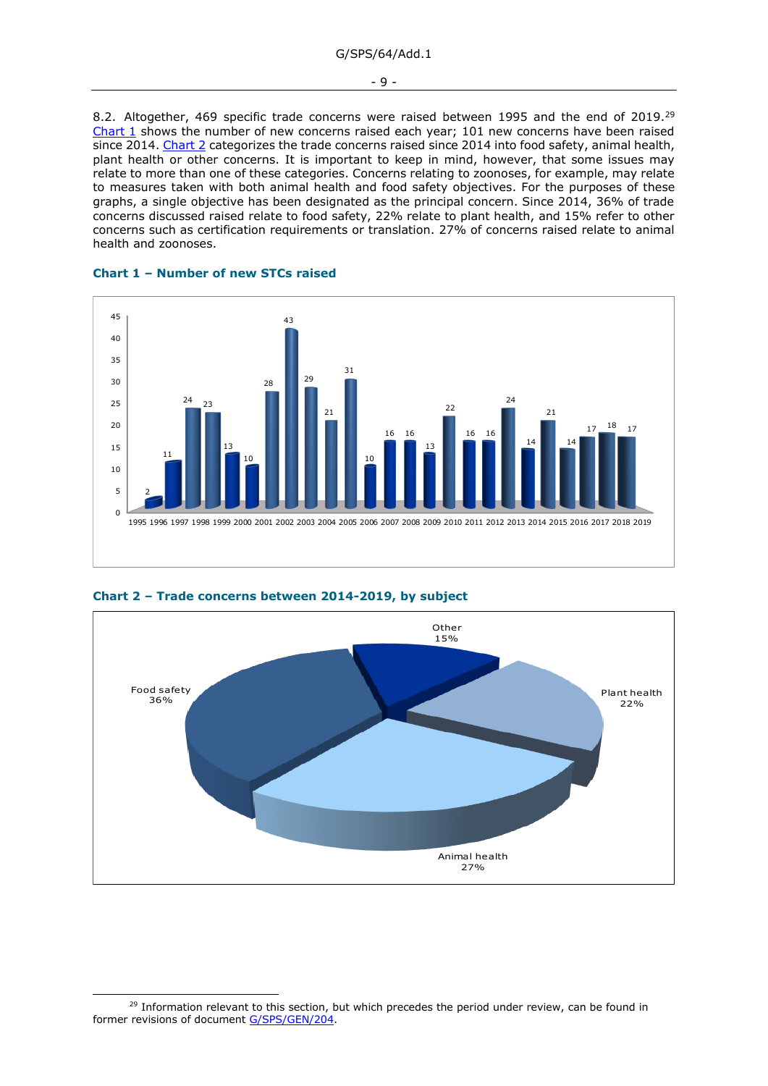8.2. Altogether, 469 specific trade concerns were raised between 1995 and the end of 2019.<sup>29</sup> [Chart](#page-8-0) 1 shows the number of new concerns raised each year; 101 new concerns have been raised since 2014. [Chart 2](#page-8-1) categorizes the trade concerns raised since 2014 into food safety, animal health, plant health or other concerns. It is important to keep in mind, however, that some issues may relate to more than one of these categories. Concerns relating to zoonoses, for example, may relate to measures taken with both animal health and food safety objectives. For the purposes of these graphs, a single objective has been designated as the principal concern. Since 2014, 36% of trade concerns discussed raised relate to food safety, 22% relate to plant health, and 15% refer to other concerns such as certification requirements or translation. 27% of concerns raised relate to animal health and zoonoses.

<span id="page-8-0"></span>



<span id="page-8-1"></span>



 $29$  Information relevant to this section, but which precedes the period under review, can be found in former revisions of document [G/SPS/GEN/204.](https://docs.wto.org/dol2fe/Pages/FE_Search/FE_S_S006.aspx?DataSource=Cat&query=@Symbol=%22G/SPS/GEN/204%22%20OR%20@Symbol=%22G/SPS/GEN/204/*%22&Language=English&Context=ScriptedSearches&languageUIChanged=true)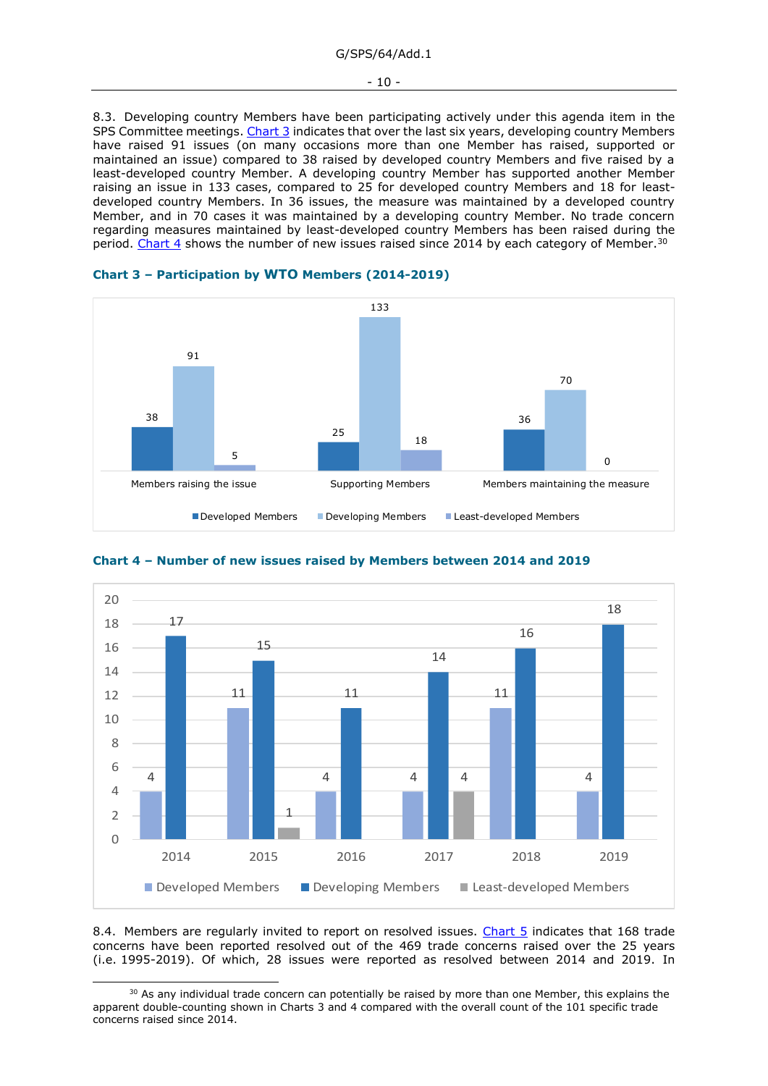#### G/SPS/64/Add.1

#### - 10 -

8.3. Developing country Members have been participating actively under this agenda item in the SPS Committee meetings[. Chart 3](#page-9-0) indicates that over the last six years, developing country Members have raised 91 issues (on many occasions more than one Member has raised, supported or maintained an issue) compared to 38 raised by developed country Members and five raised by a least-developed country Member. A developing country Member has supported another Member raising an issue in 133 cases, compared to 25 for developed country Members and 18 for leastdeveloped country Members. In 36 issues, the measure was maintained by a developed country Member, and in 70 cases it was maintained by a developing country Member. No trade concern regarding measures maintained by least-developed country Members has been raised during the period. [Chart 4](#page-9-1) shows the number of new issues raised since 2014 by each category of Member.<sup>30</sup>



<span id="page-9-0"></span>



<span id="page-9-1"></span>**Chart 4 – Number of new issues raised by Members between 2014 and 2019**

8.4. Members are regularly invited to report on resolved issues. [Chart 5](#page-10-1) indicates that 168 trade concerns have been reported resolved out of the 469 trade concerns raised over the 25 years (i.e. 1995-2019). Of which, 28 issues were reported as resolved between 2014 and 2019. In

<sup>&</sup>lt;sup>30</sup> As any individual trade concern can potentially be raised by more than one Member, this explains the apparent double-counting shown in Charts 3 and 4 compared with the overall count of the 101 specific trade concerns raised since 2014.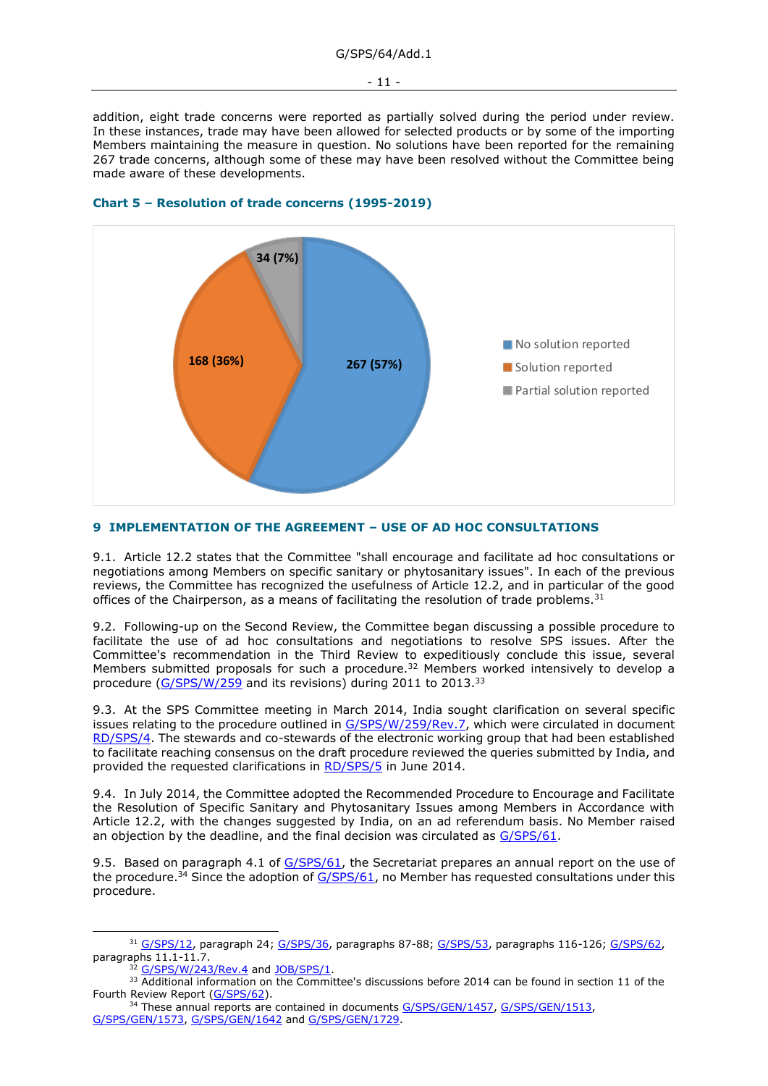addition, eight trade concerns were reported as partially solved during the period under review. In these instances, trade may have been allowed for selected products or by some of the importing Members maintaining the measure in question. No solutions have been reported for the remaining 267 trade concerns, although some of these may have been resolved without the Committee being made aware of these developments.



### <span id="page-10-1"></span>**Chart 5 – Resolution of trade concerns (1995-2019)**

### <span id="page-10-0"></span>**9 IMPLEMENTATION OF THE AGREEMENT – USE OF AD HOC CONSULTATIONS**

9.1. Article 12.2 states that the Committee "shall encourage and facilitate ad hoc consultations or negotiations among Members on specific sanitary or phytosanitary issues". In each of the previous reviews, the Committee has recognized the usefulness of Article 12.2, and in particular of the good offices of the Chairperson, as a means of facilitating the resolution of trade problems.<sup>31</sup>

9.2. Following-up on the Second Review, the Committee began discussing a possible procedure to facilitate the use of ad hoc consultations and negotiations to resolve SPS issues. After the Committee's recommendation in the Third Review to expeditiously conclude this issue, several Members submitted proposals for such a procedure.<sup>32</sup> Members worked intensively to develop a procedure [\(G/SPS/W/259](https://docs.wto.org/dol2fe/Pages/FE_Search/FE_S_S006.aspx?MetaCollection=WTO&SymbolList=%22G%2fSPS%2fW%2f259%22+OR+%22G%2fSPS%2fW%2f259%2f*%22&Serial=&IssuingDateFrom=&IssuingDateTo=&CATTITLE=&ConcernedCountryList=&OtherCountryList=&SubjectList=&TypeList=&FullTextHash=371857150&ProductList=&BodyList=&OrganizationList=&ArticleList=&Contents=&CollectionList=&RestrictionTypeName=&PostingDateFrom=&PostingDateTo=&DerestrictionDateFrom=&DerestrictionDateTo=&ReferenceList=&Language=ENGLISH&SearchPage=FE_S_S001&ActiveTabIndex=0&HSClassificationList=&ServicesClassificationList=&EnvironmentClassificationList=&ICSClassificationList=&ICSClassificationDescList:EnvironmentClassificationDescList:ServicesClassificationDescList:HSClassificationDescList=&languageUIChanged=true) and its revisions) during 2011 to 2013.<sup>33</sup>

9.3. At the SPS Committee meeting in March 2014, India sought clarification on several specific issues relating to the procedure outlined in [G/SPS/W/259/Rev.7,](https://docs.wto.org/dol2fe/Pages/FE_Search/FE_S_S006.aspx?DataSource=Cat&query=@Symbol=%22G/SPS/W/259/Rev.7%22%20OR%20@Symbol=%22G/SPS/W/259/Rev.7/*%22&Language=English&Context=ScriptedSearches&languageUIChanged=true) which were circulated in document [RD/SPS/4.](https://docs.wto.org/dol2fe/Pages/FE_Search/FE_S_S006.aspx?DataSource=Cat&query=@Symbol=%22RD/SPS/4%22%20OR%20@Symbol=%22RD/SPS/4/*%22&Language=English&Context=ScriptedSearches&languageUIChanged=true) The stewards and co-stewards of the electronic working group that had been established to facilitate reaching consensus on the draft procedure reviewed the queries submitted by India, and provided the requested clarifications in [RD/SPS/5](https://docs.wto.org/dol2fe/Pages/FE_Search/FE_S_S006.aspx?DataSource=Cat&query=@Symbol=%22RD/SPS/5%22%20OR%20@Symbol=%22RD/SPS/5/*%22&Language=English&Context=ScriptedSearches&languageUIChanged=true) in June 2014.

9.4. In July 2014, the Committee adopted the Recommended Procedure to Encourage and Facilitate the Resolution of Specific Sanitary and Phytosanitary Issues among Members in Accordance with Article 12.2, with the changes suggested by India, on an ad referendum basis. No Member raised an objection by the deadline, and the final decision was circulated as [G/SPS/61.](https://docs.wto.org/dol2fe/Pages/FE_Search/FE_S_S006.aspx?DataSource=Cat&query=@Symbol=%22G/SPS/61%22%20OR%20@Symbol=%22G/SPS/61/*%22&Language=English&Context=ScriptedSearches&languageUIChanged=true)

9.5. Based on paragraph 4.1 of [G/SPS/61,](https://docs.wto.org/dol2fe/Pages/FE_Search/FE_S_S006.aspx?DataSource=Cat&query=@Symbol=%22G/SPS/61%22%20OR%20@Symbol=%22G/SPS/61/*%22&Language=English&Context=ScriptedSearches&languageUIChanged=true) the Secretariat prepares an annual report on the use of the procedure.<sup>34</sup> Since the adoption of  $G/SPS/61$ , no Member has requested consultations under this procedure.

<sup>31</sup> [G/SPS/12,](https://docs.wto.org/dol2fe/Pages/FE_Search/FE_S_S006.aspx?DataSource=Cat&query=@Symbol=%22G/SPS/12%22%20OR%20@Symbol=%22G/SPS/12/*%22&Language=English&Context=ScriptedSearches&languageUIChanged=true) paragraph 24; [G/SPS/36,](https://docs.wto.org/dol2fe/Pages/FE_Search/FE_S_S006.aspx?DataSource=Cat&query=@Symbol=%22G/SPS/36%22%20OR%20@Symbol=%22G/SPS/36/*%22&Language=English&Context=ScriptedSearches&languageUIChanged=true) paragraphs 87-88; [G/SPS/53,](https://docs.wto.org/dol2fe/Pages/FE_Search/FE_S_S006.aspx?DataSource=Cat&query=@Symbol=%22G/SPS/53%22%20OR%20@Symbol=%22G/SPS/53/*%22&Language=English&Context=ScriptedSearches&languageUIChanged=true) paragraphs 116-126; [G/SPS/62,](https://docs.wto.org/dol2fe/Pages/FE_Search/FE_S_S006.aspx?DataSource=Cat&query=@Symbol=%22G/SPS/62%22%20OR%20@Symbol=%22G/SPS/62/*%22&Language=English&Context=ScriptedSearches&languageUIChanged=true) paragraphs 11.1-11.7.

[G/SPS/W/243/Rev.4](https://docs.wto.org/dol2fe/Pages/FE_Search/FE_S_S006.aspx?DataSource=Cat&query=@Symbol=%22G/SPS/W/243/Rev.4%22%20OR%20@Symbol=%22G/SPS/W/243/Rev.4/*%22&Language=English&Context=ScriptedSearches&languageUIChanged=true) an[d JOB/SPS/1.](https://docs.wto.org/dol2fe/Pages/FE_Search/FE_S_S006.aspx?DataSource=Cat&query=@Symbol=%22JOB/SPS/1%22%20OR%20@Symbol=%22JOB/SPS/1/*%22&Language=English&Context=ScriptedSearches&languageUIChanged=true)

<sup>&</sup>lt;sup>33</sup> Additional information on the Committee's discussions before 2014 can be found in section 11 of the Fourth Review Report [\(G/SPS/62\)](https://docs.wto.org/dol2fe/Pages/FE_Search/FE_S_S006.aspx?DataSource=Cat&query=@Symbol=%22G/SPS/62%22%20OR%20@Symbol=%22G/SPS/62/*%22&Language=English&Context=ScriptedSearches&languageUIChanged=true).

<sup>&</sup>lt;sup>34</sup> These annual reports are contained in documents [G/SPS/GEN/1457,](https://docs.wto.org/dol2fe/Pages/FE_Search/FE_S_S006.aspx?DataSource=Cat&query=@Symbol=%22G/SPS/GEN/1457%22%20OR%20@Symbol=%22G/SPS/GEN/1457/*%22&Language=English&Context=ScriptedSearches&languageUIChanged=true) [G/SPS/GEN/1513,](https://docs.wto.org/dol2fe/Pages/FE_Search/FE_S_S006.aspx?DataSource=Cat&query=@Symbol=%22G/SPS/GEN/1513%22%20OR%20@Symbol=%22G/SPS/GEN/1513/*%22&Language=English&Context=ScriptedSearches&languageUIChanged=true) [G/SPS/GEN/1573,](https://docs.wto.org/dol2fe/Pages/FE_Search/FE_S_S006.aspx?DataSource=Cat&query=@Symbol=%22G/SPS/GEN/1573%22%20OR%20@Symbol=%22G/SPS/GEN/1573/*%22&Language=English&Context=ScriptedSearches&languageUIChanged=true) [G/SPS/GEN/1642](https://docs.wto.org/dol2fe/Pages/FE_Search/FE_S_S006.aspx?DataSource=Cat&query=@Symbol=%22G/SPS/GEN/1642%22%20OR%20@Symbol=%22G/SPS/GEN/1642/*%22&Language=English&Context=ScriptedSearches&languageUIChanged=true) and [G/SPS/GEN/1729.](https://docs.wto.org/dol2fe/Pages/FE_Search/FE_S_S006.aspx?DataSource=Cat&query=@Symbol=%22G/SPS/GEN/1729%22%20OR%20@Symbol=%22G/SPS/GEN/1729/*%22&Language=English&Context=ScriptedSearches&languageUIChanged=true)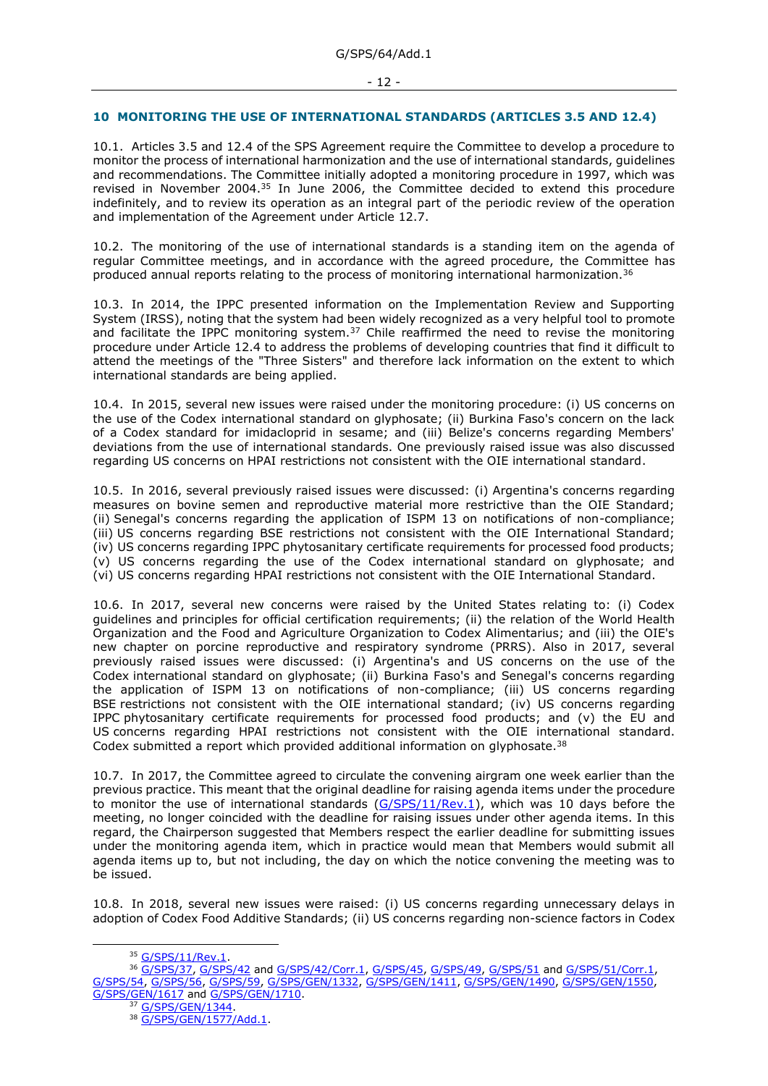#### - 12 -

#### <span id="page-11-0"></span>**10 MONITORING THE USE OF INTERNATIONAL STANDARDS (ARTICLES 3.5 AND 12.4)**

10.1. Articles 3.5 and 12.4 of the SPS Agreement require the Committee to develop a procedure to monitor the process of international harmonization and the use of international standards, guidelines and recommendations. The Committee initially adopted a monitoring procedure in 1997, which was revised in November 2004.<sup>35</sup> In June 2006, the Committee decided to extend this procedure indefinitely, and to review its operation as an integral part of the periodic review of the operation and implementation of the Agreement under Article 12.7.

10.2. The monitoring of the use of international standards is a standing item on the agenda of regular Committee meetings, and in accordance with the agreed procedure, the Committee has produced annual reports relating to the process of monitoring international harmonization.<sup>36</sup>

10.3. In 2014, the IPPC presented information on the Implementation Review and Supporting System (IRSS), noting that the system had been widely recognized as a very helpful tool to promote and facilitate the IPPC monitoring system.<sup>37</sup> Chile reaffirmed the need to revise the monitoring procedure under Article 12.4 to address the problems of developing countries that find it difficult to attend the meetings of the "Three Sisters" and therefore lack information on the extent to which international standards are being applied.

10.4. In 2015, several new issues were raised under the monitoring procedure: (i) US concerns on the use of the Codex international standard on glyphosate; (ii) Burkina Faso's concern on the lack of a Codex standard for imidacloprid in sesame; and (iii) Belize's concerns regarding Members' deviations from the use of international standards. One previously raised issue was also discussed regarding US concerns on HPAI restrictions not consistent with the OIE international standard.

10.5. In 2016, several previously raised issues were discussed: (i) Argentina's concerns regarding measures on bovine semen and reproductive material more restrictive than the OIE Standard; (ii) Senegal's concerns regarding the application of ISPM 13 on notifications of non-compliance; (iii) US concerns regarding BSE restrictions not consistent with the OIE International Standard; (iv) US concerns regarding IPPC phytosanitary certificate requirements for processed food products; (v) US concerns regarding the use of the Codex international standard on glyphosate; and (vi) US concerns regarding HPAI restrictions not consistent with the OIE International Standard.

10.6. In 2017, several new concerns were raised by the United States relating to: (i) Codex guidelines and principles for official certification requirements; (ii) the relation of the World Health Organization and the Food and Agriculture Organization to Codex Alimentarius; and (iii) the OIE's new chapter on porcine reproductive and respiratory syndrome (PRRS). Also in 2017, several previously raised issues were discussed: (i) Argentina's and US concerns on the use of the Codex international standard on glyphosate; (ii) Burkina Faso's and Senegal's concerns regarding the application of ISPM 13 on notifications of non-compliance; (iii) US concerns regarding BSE restrictions not consistent with the OIE international standard; (iv) US concerns regarding IPPC phytosanitary certificate requirements for processed food products; and (v) the EU and US concerns regarding HPAI restrictions not consistent with the OIE international standard. Codex submitted a report which provided additional information on glyphosate.<sup>38</sup>

10.7. In 2017, the Committee agreed to circulate the convening airgram one week earlier than the previous practice. This meant that the original deadline for raising agenda items under the procedure to monitor the use of international standards [\(G/SPS/11/Rev.1\)](https://docs.wto.org/dol2fe/Pages/FE_Search/FE_S_S006.aspx?MetaCollection=WTO&SymbolList=%22G%2fSPS%2f11%2fRev.1%22+OR+%22G%2fSPS%2f11%2fRev.1%2f*%22&Serial=&IssuingDateFrom=&IssuingDateTo=&CATTITLE=&ConcernedCountryList=&OtherCountryList=&SubjectList=&TypeList=&FullTextHash=371857150&ProductList=&BodyList=&OrganizationList=&ArticleList=&Contents=&CollectionList=&RestrictionTypeName=&PostingDateFrom=&PostingDateTo=&DerestrictionDateFrom=&DerestrictionDateTo=&ReferenceList=&Language=ENGLISH&SearchPage=FE_S_S001&ActiveTabIndex=0&HSClassificationList=&ServicesClassificationList=&EnvironmentClassificationList=&ICSClassificationList=&ICSClassificationDescList:EnvironmentClassificationDescList:ServicesClassificationDescList:HSClassificationDescList=&languageUIChanged=true), which was 10 days before the meeting, no longer coincided with the deadline for raising issues under other agenda items. In this regard, the Chairperson suggested that Members respect the earlier deadline for submitting issues under the monitoring agenda item, which in practice would mean that Members would submit all agenda items up to, but not including, the day on which the notice convening the meeting was to be issued.

10.8. In 2018, several new issues were raised: (i) US concerns regarding unnecessary delays in adoption of Codex Food Additive Standards; (ii) US concerns regarding non-science factors in Codex

<sup>37</sup> G/SPS/GEN/1344

<sup>35</sup> [G/SPS/11/Rev.1.](https://docs.wto.org/dol2fe/Pages/FE_Search/FE_S_S006.aspx?DataSource=Cat&query=@Symbol=%22G/SPS/11/Rev.1%22%20OR%20@Symbol=%22G/SPS/11/Rev.1/*%22&Language=English&Context=ScriptedSearches&languageUIChanged=true)

<sup>36</sup> [G/SPS/37,](https://docs.wto.org/dol2fe/Pages/FE_Search/FE_S_S006.aspx?DataSource=Cat&query=@Symbol=%22G/SPS/37%22%20OR%20@Symbol=%22G/SPS/37/*%22&Language=English&Context=ScriptedSearches&languageUIChanged=true) [G/SPS/42](https://docs.wto.org/dol2fe/Pages/FE_Search/FE_S_S006.aspx?DataSource=Cat&query=@Symbol=%22G/SPS/42%22%20OR%20@Symbol=%22G/SPS/42/*%22&Language=English&Context=ScriptedSearches&languageUIChanged=true) and [G/SPS/42/Corr.1,](https://docs.wto.org/dol2fe/Pages/FE_Search/FE_S_S006.aspx?MetaCollection=WTO&SymbolList=%22G%2fSPS%2f42%2fCorr.1%22+OR+%22G%2fSPS%2f42%2fCorr.1%2f*%22&Serial=&IssuingDateFrom=&IssuingDateTo=&CATTITLE=&ConcernedCountryList=&OtherCountryList=&SubjectList=&TypeList=&FullTextHash=371857150&ProductList=&BodyList=&OrganizationList=&ArticleList=&Contents=&CollectionList=&RestrictionTypeName=&PostingDateFrom=&PostingDateTo=&DerestrictionDateFrom=&DerestrictionDateTo=&ReferenceList=&Language=ENGLISH&SearchPage=FE_S_S001&ActiveTabIndex=0&HSClassificationList=&ServicesClassificationList=&EnvironmentClassificationList=&ICSClassificationList=&ICSClassificationDescList:EnvironmentClassificationDescList:ServicesClassificationDescList:HSClassificationDescList=&languageUIChanged=true) [G/SPS/45,](https://docs.wto.org/dol2fe/Pages/FE_Search/FE_S_S006.aspx?DataSource=Cat&query=@Symbol=%22G/SPS/45%22%20OR%20@Symbol=%22G/SPS/45/*%22&Language=English&Context=ScriptedSearches&languageUIChanged=true) [G/SPS/49,](https://docs.wto.org/dol2fe/Pages/FE_Search/FE_S_S006.aspx?DataSource=Cat&query=@Symbol=%22G/SPS/49%22%20OR%20@Symbol=%22G/SPS/49/*%22&Language=English&Context=ScriptedSearches&languageUIChanged=true) [G/SPS/51](https://docs.wto.org/dol2fe/Pages/FE_Search/FE_S_S006.aspx?DataSource=Cat&query=@Symbol=%22G/SPS/51%22%20OR%20@Symbol=%22G/SPS/51/*%22&Language=English&Context=ScriptedSearches&languageUIChanged=true) an[d G/SPS/51/Corr.1,](https://docs.wto.org/dol2fe/Pages/FE_Search/FE_S_S006.aspx?DataSource=Cat&query=@Symbol=%22G/SPS/51/Corr.1%22%20OR%20@Symbol=%22G/SPS/51/Corr.1/*%22&Language=English&Context=ScriptedSearches&languageUIChanged=true) [G/SPS/54,](https://docs.wto.org/dol2fe/Pages/FE_Search/FE_S_S006.aspx?DataSource=Cat&query=@Symbol=%22G/SPS/54%22%20OR%20@Symbol=%22G/SPS/54/*%22&Language=English&Context=ScriptedSearches&languageUIChanged=true) [G/SPS/56,](https://docs.wto.org/dol2fe/Pages/FE_Search/FE_S_S006.aspx?DataSource=Cat&query=@Symbol=%22G/SPS/56%22%20OR%20@Symbol=%22G/SPS/56/*%22&Language=English&Context=ScriptedSearches&languageUIChanged=true) [G/SPS/59,](https://docs.wto.org/dol2fe/Pages/FE_Search/FE_S_S006.aspx?DataSource=Cat&query=@Symbol=%22G/SPS/59%22%20OR%20@Symbol=%22G/SPS/59/*%22&Language=English&Context=ScriptedSearches&languageUIChanged=true) [G/SPS/GEN/1332,](https://docs.wto.org/dol2fe/Pages/FE_Search/FE_S_S006.aspx?DataSource=Cat&query=@Symbol=%22G/SPS/GEN/1332%22%20OR%20@Symbol=%22G/SPS/GEN/1332/*%22&Language=English&Context=ScriptedSearches&languageUIChanged=true) [G/SPS/GEN/1411,](https://docs.wto.org/dol2fe/Pages/FE_Search/FE_S_S006.aspx?DataSource=Cat&query=@Symbol=%22G/SPS/GEN/1411%22%20OR%20@Symbol=%22G/SPS/GEN/1411/*%22&Language=English&Context=ScriptedSearches&languageUIChanged=true) [G/SPS/GEN/1490,](https://docs.wto.org/dol2fe/Pages/FE_Search/FE_S_S006.aspx?DataSource=Cat&query=@Symbol=%22G/SPS/GEN/1490%22%20OR%20@Symbol=%22G/SPS/GEN/1490/*%22&Language=English&Context=ScriptedSearches&languageUIChanged=true) [G/SPS/GEN/1550,](https://docs.wto.org/dol2fe/Pages/FE_Search/FE_S_S006.aspx?DataSource=Cat&query=@Symbol=%22G/SPS/GEN/1550%22%20OR%20@Symbol=%22G/SPS/GEN/1550/*%22&Language=English&Context=ScriptedSearches&languageUIChanged=true) [G/SPS/GEN/1617](https://docs.wto.org/dol2fe/Pages/FE_Search/FE_S_S006.aspx?DataSource=Cat&query=@Symbol=%22G/SPS/GEN/1617%22%20OR%20@Symbol=%22G/SPS/GEN/1617/*%22&Language=English&Context=ScriptedSearches&languageUIChanged=true) and [G/SPS/GEN/1710.](https://docs.wto.org/dol2fe/Pages/FE_Search/FE_S_S006.aspx?DataSource=Cat&query=@Symbol=%22G/SPS/GEN/1710%22%20OR%20@Symbol=%22G/SPS/GEN/1710/*%22&Language=English&Context=ScriptedSearches&languageUIChanged=true)

<sup>38</sup> [G/SPS/GEN/1577/Add.1.](https://docs.wto.org/dol2fe/Pages/FE_Search/FE_S_S006.aspx?DataSource=Cat&query=@Symbol=%22G/SPS/GEN/1577/Add.1%22%20OR%20@Symbol=%22G/SPS/GEN/1577/Add.1/*%22&Language=English&Context=ScriptedSearches&languageUIChanged=true)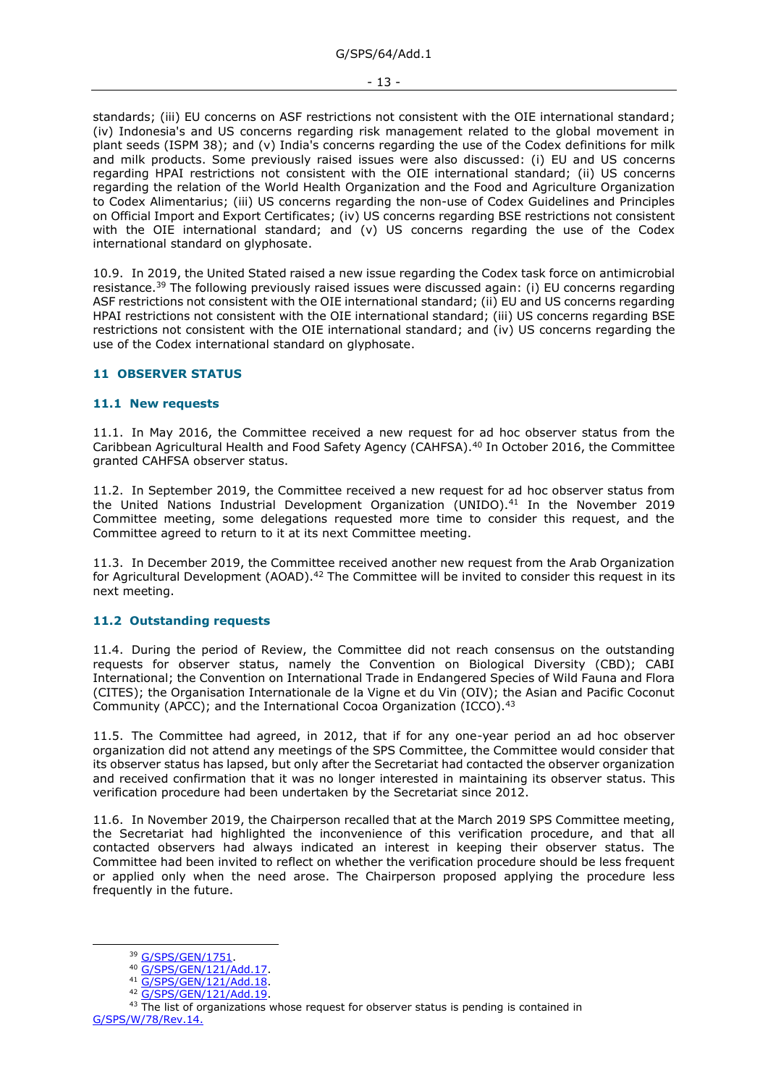standards; (iii) EU concerns on ASF restrictions not consistent with the OIE international standard; (iv) Indonesia's and US concerns regarding risk management related to the global movement in plant seeds (ISPM 38); and (v) India's concerns regarding the use of the Codex definitions for milk and milk products. Some previously raised issues were also discussed: (i) EU and US concerns regarding HPAI restrictions not consistent with the OIE international standard; (ii) US concerns regarding the relation of the World Health Organization and the Food and Agriculture Organization to Codex Alimentarius; (iii) US concerns regarding the non-use of Codex Guidelines and Principles on Official Import and Export Certificates; (iv) US concerns regarding BSE restrictions not consistent with the OIE international standard; and (v) US concerns regarding the use of the Codex international standard on glyphosate.

10.9. In 2019, the United Stated raised a new issue regarding the Codex task force on antimicrobial resistance.<sup>39</sup> The following previously raised issues were discussed again: (i) EU concerns regarding ASF restrictions not consistent with the OIE international standard; (ii) EU and US concerns regarding HPAI restrictions not consistent with the OIE international standard; (iii) US concerns regarding BSE restrictions not consistent with the OIE international standard; and (iv) US concerns regarding the use of the Codex international standard on glyphosate.

### <span id="page-12-0"></span>**11 OBSERVER STATUS**

### <span id="page-12-1"></span>**11.1 New requests**

11.1. In May 2016, the Committee received a new request for ad hoc observer status from the Caribbean Agricultural Health and Food Safety Agency (CAHFSA).<sup>40</sup> In October 2016, the Committee granted CAHFSA observer status.

11.2. In September 2019, the Committee received a new request for ad hoc observer status from the United Nations Industrial Development Organization (UNIDO).<sup>41</sup> In the November 2019 Committee meeting, some delegations requested more time to consider this request, and the Committee agreed to return to it at its next Committee meeting.

11.3. In December 2019, the Committee received another new request from the Arab Organization for Agricultural Development (AOAD).<sup>42</sup> The Committee will be invited to consider this request in its next meeting.

# <span id="page-12-2"></span>**11.2 Outstanding requests**

11.4. During the period of Review, the Committee did not reach consensus on the outstanding requests for observer status, namely the Convention on Biological Diversity (CBD); CABI International; the Convention on International Trade in Endangered Species of Wild Fauna and Flora (CITES); the Organisation Internationale de la Vigne et du Vin (OIV); the Asian and Pacific Coconut Community (APCC); and the International Cocoa Organization (ICCO).<sup>43</sup>

11.5. The Committee had agreed, in 2012, that if for any one-year period an ad hoc observer organization did not attend any meetings of the SPS Committee, the Committee would consider that its observer status has lapsed, but only after the Secretariat had contacted the observer organization and received confirmation that it was no longer interested in maintaining its observer status. This verification procedure had been undertaken by the Secretariat since 2012.

11.6. In November 2019, the Chairperson recalled that at the March 2019 SPS Committee meeting, the Secretariat had highlighted the inconvenience of this verification procedure, and that all contacted observers had always indicated an interest in keeping their observer status. The Committee had been invited to reflect on whether the verification procedure should be less frequent or applied only when the need arose. The Chairperson proposed applying the procedure less frequently in the future.

<sup>39</sup> [G/SPS/GEN/1751.](https://docs.wto.org/dol2fe/Pages/FE_Search/FE_S_S006.aspx?DataSource=Cat&query=@Symbol=%22G/SPS/GEN/1751%22%20OR%20@Symbol=%22G/SPS/GEN/1751/*%22&Language=English&Context=ScriptedSearches&languageUIChanged=true)

<sup>40</sup> [G/SPS/GEN/121/Add.17.](https://docs.wto.org/dol2fe/Pages/FE_Search/FE_S_S006.aspx?DataSource=Cat&query=@Symbol=%22G/SPS/GEN/121/Add.17%22%20OR%20@Symbol=%22G/SPS/GEN/121/Add.17/*%22&Language=English&Context=ScriptedSearches&languageUIChanged=true)

<sup>41</sup> [G/SPS/GEN/121/Add.18.](https://docs.wto.org/dol2fe/Pages/FE_Search/FE_S_S006.aspx?DataSource=Cat&query=@Symbol=%22G/SPS/GEN/121/Add.18%22%20OR%20@Symbol=%22G/SPS/GEN/121/Add.18/*%22&Language=English&Context=ScriptedSearches&languageUIChanged=true)

<sup>42</sup> [G/SPS/GEN/121/Add.19.](https://docs.wto.org/dol2fe/Pages/FE_Search/FE_S_S006.aspx?DataSource=Cat&query=@Symbol=%22G/SPS/GEN/121/Add.19%22%20OR%20@Symbol=%22G/SPS/GEN/121/Add.19/*%22&Language=English&Context=ScriptedSearches&languageUIChanged=true)

 $43$  The list of organizations whose request for observer status is pending is contained in [G/SPS/W/78/Rev.14.](https://docs.wto.org/dol2fe/Pages/FE_Search/FE_S_S006.aspx?DataSource=Cat&query=@Symbol=%22G/SPS/W/78/Rev.14%22%20OR%20@Symbol=%22G/SPS/W/78/Rev.14/*%22&Language=English&Context=ScriptedSearches&languageUIChanged=true)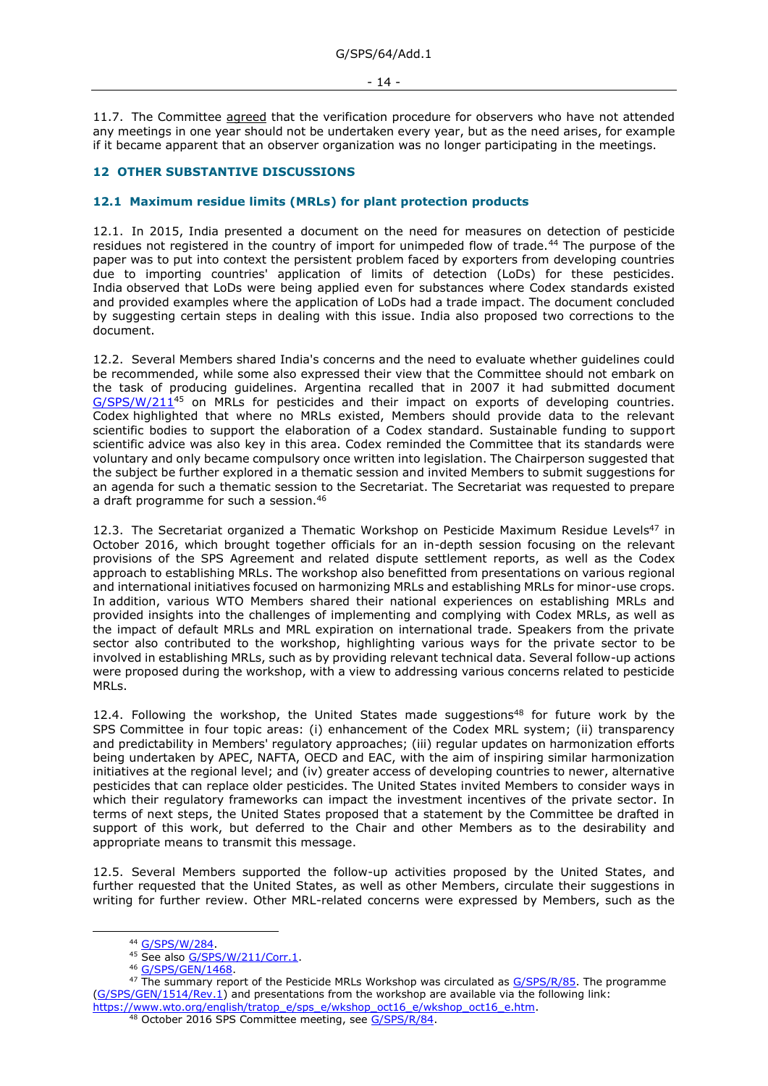11.7. The Committee agreed that the verification procedure for observers who have not attended any meetings in one year should not be undertaken every year, but as the need arises, for example if it became apparent that an observer organization was no longer participating in the meetings.

### <span id="page-13-0"></span>**12 OTHER SUBSTANTIVE DISCUSSIONS**

#### <span id="page-13-1"></span>**12.1 Maximum residue limits (MRLs) for plant protection products**

12.1. In 2015, India presented a document on the need for measures on detection of pesticide residues not registered in the country of import for unimpeded flow of trade.<sup>44</sup> The purpose of the paper was to put into context the persistent problem faced by exporters from developing countries due to importing countries' application of limits of detection (LoDs) for these pesticides. India observed that LoDs were being applied even for substances where Codex standards existed and provided examples where the application of LoDs had a trade impact. The document concluded by suggesting certain steps in dealing with this issue. India also proposed two corrections to the document.

12.2. Several Members shared India's concerns and the need to evaluate whether guidelines could be recommended, while some also expressed their view that the Committee should not embark on the task of producing guidelines. Argentina recalled that in 2007 it had submitted document [G/SPS/W/211](https://docs.wto.org/dol2fe/Pages/FE_Search/FE_S_S006.aspx?DataSource=Cat&query=@Symbol=%22G/SPS/W/211%22%20OR%20@Symbol=%22G/SPS/W/211/*%22&Language=English&Context=ScriptedSearches&languageUIChanged=true)<sup>45</sup> on MRLs for pesticides and their impact on exports of developing countries. Codex highlighted that where no MRLs existed, Members should provide data to the relevant scientific bodies to support the elaboration of a Codex standard. Sustainable funding to support scientific advice was also key in this area. Codex reminded the Committee that its standards were voluntary and only became compulsory once written into legislation. The Chairperson suggested that the subject be further explored in a thematic session and invited Members to submit suggestions for an agenda for such a thematic session to the Secretariat. The Secretariat was requested to prepare a draft programme for such a session.<sup>46</sup>

12.3. The Secretariat organized a Thematic Workshop on Pesticide Maximum Residue Levels<sup>47</sup> in October 2016, which brought together officials for an in-depth session focusing on the relevant provisions of the SPS Agreement and related dispute settlement reports, as well as the Codex approach to establishing MRLs. The workshop also benefitted from presentations on various regional and international initiatives focused on harmonizing MRLs and establishing MRLs for minor-use crops. In addition, various WTO Members shared their national experiences on establishing MRLs and provided insights into the challenges of implementing and complying with Codex MRLs, as well as the impact of default MRLs and MRL expiration on international trade. Speakers from the private sector also contributed to the workshop, highlighting various ways for the private sector to be involved in establishing MRLs, such as by providing relevant technical data. Several follow-up actions were proposed during the workshop, with a view to addressing various concerns related to pesticide MRLs.

12.4. Following the workshop, the United States made suggestions<sup>48</sup> for future work by the SPS Committee in four topic areas: (i) enhancement of the Codex MRL system; (ii) transparency and predictability in Members' regulatory approaches; (iii) regular updates on harmonization efforts being undertaken by APEC, NAFTA, OECD and EAC, with the aim of inspiring similar harmonization initiatives at the regional level; and (iv) greater access of developing countries to newer, alternative pesticides that can replace older pesticides. The United States invited Members to consider ways in which their regulatory frameworks can impact the investment incentives of the private sector. In terms of next steps, the United States proposed that a statement by the Committee be drafted in support of this work, but deferred to the Chair and other Members as to the desirability and appropriate means to transmit this message.

12.5. Several Members supported the follow-up activities proposed by the United States, and further requested that the United States, as well as other Members, circulate their suggestions in writing for further review. Other MRL-related concerns were expressed by Members, such as the

<sup>44</sup> [G/SPS/W/284.](https://docs.wto.org/dol2fe/Pages/FE_Search/FE_S_S006.aspx?DataSource=Cat&query=@Symbol=%22G/SPS/W/284%22%20OR%20@Symbol=%22G/SPS/W/284/*%22&Language=English&Context=ScriptedSearches&languageUIChanged=true)

<sup>45</sup> See also [G/SPS/W/211/Corr.1.](https://docs.wto.org/dol2fe/Pages/FE_Search/FE_S_S006.aspx?DataSource=Cat&query=@Symbol=%22G/SPS/W/211/Corr.1%22%20OR%20@Symbol=%22G/SPS/W/211/Corr.1/*%22&Language=English&Context=ScriptedSearches&languageUIChanged=true)

<sup>46</sup> [G/SPS/GEN/1468.](https://docs.wto.org/dol2fe/Pages/FE_Search/FE_S_S006.aspx?DataSource=Cat&query=@Symbol=%22G/SPS/GEN/1468%22%20OR%20@Symbol=%22G/SPS/GEN/1468/*%22&Language=English&Context=ScriptedSearches&languageUIChanged=true)

<sup>&</sup>lt;sup>47</sup> The summary report of the Pesticide MRLs Workshop was circulated a[s G/SPS/R/85.](https://docs.wto.org/dol2fe/Pages/FE_Search/FE_S_S006.aspx?DataSource=Cat&query=@Symbol=%22G/SPS/R/85%22%20OR%20@Symbol=%22G/SPS/R/85/*%22&Language=English&Context=ScriptedSearches&languageUIChanged=true) The programme [\(G/SPS/GEN/1514/Rev.1\)](https://docs.wto.org/dol2fe/Pages/FE_Search/FE_S_S006.aspx?MetaCollection=WTO&SymbolList=%22G%2fSPS%2fGEN%2f1514%2fRev.1%22+OR+%22G%2fSPS%2fGEN%2f1514%2fRev.1%2f*%22&Serial=&IssuingDateFrom=&IssuingDateTo=&CATTITLE=&ConcernedCountryList=&OtherCountryList=&SubjectList=&TypeList=&FullTextHash=371857150&ProductList=&BodyList=&OrganizationList=&ArticleList=&Contents=&CollectionList=&RestrictionTypeName=&PostingDateFrom=&PostingDateTo=&DerestrictionDateFrom=&DerestrictionDateTo=&ReferenceList=&Language=ENGLISH&SearchPage=FE_S_S001&ActiveTabIndex=0&HSClassificationList=&ServicesClassificationList=&EnvironmentClassificationList=&ICSClassificationList=&ICSClassificationDescList:EnvironmentClassificationDescList:ServicesClassificationDescList:HSClassificationDescList=&languageUIChanged=true) and presentations from the workshop are available via the following link: [https://www.wto.org/english/tratop\\_e/sps\\_e/wkshop\\_oct16\\_e/wkshop\\_oct16\\_e.htm.](https://www.wto.org/english/tratop_e/sps_e/wkshop_oct16_e/wkshop_oct16_e.htm)

<sup>48</sup> October 2016 SPS Committee meeting, see [G/SPS/R/84.](https://docs.wto.org/dol2fe/Pages/FE_Search/FE_S_S006.aspx?DataSource=Cat&query=@Symbol=%22G/SPS/R/84%22%20OR%20@Symbol=%22G/SPS/R/84/*%22&Language=English&Context=ScriptedSearches&languageUIChanged=true)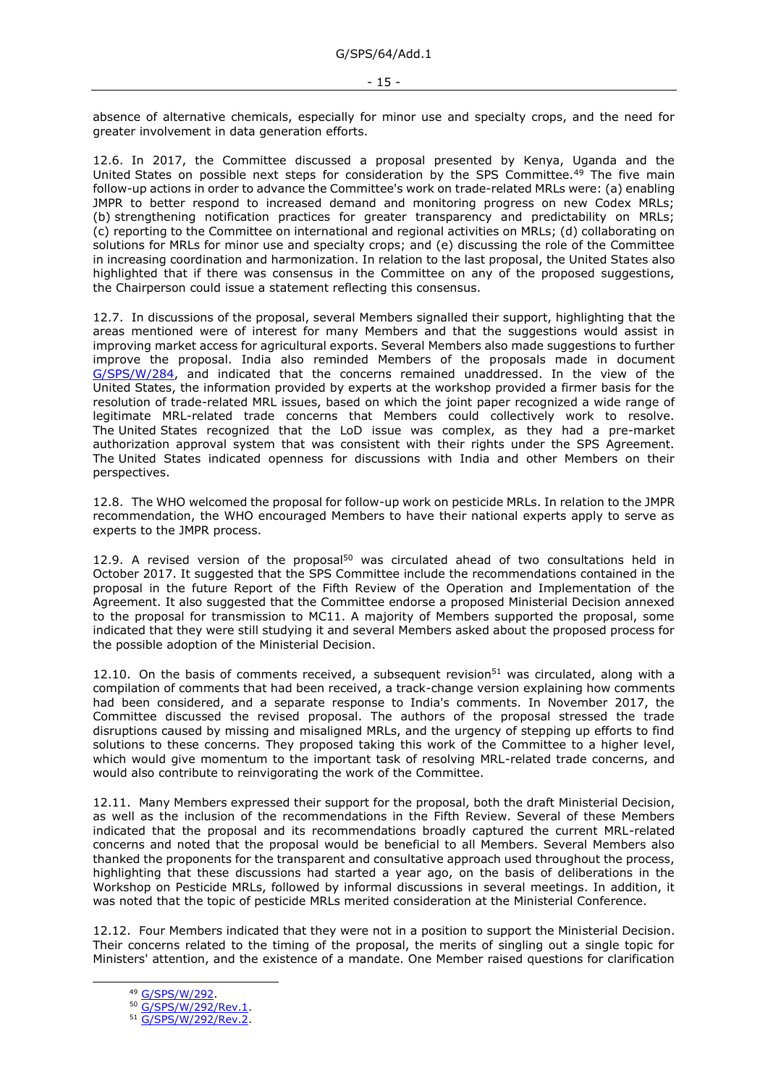absence of alternative chemicals, especially for minor use and specialty crops, and the need for greater involvement in data generation efforts.

12.6. In 2017, the Committee discussed a proposal presented by Kenya, Uganda and the United States on possible next steps for consideration by the SPS Committee.<sup>49</sup> The five main follow-up actions in order to advance the Committee's work on trade-related MRLs were: (a) enabling JMPR to better respond to increased demand and monitoring progress on new Codex MRLs; (b) strengthening notification practices for greater transparency and predictability on MRLs; (c) reporting to the Committee on international and regional activities on MRLs; (d) collaborating on solutions for MRLs for minor use and specialty crops; and (e) discussing the role of the Committee in increasing coordination and harmonization. In relation to the last proposal, the United States also highlighted that if there was consensus in the Committee on any of the proposed suggestions, the Chairperson could issue a statement reflecting this consensus.

12.7. In discussions of the proposal, several Members signalled their support, highlighting that the areas mentioned were of interest for many Members and that the suggestions would assist in improving market access for agricultural exports. Several Members also made suggestions to further improve the proposal. India also reminded Members of the proposals made in document [G/SPS/W/284,](https://docs.wto.org/dol2fe/Pages/FE_Search/FE_S_S006.aspx?DataSource=Cat&query=@Symbol=%22G/SPS/W/284%22%20OR%20@Symbol=%22G/SPS/W/284/*%22&Language=English&Context=ScriptedSearches&languageUIChanged=true) and indicated that the concerns remained unaddressed. In the view of the United States, the information provided by experts at the workshop provided a firmer basis for the resolution of trade-related MRL issues, based on which the joint paper recognized a wide range of legitimate MRL-related trade concerns that Members could collectively work to resolve. The United States recognized that the LoD issue was complex, as they had a pre-market authorization approval system that was consistent with their rights under the SPS Agreement. The United States indicated openness for discussions with India and other Members on their perspectives.

12.8. The WHO welcomed the proposal for follow-up work on pesticide MRLs. In relation to the JMPR recommendation, the WHO encouraged Members to have their national experts apply to serve as experts to the JMPR process.

12.9. A revised version of the proposal $50$  was circulated ahead of two consultations held in October 2017. It suggested that the SPS Committee include the recommendations contained in the proposal in the future Report of the Fifth Review of the Operation and Implementation of the Agreement. It also suggested that the Committee endorse a proposed Ministerial Decision annexed to the proposal for transmission to MC11. A majority of Members supported the proposal, some indicated that they were still studying it and several Members asked about the proposed process for the possible adoption of the Ministerial Decision.

12.10. On the basis of comments received, a subsequent revision<sup>51</sup> was circulated, along with a compilation of comments that had been received, a track-change version explaining how comments had been considered, and a separate response to India's comments. In November 2017, the Committee discussed the revised proposal. The authors of the proposal stressed the trade disruptions caused by missing and misaligned MRLs, and the urgency of stepping up efforts to find solutions to these concerns. They proposed taking this work of the Committee to a higher level, which would give momentum to the important task of resolving MRL-related trade concerns, and would also contribute to reinvigorating the work of the Committee.

12.11. Many Members expressed their support for the proposal, both the draft Ministerial Decision, as well as the inclusion of the recommendations in the Fifth Review. Several of these Members indicated that the proposal and its recommendations broadly captured the current MRL-related concerns and noted that the proposal would be beneficial to all Members. Several Members also thanked the proponents for the transparent and consultative approach used throughout the process, highlighting that these discussions had started a year ago, on the basis of deliberations in the Workshop on Pesticide MRLs, followed by informal discussions in several meetings. In addition, it was noted that the topic of pesticide MRLs merited consideration at the Ministerial Conference.

12.12. Four Members indicated that they were not in a position to support the Ministerial Decision. Their concerns related to the timing of the proposal, the merits of singling out a single topic for Ministers' attention, and the existence of a mandate. One Member raised questions for clarification

<sup>49</sup> [G/SPS/W/292.](https://docs.wto.org/dol2fe/Pages/FE_Search/FE_S_S006.aspx?DataSource=Cat&query=@Symbol=%22G/SPS/W/292%22%20OR%20@Symbol=%22G/SPS/W/292/*%22&Language=English&Context=ScriptedSearches&languageUIChanged=true)

<sup>50</sup> [G/SPS/W/292/Rev.1.](https://docs.wto.org/dol2fe/Pages/FE_Search/FE_S_S006.aspx?DataSource=Cat&query=@Symbol=%22G/SPS/W/292/Rev.1%22%20OR%20@Symbol=%22G/SPS/W/292/Rev.1/*%22&Language=English&Context=ScriptedSearches&languageUIChanged=true)

<sup>51</sup> [G/SPS/W/292/Rev.2.](https://docs.wto.org/dol2fe/Pages/FE_Search/FE_S_S006.aspx?DataSource=Cat&query=@Symbol=%22G/SPS/W/292/Rev.2%22%20OR%20@Symbol=%22G/SPS/W/292/Rev.2/*%22&Language=English&Context=ScriptedSearches&languageUIChanged=true)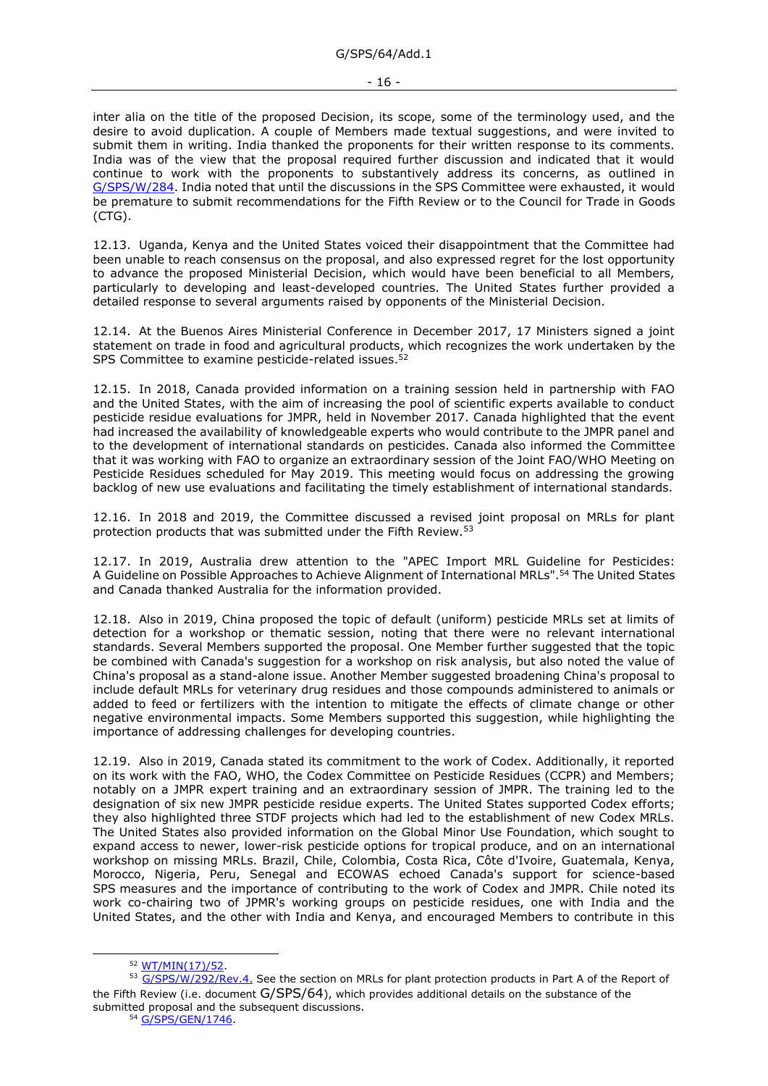inter alia on the title of the proposed Decision, its scope, some of the terminology used, and the desire to avoid duplication. A couple of Members made textual suggestions, and were invited to submit them in writing. India thanked the proponents for their written response to its comments. India was of the view that the proposal required further discussion and indicated that it would continue to work with the proponents to substantively address its concerns, as outlined in [G/SPS/W/284.](https://docs.wto.org/dol2fe/Pages/FE_Search/FE_S_S006.aspx?DataSource=Cat&query=@Symbol=%22G/SPS/W/284%22%20OR%20@Symbol=%22G/SPS/W/284/*%22&Language=English&Context=ScriptedSearches&languageUIChanged=true) India noted that until the discussions in the SPS Committee were exhausted, it would be premature to submit recommendations for the Fifth Review or to the Council for Trade in Goods (CTG).

12.13. Uganda, Kenya and the United States voiced their disappointment that the Committee had been unable to reach consensus on the proposal, and also expressed regret for the lost opportunity to advance the proposed Ministerial Decision, which would have been beneficial to all Members, particularly to developing and least-developed countries. The United States further provided a detailed response to several arguments raised by opponents of the Ministerial Decision.

12.14. At the Buenos Aires Ministerial Conference in December 2017, 17 Ministers signed a joint statement on trade in food and agricultural products, which recognizes the work undertaken by the SPS Committee to examine pesticide-related issues.<sup>52</sup>

12.15. In 2018, Canada provided information on a training session held in partnership with FAO and the United States, with the aim of increasing the pool of scientific experts available to conduct pesticide residue evaluations for JMPR, held in November 2017. Canada highlighted that the event had increased the availability of knowledgeable experts who would contribute to the JMPR panel and to the development of international standards on pesticides. Canada also informed the Committee that it was working with FAO to organize an extraordinary session of the Joint FAO/WHO Meeting on Pesticide Residues scheduled for May 2019. This meeting would focus on addressing the growing backlog of new use evaluations and facilitating the timely establishment of international standards.

12.16. In 2018 and 2019, the Committee discussed a revised joint proposal on MRLs for plant protection products that was submitted under the Fifth Review.<sup>53</sup>

12.17. In 2019, Australia drew attention to the "APEC Import MRL Guideline for Pesticides: A Guideline on Possible Approaches to Achieve Alignment of International MRLs".<sup>54</sup> The United States and Canada thanked Australia for the information provided.

12.18. Also in 2019, China proposed the topic of default (uniform) pesticide MRLs set at limits of detection for a workshop or thematic session, noting that there were no relevant international standards. Several Members supported the proposal. One Member further suggested that the topic be combined with Canada's suggestion for a workshop on risk analysis, but also noted the value of China's proposal as a stand-alone issue. Another Member suggested broadening China's proposal to include default MRLs for veterinary drug residues and those compounds administered to animals or added to feed or fertilizers with the intention to mitigate the effects of climate change or other negative environmental impacts. Some Members supported this suggestion, while highlighting the importance of addressing challenges for developing countries.

12.19. Also in 2019, Canada stated its commitment to the work of Codex. Additionally, it reported on its work with the FAO, WHO, the Codex Committee on Pesticide Residues (CCPR) and Members; notably on a JMPR expert training and an extraordinary session of JMPR. The training led to the designation of six new JMPR pesticide residue experts. The United States supported Codex efforts; they also highlighted three STDF projects which had led to the establishment of new Codex MRLs. The United States also provided information on the Global Minor Use Foundation, which sought to expand access to newer, lower-risk pesticide options for tropical produce, and on an international workshop on missing MRLs. Brazil, Chile, Colombia, Costa Rica, Côte d'Ivoire, Guatemala, Kenya, Morocco, Nigeria, Peru, Senegal and ECOWAS echoed Canada's support for science-based SPS measures and the importance of contributing to the work of Codex and JMPR. Chile noted its work co-chairing two of JPMR's working groups on pesticide residues, one with India and the United States, and the other with India and Kenya, and encouraged Members to contribute in this

<sup>52</sup> [WT/MIN\(17\)/52.](https://docs.wto.org/dol2fe/Pages/FE_Search/FE_S_S006.aspx?DataSource=Cat&query=@Symbol=%22WT/MIN(17)/52%22%20OR%20@Symbol=%22WT/MIN(17)/52/*%22&Language=English&Context=ScriptedSearches&languageUIChanged=true)

<sup>53</sup> [G/SPS/W/292/Rev.4.](https://docs.wto.org/dol2fe/Pages/FE_Search/FE_S_S006.aspx?DataSource=Cat&query=@Symbol=%22G/SPS/W/292/Rev.4%22%20OR%20@Symbol=%22G/SPS/W/292/Rev.4/*%22&Language=English&Context=ScriptedSearches&languageUIChanged=true) See the section on MRLs for plant protection products in Part A of the Report of the Fifth Review (i.e. document G/SPS/64), which provides additional details on the substance of the submitted proposal and the subsequent discussions.

<sup>54</sup> [G/SPS/GEN/1746.](https://docs.wto.org/dol2fe/Pages/FE_Search/FE_S_S006.aspx?DataSource=Cat&query=@Symbol=%22G/SPS/GEN/1746%22%20OR%20@Symbol=%22G/SPS/GEN/1746/*%22&Language=English&Context=ScriptedSearches&languageUIChanged=true)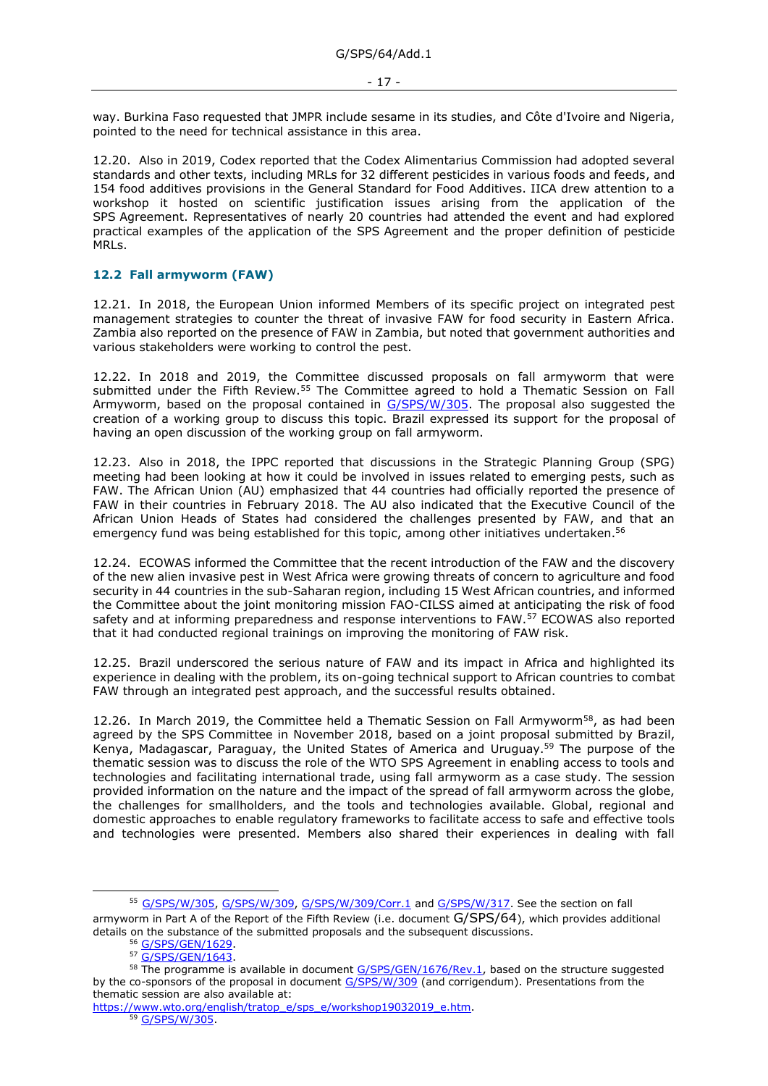way. Burkina Faso requested that JMPR include sesame in its studies, and Côte d'Ivoire and Nigeria, pointed to the need for technical assistance in this area.

12.20. Also in 2019, Codex reported that the Codex Alimentarius Commission had adopted several standards and other texts, including MRLs for 32 different pesticides in various foods and feeds, and 154 food additives provisions in the General Standard for Food Additives. IICA drew attention to a workshop it hosted on scientific justification issues arising from the application of the SPS Agreement. Representatives of nearly 20 countries had attended the event and had explored practical examples of the application of the SPS Agreement and the proper definition of pesticide MRLs.

## <span id="page-16-0"></span>**12.2 Fall armyworm (FAW)**

12.21. In 2018, the European Union informed Members of its specific project on integrated pest management strategies to counter the threat of invasive FAW for food security in Eastern Africa. Zambia also reported on the presence of FAW in Zambia, but noted that government authorities and various stakeholders were working to control the pest.

12.22. In 2018 and 2019, the Committee discussed proposals on fall armyworm that were submitted under the Fifth Review.<sup>55</sup> The Committee agreed to hold a Thematic Session on Fall Armyworm, based on the proposal contained in [G/SPS/W/305.](https://docs.wto.org/dol2fe/Pages/FE_Search/FE_S_S006.aspx?DataSource=Cat&query=@Symbol=%22G/SPS/W/305%22%20OR%20@Symbol=%22G/SPS/W/305/*%22&Language=English&Context=ScriptedSearches&languageUIChanged=true) The proposal also suggested the creation of a working group to discuss this topic. Brazil expressed its support for the proposal of having an open discussion of the working group on fall armyworm.

12.23. Also in 2018, the IPPC reported that discussions in the Strategic Planning Group (SPG) meeting had been looking at how it could be involved in issues related to emerging pests, such as FAW. The African Union (AU) emphasized that 44 countries had officially reported the presence of FAW in their countries in February 2018. The AU also indicated that the Executive Council of the African Union Heads of States had considered the challenges presented by FAW, and that an emergency fund was being established for this topic, among other initiatives undertaken.<sup>56</sup>

12.24. ECOWAS informed the Committee that the recent introduction of the FAW and the discovery of the new alien invasive pest in West Africa were growing threats of concern to agriculture and food security in 44 countries in the sub-Saharan region, including 15 West African countries, and informed the Committee about the joint monitoring mission FAO-CILSS aimed at anticipating the risk of food safety and at informing preparedness and response interventions to FAW.<sup>57</sup> ECOWAS also reported that it had conducted regional trainings on improving the monitoring of FAW risk.

12.25. Brazil underscored the serious nature of FAW and its impact in Africa and highlighted its experience in dealing with the problem, its on-going technical support to African countries to combat FAW through an integrated pest approach, and the successful results obtained.

12.26. In March 2019, the Committee held a Thematic Session on Fall Armyworm<sup>58</sup>, as had been agreed by the SPS Committee in November 2018, based on a joint proposal submitted by Brazil, Kenya, Madagascar, Paraguay, the United States of America and Uruguay.<sup>59</sup> The purpose of the thematic session was to discuss the role of the WTO SPS Agreement in enabling access to tools and technologies and facilitating international trade, using fall armyworm as a case study. The session provided information on the nature and the impact of the spread of fall armyworm across the globe, the challenges for smallholders, and the tools and technologies available. Global, regional and domestic approaches to enable regulatory frameworks to facilitate access to safe and effective tools and technologies were presented. Members also shared their experiences in dealing with fall

<sup>55</sup> [G/SPS/W/305,](https://docs.wto.org/dol2fe/Pages/FE_Search/FE_S_S006.aspx?DataSource=Cat&query=@Symbol=%22G/SPS/W/305%22%20OR%20@Symbol=%22G/SPS/W/305/*%22&Language=English&Context=ScriptedSearches&languageUIChanged=true) [G/SPS/W/309,](https://docs.wto.org/dol2fe/Pages/FE_Search/FE_S_S006.aspx?DataSource=Cat&query=@Symbol=%22G/SPS/W/309%22%20OR%20@Symbol=%22G/SPS/W/309/*%22&Language=English&Context=ScriptedSearches&languageUIChanged=true) [G/SPS/W/309/Corr.1](https://docs.wto.org/dol2fe/Pages/FE_Search/FE_S_S006.aspx?DataSource=Cat&query=@Symbol=%22G/SPS/W/309/Corr.1%22%20OR%20@Symbol=%22G/SPS/W/309/Corr.1/*%22&Language=English&Context=ScriptedSearches&languageUIChanged=true) and [G/SPS/W/317.](https://docs.wto.org/dol2fe/Pages/FE_Search/FE_S_S006.aspx?DataSource=Cat&query=@Symbol=%22G/SPS/W/317%22%20OR%20@Symbol=%22G/SPS/W/317/*%22&Language=English&Context=ScriptedSearches&languageUIChanged=true) See the section on fall armyworm in Part A of the Report of the Fifth Review (i.e. document G/SPS/64), which provides additional details on the substance of the submitted proposals and the subsequent discussions.

<sup>56</sup> [G/SPS/GEN/1629.](https://docs.wto.org/dol2fe/Pages/FE_Search/FE_S_S006.aspx?DataSource=Cat&query=@Symbol=%22G/SPS/GEN/1629%22%20OR%20@Symbol=%22G/SPS/GEN/1629/*%22&Language=English&Context=ScriptedSearches&languageUIChanged=true)

<sup>57</sup> [G/SPS/GEN/1643.](https://docs.wto.org/dol2fe/Pages/FE_Search/FE_S_S006.aspx?DataSource=Cat&query=@Symbol=%22G/SPS/GEN/1643%22%20OR%20@Symbol=%22G/SPS/GEN/1643/*%22&Language=English&Context=ScriptedSearches&languageUIChanged=true)

<sup>&</sup>lt;sup>58</sup> The programme is available in document [G/SPS/GEN/1676/Rev.1,](https://docs.wto.org/dol2fe/Pages/FE_Search/FE_S_S006.aspx?DataSource=Cat&query=@Symbol=%22G/SPS/GEN/1676/Rev.1%22%20OR%20@Symbol=%22G/SPS/GEN/1676/Rev.1/*%22&Language=English&Context=ScriptedSearches&languageUIChanged=true) based on the structure suggested by the co-sponsors of the proposal in document [G/SPS/W/309](https://docs.wto.org/dol2fe/Pages/FE_Search/FE_S_S006.aspx?DataSource=Cat&query=@Symbol=%22G/SPS/W/309%22%20OR%20@Symbol=%22G/SPS/W/309/*%22&Language=English&Context=ScriptedSearches&languageUIChanged=true) (and corrigendum). Presentations from the thematic session are also available at:

[https://www.wto.org/english/tratop\\_e/sps\\_e/workshop19032019\\_e.htm.](https://www.wto.org/english/tratop_e/sps_e/workshop19032019_e.htm)

<sup>59</sup> [G/SPS/W/305.](https://docs.wto.org/dol2fe/Pages/FE_Search/FE_S_S006.aspx?DataSource=Cat&query=@Symbol=%22G/SPS/W/305%22%20OR%20@Symbol=%22G/SPS/W/305/*%22&Language=English&Context=ScriptedSearches&languageUIChanged=true)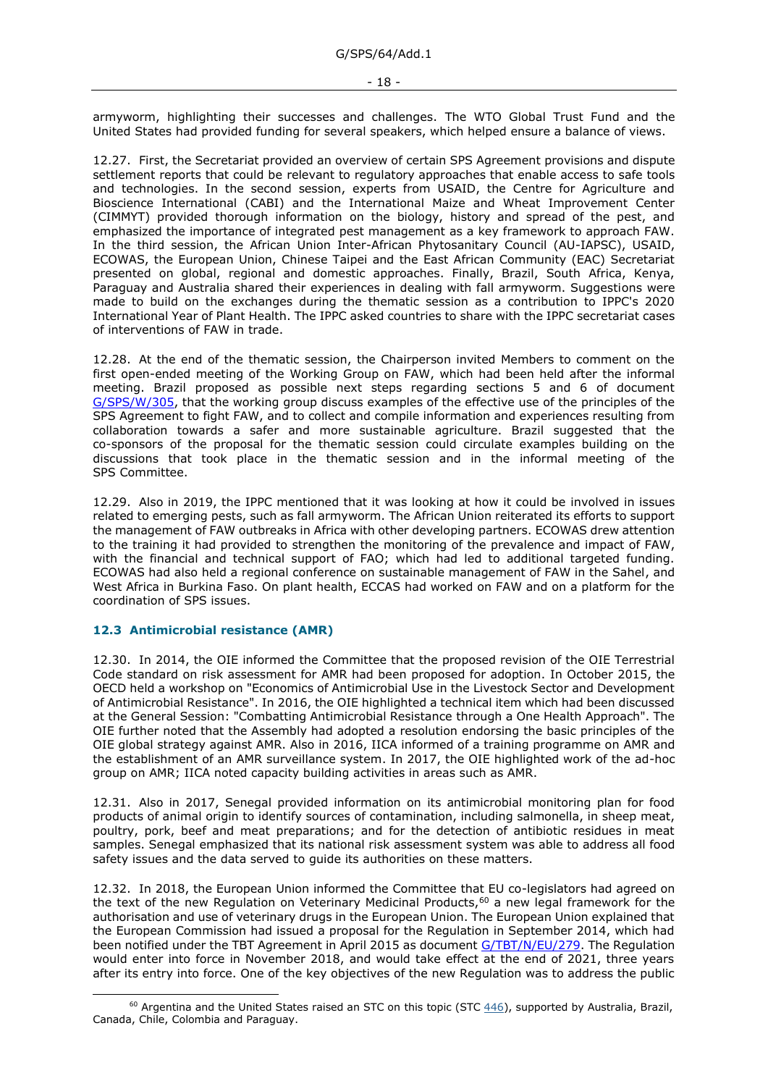armyworm, highlighting their successes and challenges. The WTO Global Trust Fund and the United States had provided funding for several speakers, which helped ensure a balance of views.

12.27. First, the Secretariat provided an overview of certain SPS Agreement provisions and dispute settlement reports that could be relevant to regulatory approaches that enable access to safe tools and technologies. In the second session, experts from USAID, the Centre for Agriculture and Bioscience International (CABI) and the International Maize and Wheat Improvement Center (CIMMYT) provided thorough information on the biology, history and spread of the pest, and emphasized the importance of integrated pest management as a key framework to approach FAW. In the third session, the African Union Inter-African Phytosanitary Council (AU-IAPSC), USAID, ECOWAS, the European Union, Chinese Taipei and the East African Community (EAC) Secretariat presented on global, regional and domestic approaches. Finally, Brazil, South Africa, Kenya, Paraguay and Australia shared their experiences in dealing with fall armyworm. Suggestions were made to build on the exchanges during the thematic session as a contribution to IPPC's 2020 International Year of Plant Health. The IPPC asked countries to share with the IPPC secretariat cases of interventions of FAW in trade.

12.28. At the end of the thematic session, the Chairperson invited Members to comment on the first open-ended meeting of the Working Group on FAW, which had been held after the informal meeting. Brazil proposed as possible next steps regarding sections 5 and 6 of document [G/SPS/W/305,](https://docs.wto.org/dol2fe/Pages/FE_Search/FE_S_S006.aspx?DataSource=Cat&query=@Symbol=%22G/SPS/W/305%22%20OR%20@Symbol=%22G/SPS/W/305/*%22&Language=English&Context=ScriptedSearches&languageUIChanged=true) that the working group discuss examples of the effective use of the principles of the SPS Agreement to fight FAW, and to collect and compile information and experiences resulting from collaboration towards a safer and more sustainable agriculture. Brazil suggested that the co-sponsors of the proposal for the thematic session could circulate examples building on the discussions that took place in the thematic session and in the informal meeting of the SPS Committee.

12.29. Also in 2019, the IPPC mentioned that it was looking at how it could be involved in issues related to emerging pests, such as fall armyworm. The African Union reiterated its efforts to support the management of FAW outbreaks in Africa with other developing partners. ECOWAS drew attention to the training it had provided to strengthen the monitoring of the prevalence and impact of FAW, with the financial and technical support of FAO; which had led to additional targeted funding. ECOWAS had also held a regional conference on sustainable management of FAW in the Sahel, and West Africa in Burkina Faso. On plant health, ECCAS had worked on FAW and on a platform for the coordination of SPS issues.

### <span id="page-17-0"></span>**12.3 Antimicrobial resistance (AMR)**

12.30. In 2014, the OIE informed the Committee that the proposed revision of the OIE Terrestrial Code standard on risk assessment for AMR had been proposed for adoption. In October 2015, the OECD held a workshop on "Economics of Antimicrobial Use in the Livestock Sector and Development of Antimicrobial Resistance". In 2016, the OIE highlighted a technical item which had been discussed at the General Session: "Combatting Antimicrobial Resistance through a One Health Approach". The OIE further noted that the Assembly had adopted a resolution endorsing the basic principles of the OIE global strategy against AMR. Also in 2016, IICA informed of a training programme on AMR and the establishment of an AMR surveillance system. In 2017, the OIE highlighted work of the ad-hoc group on AMR; IICA noted capacity building activities in areas such as AMR.

12.31. Also in 2017, Senegal provided information on its antimicrobial monitoring plan for food products of animal origin to identify sources of contamination, including salmonella, in sheep meat, poultry, pork, beef and meat preparations; and for the detection of antibiotic residues in meat samples. Senegal emphasized that its national risk assessment system was able to address all food safety issues and the data served to guide its authorities on these matters.

12.32. In 2018, the European Union informed the Committee that EU co-legislators had agreed on the text of the new Regulation on Veterinary Medicinal Products,<sup>60</sup> a new legal framework for the authorisation and use of veterinary drugs in the European Union. The European Union explained that the European Commission had issued a proposal for the Regulation in September 2014, which had been notified under the TBT Agreement in April 2015 as document [G/TBT/N/EU/279.](https://docs.wto.org/dol2fe/Pages/FE_Search/FE_S_S006.aspx?DataSource=Cat&query=@Symbol=%22G/TBT/N/EU/279%22%20OR%20@Symbol=%22G/TBT/N/EU/279/*%22&Language=English&Context=ScriptedSearches&languageUIChanged=true) The Regulation would enter into force in November 2018, and would take effect at the end of 2021, three years after its entry into force. One of the key objectives of the new Regulation was to address the public

 $60$  Argentina and the United States raised an STC on this topic (STC [446\)](http://spsims.wto.org/en/SpecificTradeConcerns/View/446), supported by Australia, Brazil, Canada, Chile, Colombia and Paraguay.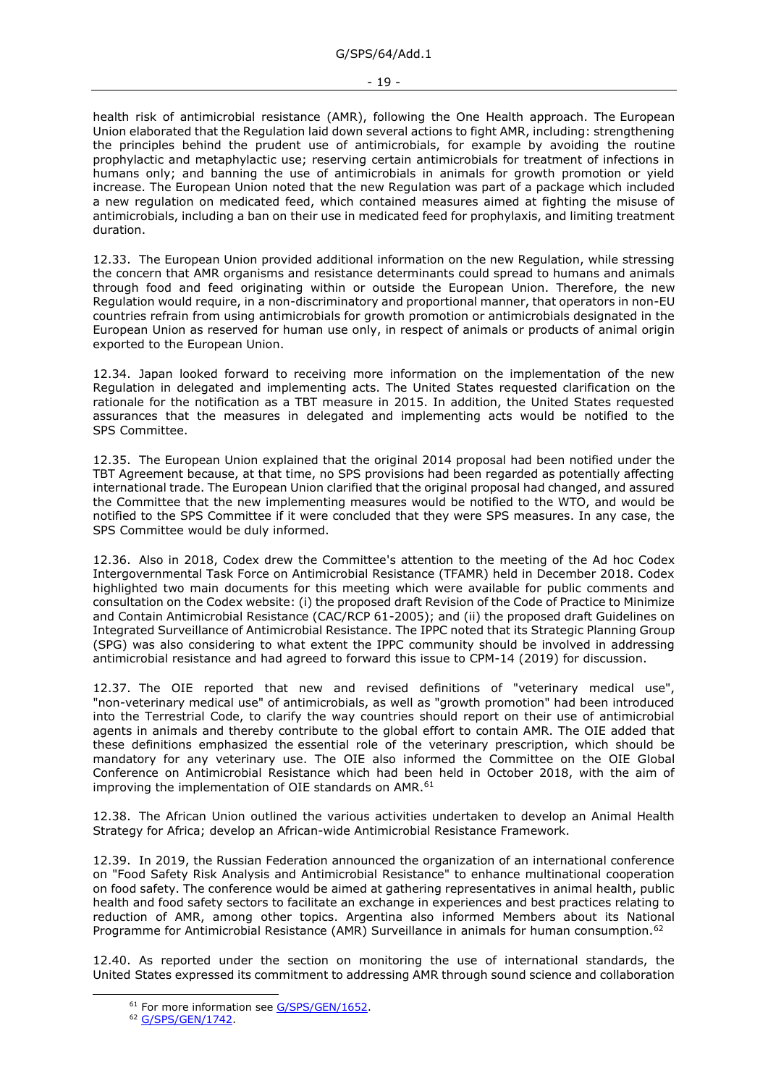health risk of antimicrobial resistance (AMR), following the One Health approach. The European Union elaborated that the Regulation laid down several actions to fight AMR, including: strengthening the principles behind the prudent use of antimicrobials, for example by avoiding the routine prophylactic and metaphylactic use; reserving certain antimicrobials for treatment of infections in humans only; and banning the use of antimicrobials in animals for growth promotion or yield increase. The European Union noted that the new Regulation was part of a package which included a new regulation on medicated feed, which contained measures aimed at fighting the misuse of antimicrobials, including a ban on their use in medicated feed for prophylaxis, and limiting treatment duration.

12.33. The European Union provided additional information on the new Regulation, while stressing the concern that AMR organisms and resistance determinants could spread to humans and animals through food and feed originating within or outside the European Union. Therefore, the new Regulation would require, in a non-discriminatory and proportional manner, that operators in non-EU countries refrain from using antimicrobials for growth promotion or antimicrobials designated in the European Union as reserved for human use only, in respect of animals or products of animal origin exported to the European Union.

12.34. Japan looked forward to receiving more information on the implementation of the new Regulation in delegated and implementing acts. The United States requested clarification on the rationale for the notification as a TBT measure in 2015. In addition, the United States requested assurances that the measures in delegated and implementing acts would be notified to the SPS Committee.

12.35. The European Union explained that the original 2014 proposal had been notified under the TBT Agreement because, at that time, no SPS provisions had been regarded as potentially affecting international trade. The European Union clarified that the original proposal had changed, and assured the Committee that the new implementing measures would be notified to the WTO, and would be notified to the SPS Committee if it were concluded that they were SPS measures. In any case, the SPS Committee would be duly informed.

12.36. Also in 2018, Codex drew the Committee's attention to the meeting of the Ad hoc Codex Intergovernmental Task Force on Antimicrobial Resistance (TFAMR) held in December 2018. Codex highlighted two main documents for this meeting which were available for public comments and consultation on the Codex website: (i) the proposed draft Revision of the Code of Practice to Minimize and Contain Antimicrobial Resistance (CAC/RCP 61-2005); and (ii) the proposed draft Guidelines on Integrated Surveillance of Antimicrobial Resistance. The IPPC noted that its Strategic Planning Group (SPG) was also considering to what extent the IPPC community should be involved in addressing antimicrobial resistance and had agreed to forward this issue to CPM-14 (2019) for discussion.

12.37. The OIE reported that new and revised definitions of "veterinary medical use", "non-veterinary medical use" of antimicrobials, as well as "growth promotion" had been introduced into the Terrestrial Code, to clarify the way countries should report on their use of antimicrobial agents in animals and thereby contribute to the global effort to contain AMR. The OIE added that these definitions emphasized the essential role of the veterinary prescription, which should be mandatory for any veterinary use. The OIE also informed the Committee on the OIE Global Conference on Antimicrobial Resistance which had been held in October 2018, with the aim of improving the implementation of OIE standards on AMR.<sup>61</sup>

12.38. The African Union outlined the various activities undertaken to develop an Animal Health Strategy for Africa; develop an African-wide Antimicrobial Resistance Framework.

12.39. In 2019, the Russian Federation announced the organization of an international conference on "Food Safety Risk Analysis and Antimicrobial Resistance" to enhance multinational cooperation on food safety. The conference would be aimed at gathering representatives in animal health, public health and food safety sectors to facilitate an exchange in experiences and best practices relating to reduction of AMR, among other topics. Argentina also informed Members about its National Programme for Antimicrobial Resistance (AMR) Surveillance in animals for human consumption.<sup>62</sup>

12.40. As reported under the section on monitoring the use of international standards, the United States expressed its commitment to addressing AMR through sound science and collaboration

<sup>&</sup>lt;sup>61</sup> For more information see [G/SPS/GEN/1652.](https://docs.wto.org/dol2fe/Pages/FE_Search/FE_S_S006.aspx?DataSource=Cat&query=@Symbol=%22G/SPS/GEN/1652%22%20OR%20@Symbol=%22G/SPS/GEN/1652/*%22&Language=English&Context=ScriptedSearches&languageUIChanged=true)

<sup>62</sup> [G/SPS/GEN/1742.](https://docs.wto.org/dol2fe/Pages/FE_Search/FE_S_S006.aspx?DataSource=Cat&query=@Symbol=%22G/SPS/GEN/1742%22%20OR%20@Symbol=%22G/SPS/GEN/1742/*%22&Language=English&Context=ScriptedSearches&languageUIChanged=true)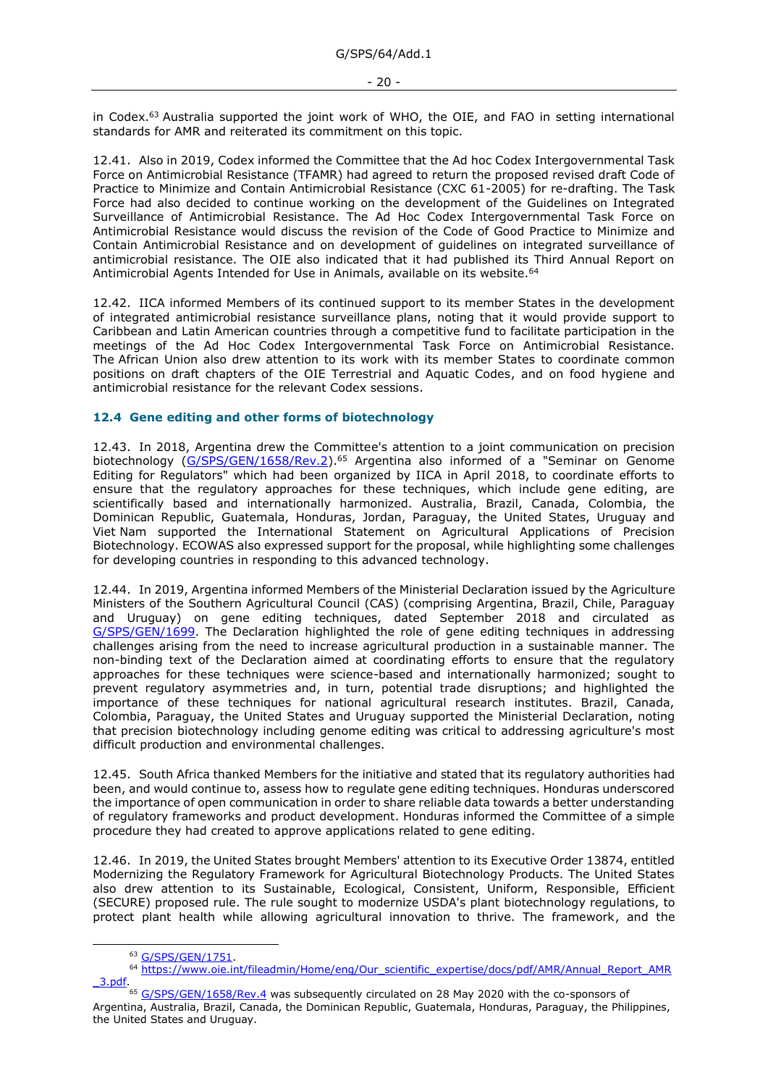in Codex.<sup>63</sup> Australia supported the joint work of WHO, the OIE, and FAO in setting international standards for AMR and reiterated its commitment on this topic.

12.41. Also in 2019, Codex informed the Committee that the Ad hoc Codex Intergovernmental Task Force on Antimicrobial Resistance (TFAMR) had agreed to return the proposed revised draft Code of Practice to Minimize and Contain Antimicrobial Resistance (CXC 61-2005) for re-drafting. The Task Force had also decided to continue working on the development of the Guidelines on Integrated Surveillance of Antimicrobial Resistance. The Ad Hoc Codex Intergovernmental Task Force on Antimicrobial Resistance would discuss the revision of the Code of Good Practice to Minimize and Contain Antimicrobial Resistance and on development of guidelines on integrated surveillance of antimicrobial resistance. The OIE also indicated that it had published its Third Annual Report on Antimicrobial Agents Intended for Use in Animals, available on its website.<sup>64</sup>

12.42. IICA informed Members of its continued support to its member States in the development of integrated antimicrobial resistance surveillance plans, noting that it would provide support to Caribbean and Latin American countries through a competitive fund to facilitate participation in the meetings of the Ad Hoc Codex Intergovernmental Task Force on Antimicrobial Resistance. The African Union also drew attention to its work with its member States to coordinate common positions on draft chapters of the OIE Terrestrial and Aquatic Codes, and on food hygiene and antimicrobial resistance for the relevant Codex sessions.

### <span id="page-19-0"></span>**12.4 Gene editing and other forms of biotechnology**

12.43. In 2018, Argentina drew the Committee's attention to a joint communication on precision biotechnology [\(G/SPS/GEN/1658/Rev.2\)](https://docs.wto.org/dol2fe/Pages/FE_Search/FE_S_S006.aspx?MetaCollection=WTO&SymbolList=%22G%2fSPS%2fGEN%2f1658%2fRev.2%22+OR+%22G%2fSPS%2fGEN%2f1658%2fRev.2%2f*%22&Serial=&IssuingDateFrom=&IssuingDateTo=&CATTITLE=&ConcernedCountryList=&OtherCountryList=&SubjectList=&TypeList=&FullTextHash=371857150&ProductList=&BodyList=&OrganizationList=&ArticleList=&Contents=&CollectionList=&RestrictionTypeName=&PostingDateFrom=&PostingDateTo=&DerestrictionDateFrom=&DerestrictionDateTo=&ReferenceList=&Language=ENGLISH&SearchPage=FE_S_S001&ActiveTabIndex=0&HSClassificationList=&ServicesClassificationList=&EnvironmentClassificationList=&ICSClassificationList=&ICSClassificationDescList:EnvironmentClassificationDescList:ServicesClassificationDescList:HSClassificationDescList=&languageUIChanged=true).<sup>65</sup> Argentina also informed of a "Seminar on Genome Editing for Regulators" which had been organized by IICA in April 2018, to coordinate efforts to ensure that the regulatory approaches for these techniques, which include gene editing, are scientifically based and internationally harmonized. Australia, Brazil, Canada, Colombia, the Dominican Republic, Guatemala, Honduras, Jordan, Paraguay, the United States, Uruguay and Viet Nam supported the International Statement on Agricultural Applications of Precision Biotechnology. ECOWAS also expressed support for the proposal, while highlighting some challenges for developing countries in responding to this advanced technology.

12.44. In 2019, Argentina informed Members of the Ministerial Declaration issued by the Agriculture Ministers of the Southern Agricultural Council (CAS) (comprising Argentina, Brazil, Chile, Paraguay and Uruguay) on gene editing techniques, dated September 2018 and circulated as [G/SPS/GEN/1699.](https://docs.wto.org/dol2fe/Pages/FE_Search/FE_S_S006.aspx?DataSource=Cat&query=@Symbol=%22G/SPS/GEN/1699%22%20OR%20@Symbol=%22G/SPS/GEN/1699/*%22&Language=English&Context=ScriptedSearches&languageUIChanged=true) The Declaration highlighted the role of gene editing techniques in addressing challenges arising from the need to increase agricultural production in a sustainable manner. The non-binding text of the Declaration aimed at coordinating efforts to ensure that the regulatory approaches for these techniques were science-based and internationally harmonized; sought to prevent regulatory asymmetries and, in turn, potential trade disruptions; and highlighted the importance of these techniques for national agricultural research institutes. Brazil, Canada, Colombia, Paraguay, the United States and Uruguay supported the Ministerial Declaration, noting that precision biotechnology including genome editing was critical to addressing agriculture's most difficult production and environmental challenges.

12.45. South Africa thanked Members for the initiative and stated that its regulatory authorities had been, and would continue to, assess how to regulate gene editing techniques. Honduras underscored the importance of open communication in order to share reliable data towards a better understanding of regulatory frameworks and product development. Honduras informed the Committee of a simple procedure they had created to approve applications related to gene editing.

12.46. In 2019, the United States brought Members' attention to its Executive Order 13874, entitled Modernizing the Regulatory Framework for Agricultural Biotechnology Products. The United States also drew attention to its Sustainable, Ecological, Consistent, Uniform, Responsible, Efficient (SECURE) proposed rule. The rule sought to modernize USDA's plant biotechnology regulations, to protect plant health while allowing agricultural innovation to thrive. The framework, and the

<sup>63</sup> [G/SPS/GEN/1751.](https://docs.wto.org/dol2fe/Pages/FE_Search/FE_S_S006.aspx?DataSource=Cat&query=@Symbol=%22G/SPS/GEN/1751%22%20OR%20@Symbol=%22G/SPS/GEN/1751/*%22&Language=English&Context=ScriptedSearches&languageUIChanged=true)

<sup>&</sup>lt;sup>64</sup> [https://www.oie.int/fileadmin/Home/eng/Our\\_scientific\\_expertise/docs/pdf/AMR/Annual\\_Report\\_AMR](https://www.oie.int/fileadmin/Home/eng/Our_scientific_expertise/docs/pdf/AMR/Annual_Report_AMR_3.pdf) [\\_3.pdf.](https://www.oie.int/fileadmin/Home/eng/Our_scientific_expertise/docs/pdf/AMR/Annual_Report_AMR_3.pdf)

<sup>&</sup>lt;sup>65</sup> [G/SPS/GEN/1658/Rev.4](https://docs.wto.org/dol2fe/Pages/FE_Search/FE_S_S006.aspx?MetaCollection=WTO&SymbolList=%22G%2fSPS%2fGEN%2f1658%2fRev.4%22+OR+%22G%2fSPS%2fGEN%2f1658%2fRev.4%2f*%22&Serial=&IssuingDateFrom=&IssuingDateTo=&CATTITLE=&ConcernedCountryList=&OtherCountryList=&SubjectList=&TypeList=&FullTextHash=371857150&ProductList=&BodyList=&OrganizationList=&ArticleList=&Contents=&CollectionList=&RestrictionTypeName=&PostingDateFrom=&PostingDateTo=&DerestrictionDateFrom=&DerestrictionDateTo=&ReferenceList=&Language=ENGLISH&SearchPage=FE_S_S001&ActiveTabIndex=0&HSClassificationList=&ServicesClassificationList=&EnvironmentClassificationList=&ICSClassificationList=&ICSClassificationDescList:EnvironmentClassificationDescList:ServicesClassificationDescList:HSClassificationDescList=&languageUIChanged=true) was subsequently circulated on 28 May 2020 with the co-sponsors of Argentina, Australia, Brazil, Canada, the Dominican Republic, Guatemala, Honduras, Paraguay, the Philippines, the United States and Uruguay.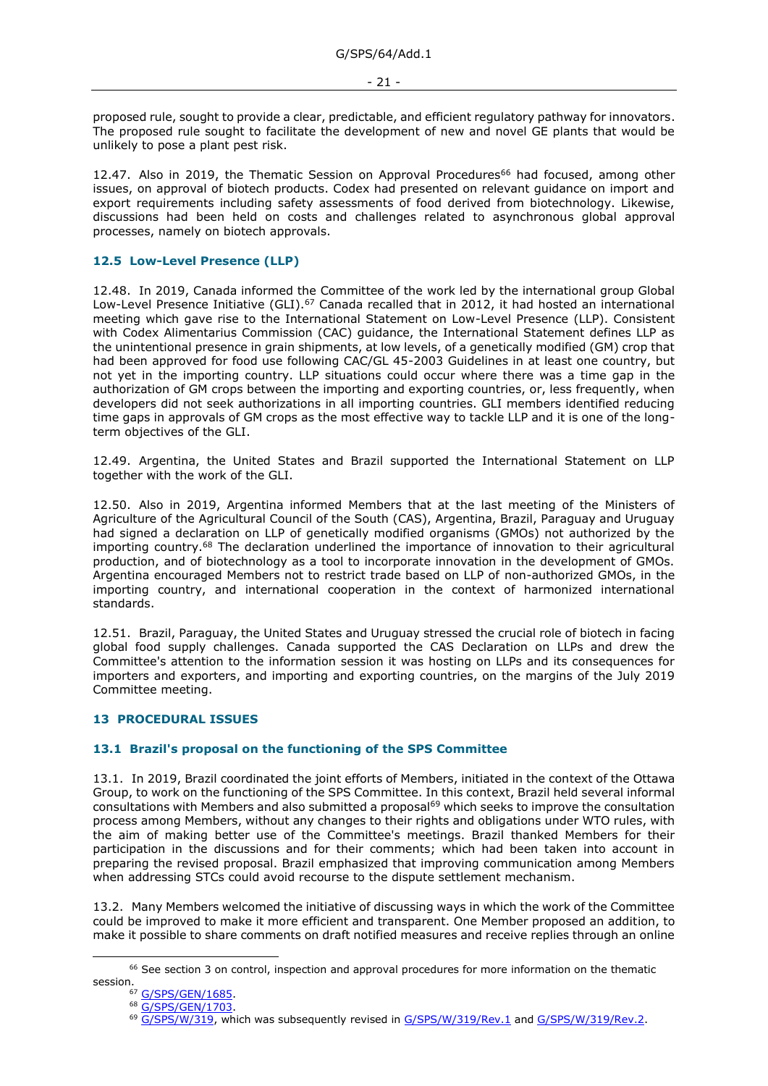proposed rule, sought to provide a clear, predictable, and efficient regulatory pathway for innovators. The proposed rule sought to facilitate the development of new and novel GE plants that would be unlikely to pose a plant pest risk.

12.47. Also in 2019, the Thematic Session on Approval Procedures<sup>66</sup> had focused, among other issues, on approval of biotech products. Codex had presented on relevant guidance on import and export requirements including safety assessments of food derived from biotechnology. Likewise, discussions had been held on costs and challenges related to asynchronous global approval processes, namely on biotech approvals.

## <span id="page-20-0"></span>**12.5 Low-Level Presence (LLP)**

12.48. In 2019, Canada informed the Committee of the work led by the international group Global Low-Level Presence Initiative (GLI).<sup>67</sup> Canada recalled that in 2012, it had hosted an international meeting which gave rise to the International Statement on Low-Level Presence (LLP). Consistent with Codex Alimentarius Commission (CAC) guidance, the International Statement defines LLP as the unintentional presence in grain shipments, at low levels, of a genetically modified (GM) crop that had been approved for food use following CAC/GL 45-2003 Guidelines in at least one country, but not yet in the importing country. LLP situations could occur where there was a time gap in the authorization of GM crops between the importing and exporting countries, or, less frequently, when developers did not seek authorizations in all importing countries. GLI members identified reducing time gaps in approvals of GM crops as the most effective way to tackle LLP and it is one of the longterm objectives of the GLI.

12.49. Argentina, the United States and Brazil supported the International Statement on LLP together with the work of the GLI.

12.50. Also in 2019, Argentina informed Members that at the last meeting of the Ministers of Agriculture of the Agricultural Council of the South (CAS), Argentina, Brazil, Paraguay and Uruguay had signed a declaration on LLP of genetically modified organisms (GMOs) not authorized by the importing country.<sup>68</sup> The declaration underlined the importance of innovation to their agricultural production, and of biotechnology as a tool to incorporate innovation in the development of GMOs. Argentina encouraged Members not to restrict trade based on LLP of non-authorized GMOs, in the importing country, and international cooperation in the context of harmonized international standards.

12.51. Brazil, Paraguay, the United States and Uruguay stressed the crucial role of biotech in facing global food supply challenges. Canada supported the CAS Declaration on LLPs and drew the Committee's attention to the information session it was hosting on LLPs and its consequences for importers and exporters, and importing and exporting countries, on the margins of the July 2019 Committee meeting.

### <span id="page-20-1"></span>**13 PROCEDURAL ISSUES**

### <span id="page-20-2"></span>**13.1 Brazil's proposal on the functioning of the SPS Committee**

13.1. In 2019, Brazil coordinated the joint efforts of Members, initiated in the context of the Ottawa Group, to work on the functioning of the SPS Committee. In this context, Brazil held several informal consultations with Members and also submitted a proposal<sup>69</sup> which seeks to improve the consultation process among Members, without any changes to their rights and obligations under WTO rules, with the aim of making better use of the Committee's meetings. Brazil thanked Members for their participation in the discussions and for their comments; which had been taken into account in preparing the revised proposal. Brazil emphasized that improving communication among Members when addressing STCs could avoid recourse to the dispute settlement mechanism.

13.2. Many Members welcomed the initiative of discussing ways in which the work of the Committee could be improved to make it more efficient and transparent. One Member proposed an addition, to make it possible to share comments on draft notified measures and receive replies through an online

<sup>&</sup>lt;sup>66</sup> See section 3 on control, inspection and approval procedures for more information on the thematic session.

<sup>67</sup> [G/SPS/GEN/1685.](https://docs.wto.org/dol2fe/Pages/FE_Search/FE_S_S006.aspx?DataSource=Cat&query=@Symbol=%22G/SPS/GEN/1685%22%20OR%20@Symbol=%22G/SPS/GEN/1685/*%22&Language=English&Context=ScriptedSearches&languageUIChanged=true)

<sup>68</sup> [G/SPS/GEN/1703.](https://docs.wto.org/dol2fe/Pages/FE_Search/FE_S_S006.aspx?DataSource=Cat&query=@Symbol=%22G/SPS/GEN/1703%22%20OR%20@Symbol=%22G/SPS/GEN/1703/*%22&Language=English&Context=ScriptedSearches&languageUIChanged=true)

<sup>&</sup>lt;sup>69</sup> [G/SPS/W/319,](https://docs.wto.org/dol2fe/Pages/FE_Search/FE_S_S006.aspx?DataSource=Cat&query=@Symbol=%22G/SPS/W/319%22%20OR%20@Symbol=%22G/SPS/W/319/*%22&Language=English&Context=ScriptedSearches&languageUIChanged=true) which was subsequently revised in [G/SPS/W/319/Rev.1](https://docs.wto.org/dol2fe/Pages/FE_Search/FE_S_S006.aspx?DataSource=Cat&query=@Symbol=%22G/SPS/W/319/Rev.1%22%20OR%20@Symbol=%22G/SPS/W/319/Rev.1/*%22&Language=English&Context=ScriptedSearches&languageUIChanged=true) and [G/SPS/W/319/Rev.2.](https://docs.wto.org/dol2fe/Pages/FE_Search/FE_S_S006.aspx?DataSource=Cat&query=@Symbol=%22G/SPS/W/319/Rev.2%22%20OR%20@Symbol=%22G/SPS/W/319/Rev.2/*%22&Language=English&Context=ScriptedSearches&languageUIChanged=true)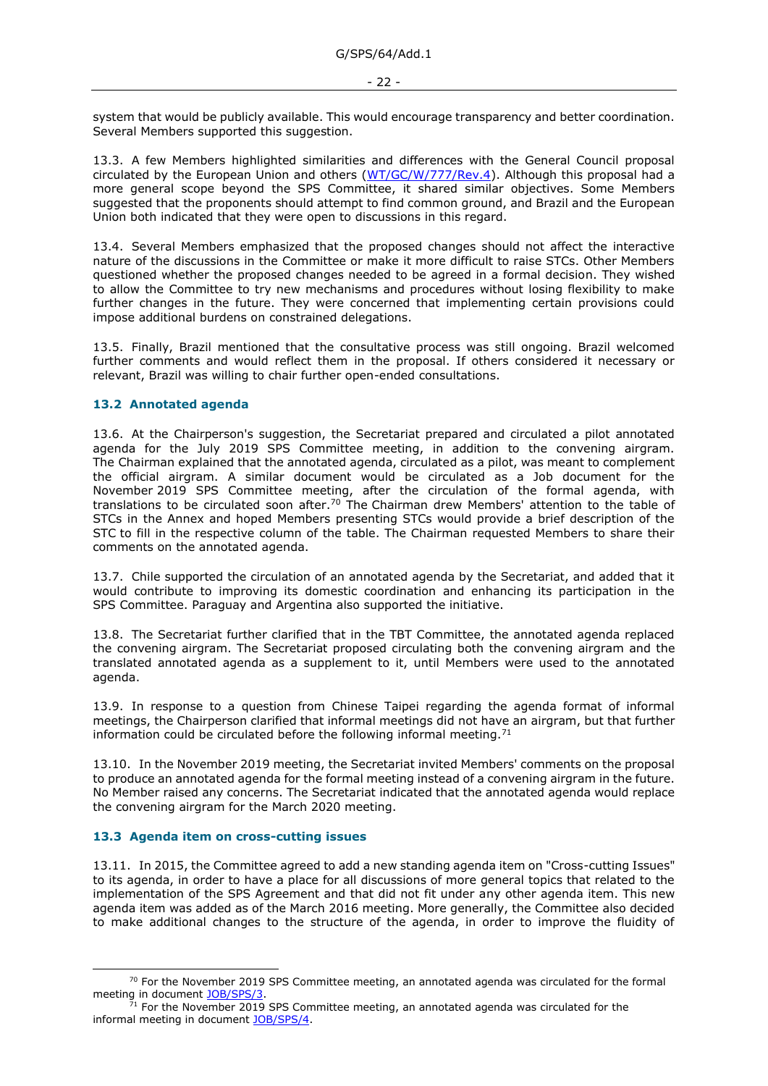system that would be publicly available. This would encourage transparency and better coordination. Several Members supported this suggestion.

13.3. A few Members highlighted similarities and differences with the General Council proposal circulated by the European Union and others [\(WT/GC/W/777/Rev.4\)](https://docs.wto.org/dol2fe/Pages/FE_Search/FE_S_S006.aspx?MetaCollection=WTO&SymbolList=%22WT%2fGC%2fW%2f777%2fRev.4%22+OR+%22WT%2fGC%2fW%2f777%2fRev.4%2f*%22&Serial=&IssuingDateFrom=&IssuingDateTo=&CATTITLE=&ConcernedCountryList=&OtherCountryList=&SubjectList=&TypeList=&FullTextHash=371857150&ProductList=&BodyList=&OrganizationList=&ArticleList=&Contents=&CollectionList=&RestrictionTypeName=&PostingDateFrom=&PostingDateTo=&DerestrictionDateFrom=&DerestrictionDateTo=&ReferenceList=&Language=ENGLISH&SearchPage=FE_S_S001&ActiveTabIndex=0&languageUIChanged=true). Although this proposal had a more general scope beyond the SPS Committee, it shared similar objectives. Some Members suggested that the proponents should attempt to find common ground, and Brazil and the European Union both indicated that they were open to discussions in this regard.

13.4. Several Members emphasized that the proposed changes should not affect the interactive nature of the discussions in the Committee or make it more difficult to raise STCs. Other Members questioned whether the proposed changes needed to be agreed in a formal decision. They wished to allow the Committee to try new mechanisms and procedures without losing flexibility to make further changes in the future. They were concerned that implementing certain provisions could impose additional burdens on constrained delegations.

13.5. Finally, Brazil mentioned that the consultative process was still ongoing. Brazil welcomed further comments and would reflect them in the proposal. If others considered it necessary or relevant, Brazil was willing to chair further open-ended consultations.

### <span id="page-21-0"></span>**13.2 Annotated agenda**

13.6. At the Chairperson's suggestion, the Secretariat prepared and circulated a pilot annotated agenda for the July 2019 SPS Committee meeting, in addition to the convening airgram. The Chairman explained that the annotated agenda, circulated as a pilot, was meant to complement the official airgram. A similar document would be circulated as a Job document for the November 2019 SPS Committee meeting, after the circulation of the formal agenda, with translations to be circulated soon after.<sup>70</sup> The Chairman drew Members' attention to the table of STCs in the Annex and hoped Members presenting STCs would provide a brief description of the STC to fill in the respective column of the table. The Chairman requested Members to share their comments on the annotated agenda.

13.7. Chile supported the circulation of an annotated agenda by the Secretariat, and added that it would contribute to improving its domestic coordination and enhancing its participation in the SPS Committee. Paraguay and Argentina also supported the initiative.

13.8. The Secretariat further clarified that in the TBT Committee, the annotated agenda replaced the convening airgram. The Secretariat proposed circulating both the convening airgram and the translated annotated agenda as a supplement to it, until Members were used to the annotated agenda.

13.9. In response to a question from Chinese Taipei regarding the agenda format of informal meetings, the Chairperson clarified that informal meetings did not have an airgram, but that further information could be circulated before the following informal meeting.<sup>71</sup>

13.10. In the November 2019 meeting, the Secretariat invited Members' comments on the proposal to produce an annotated agenda for the formal meeting instead of a convening airgram in the future. No Member raised any concerns. The Secretariat indicated that the annotated agenda would replace the convening airgram for the March 2020 meeting.

### <span id="page-21-1"></span>**13.3 Agenda item on cross-cutting issues**

13.11. In 2015, the Committee agreed to add a new standing agenda item on "Cross-cutting Issues" to its agenda, in order to have a place for all discussions of more general topics that related to the implementation of the SPS Agreement and that did not fit under any other agenda item. This new agenda item was added as of the March 2016 meeting. More generally, the Committee also decided to make additional changes to the structure of the agenda, in order to improve the fluidity of

 $70$  For the November 2019 SPS Committee meeting, an annotated agenda was circulated for the formal meeting in document [JOB/SPS/3.](https://docs.wto.org/dol2fe/Pages/FE_Search/FE_S_S006.aspx?DataSource=Cat&query=@Symbol=%22JOB/SPS/3%22%20OR%20@Symbol=%22JOB/SPS/3*%22&Language=English&Context=ScriptedSearches&languageUIChanged=true)

 $\frac{1}{71}$  For the November 2019 SPS Committee meeting, an annotated agenda was circulated for the informal meeting in document [JOB/SPS/4.](https://docs.wto.org/dol2fe/Pages/FE_Search/FE_S_S006.aspx?DataSource=Cat&query=@Symbol=%22JOB/SPS/4%22%20OR%20@Symbol=%22JOB/SPS/4*%22&Language=English&Context=ScriptedSearches&languageUIChanged=true)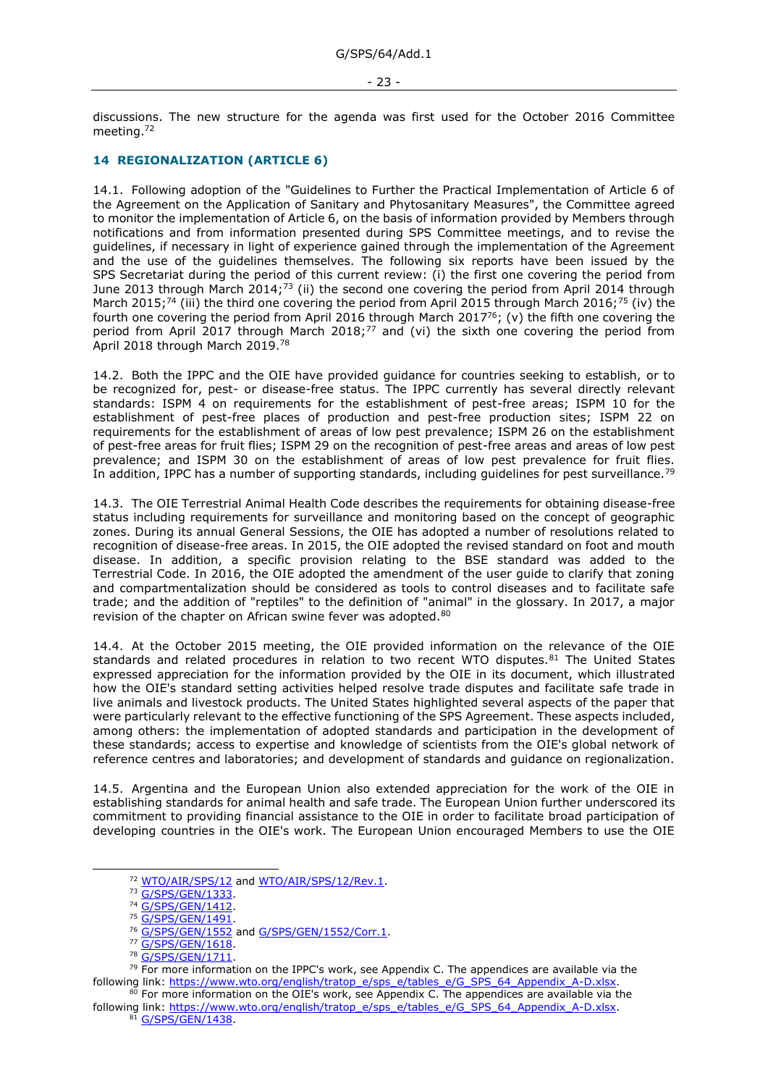discussions. The new structure for the agenda was first used for the October 2016 Committee meeting.<sup>72</sup>

# <span id="page-22-0"></span>**14 REGIONALIZATION (ARTICLE 6)**

14.1. Following adoption of the "Guidelines to Further the Practical Implementation of Article 6 of the Agreement on the Application of Sanitary and Phytosanitary Measures", the Committee agreed to monitor the implementation of Article 6, on the basis of information provided by Members through notifications and from information presented during SPS Committee meetings, and to revise the guidelines, if necessary in light of experience gained through the implementation of the Agreement and the use of the guidelines themselves. The following six reports have been issued by the SPS Secretariat during the period of this current review: (i) the first one covering the period from June 2013 through March 2014;<sup>73</sup> (ii) the second one covering the period from April 2014 through March 2015;<sup>74</sup> (iii) the third one covering the period from April 2015 through March 2016;<sup>75</sup> (iv) the fourth one covering the period from April 2016 through March 2017<sup>76</sup>; (v) the fifth one covering the period from April 2017 through March 2018;<sup>77</sup> and (vi) the sixth one covering the period from April 2018 through March 2019.<sup>78</sup>

14.2. Both the IPPC and the OIE have provided guidance for countries seeking to establish, or to be recognized for, pest- or disease-free status. The IPPC currently has several directly relevant standards: ISPM 4 on requirements for the establishment of pest-free areas; ISPM 10 for the establishment of pest-free places of production and pest-free production sites; ISPM 22 on requirements for the establishment of areas of low pest prevalence; ISPM 26 on the establishment of pest-free areas for fruit flies; ISPM 29 on the recognition of pest-free areas and areas of low pest prevalence; and ISPM 30 on the establishment of areas of low pest prevalence for fruit flies. In addition, IPPC has a number of supporting standards, including quidelines for pest surveillance.<sup>79</sup>

14.3. The OIE Terrestrial Animal Health Code describes the requirements for obtaining disease-free status including requirements for surveillance and monitoring based on the concept of geographic zones. During its annual General Sessions, the OIE has adopted a number of resolutions related to recognition of disease-free areas. In 2015, the OIE adopted the revised standard on foot and mouth disease. In addition, a specific provision relating to the BSE standard was added to the Terrestrial Code. In 2016, the OIE adopted the amendment of the user guide to clarify that zoning and compartmentalization should be considered as tools to control diseases and to facilitate safe trade; and the addition of "reptiles" to the definition of "animal" in the glossary. In 2017, a major revision of the chapter on African swine fever was adopted.<sup>80</sup>

14.4. At the October 2015 meeting, the OIE provided information on the relevance of the OIE standards and related procedures in relation to two recent WTO disputes.<sup>81</sup> The United States expressed appreciation for the information provided by the OIE in its document, which illustrated how the OIE's standard setting activities helped resolve trade disputes and facilitate safe trade in live animals and livestock products. The United States highlighted several aspects of the paper that were particularly relevant to the effective functioning of the SPS Agreement. These aspects included, among others: the implementation of adopted standards and participation in the development of these standards; access to expertise and knowledge of scientists from the OIE's global network of reference centres and laboratories; and development of standards and guidance on regionalization.

14.5. Argentina and the European Union also extended appreciation for the work of the OIE in establishing standards for animal health and safe trade. The European Union further underscored its commitment to providing financial assistance to the OIE in order to facilitate broad participation of developing countries in the OIE's work. The European Union encouraged Members to use the OIE

<sup>&</sup>lt;sup>72</sup> [WTO/AIR/SPS/12](https://docs.wto.org/dol2fe/Pages/FE_Search/FE_S_S006.aspx?DataSource=Cat&query=@Symbol=%22WTO/AIR/SPS/12%22%20OR%20@Symbol=%22WTO/AIR/SPS/12/*%22&Language=English&Context=ScriptedSearches&languageUIChanged=true) and [WTO/AIR/SPS/12/Rev.1.](https://docs.wto.org/dol2fe/Pages/FE_Search/FE_S_S006.aspx?DataSource=Cat&query=@Symbol=%22WTO/AIR/SPS/12%22%20OR%20@Symbol=%22WTO/AIR/SPS/12/*%22&Language=English&Context=ScriptedSearches&languageUIChanged=true)

<sup>73</sup> [G/SPS/GEN/1333.](https://docs.wto.org/dol2fe/Pages/FE_Search/FE_S_S006.aspx?DataSource=Cat&query=@Symbol=%22G/SPS/GEN/1333%22%20OR%20@Symbol=%22G/SPS/GEN/1333/*%22&Language=English&Context=ScriptedSearches&languageUIChanged=true)

<sup>74</sup> [G/SPS/GEN/1412.](https://docs.wto.org/dol2fe/Pages/FE_Search/FE_S_S006.aspx?DataSource=Cat&query=@Symbol=%22G/SPS/GEN/1412%22%20OR%20@Symbol=%22G/SPS/GEN/1412/*%22&Language=English&Context=ScriptedSearches&languageUIChanged=true)

<sup>75</sup> [G/SPS/GEN/1491.](https://docs.wto.org/dol2fe/Pages/FE_Search/FE_S_S006.aspx?DataSource=Cat&query=@Symbol=%22G/SPS/GEN/1491%22%20OR%20@Symbol=%22G/SPS/GEN/1491/*%22&Language=English&Context=ScriptedSearches&languageUIChanged=true)

<sup>&</sup>lt;sup>76</sup> [G/SPS/GEN/1552](https://docs.wto.org/dol2fe/Pages/FE_Search/FE_S_S006.aspx?DataSource=Cat&query=@Symbol=%22G/SPS/GEN/1552%22%20OR%20@Symbol=%22G/SPS/GEN/1552/*%22&Language=English&Context=ScriptedSearches&languageUIChanged=true) and [G/SPS/GEN/1552/Corr.1.](https://docs.wto.org/dol2fe/Pages/FE_Search/FE_S_S006.aspx?DataSource=Cat&query=@Symbol=%22G/SPS/GEN/1552/Corr.1%22%20OR%20@Symbol=%22G/SPS/GEN/1552/Corr.1/*%22&Language=English&Context=ScriptedSearches&languageUIChanged=true)

<sup>77</sup> [G/SPS/GEN/1618.](https://docs.wto.org/dol2fe/Pages/FE_Search/FE_S_S006.aspx?DataSource=Cat&query=@Symbol=%22G/SPS/GEN/1618%22%20OR%20@Symbol=%22G/SPS/GEN/1618/*%22&Language=English&Context=ScriptedSearches&languageUIChanged=true)

<sup>78</sup> [G/SPS/GEN/1711.](https://docs.wto.org/dol2fe/Pages/FE_Search/FE_S_S006.aspx?DataSource=Cat&query=@Symbol=%22G/SPS/GEN/1711%22%20OR%20@Symbol=%22G/SPS/GEN/1711/*%22&Language=English&Context=ScriptedSearches&languageUIChanged=true)

<sup>&</sup>lt;sup>79</sup> For more information on the IPPC's work, see Appendix C. The appendices are available via the following link: [https://www.wto.org/english/tratop\\_e/sps\\_e/tables\\_e/G\\_SPS\\_64\\_Appendix\\_A-D.xlsx.](https://www.wto.org/english/tratop_e/sps_e/tables_e/G_SPS_64_Appendix_A-D.xlsx)

<sup>&</sup>lt;sup>80</sup> For more information on the OIE's work, see Appendix C. The appendices are available via the following link: [https://www.wto.org/english/tratop\\_e/sps\\_e/tables\\_e/G\\_SPS\\_64\\_Appendix\\_A-D.xlsx.](https://www.wto.org/english/tratop_e/sps_e/tables_e/G_SPS_64_Appendix_A-D.xlsx) 81 G/SPS/GEN/1438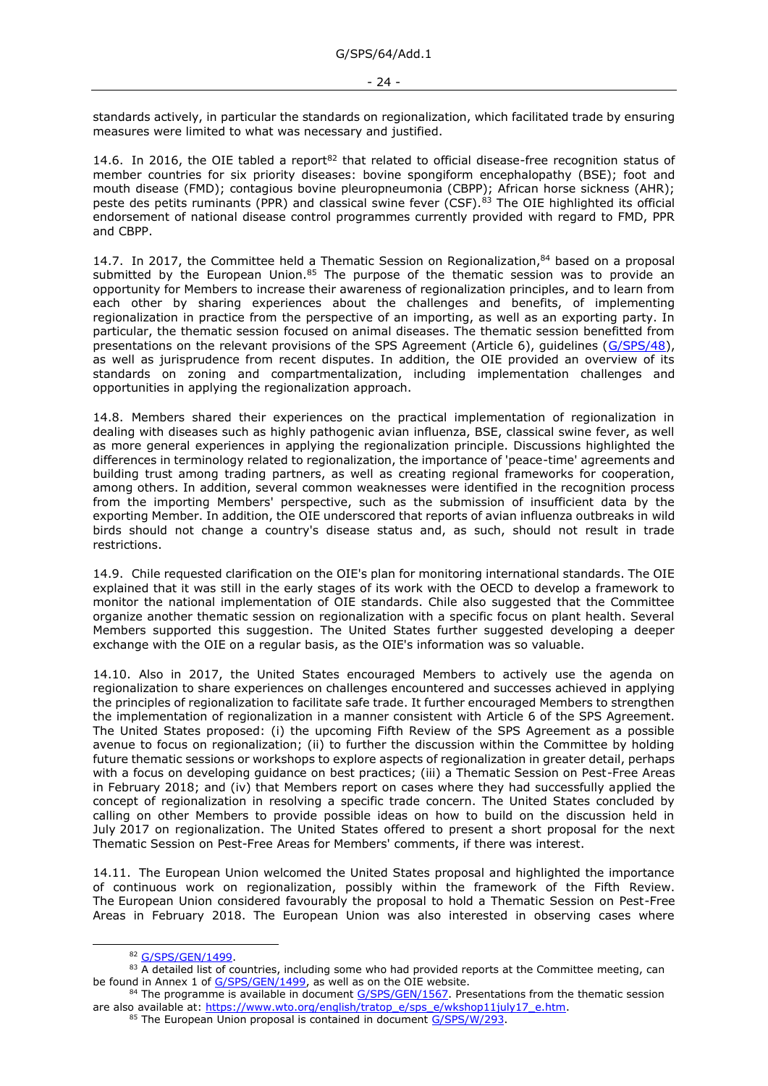standards actively, in particular the standards on regionalization, which facilitated trade by ensuring measures were limited to what was necessary and justified.

14.6. In 2016, the OIE tabled a report $82$  that related to official disease-free recognition status of member countries for six priority diseases: bovine spongiform encephalopathy (BSE); foot and mouth disease (FMD); contagious bovine pleuropneumonia (CBPP); African horse sickness (AHR); peste des petits ruminants (PPR) and classical swine fever (CSF).<sup>83</sup> The OIE highlighted its official endorsement of national disease control programmes currently provided with regard to FMD, PPR and CBPP.

14.7. In 2017, the Committee held a Thematic Session on Regionalization, $84$  based on a proposal submitted by the European Union. $85$  The purpose of the thematic session was to provide an opportunity for Members to increase their awareness of regionalization principles, and to learn from each other by sharing experiences about the challenges and benefits, of implementing regionalization in practice from the perspective of an importing, as well as an exporting party. In particular, the thematic session focused on animal diseases. The thematic session benefitted from presentations on the relevant provisions of the SPS Agreement (Article 6), guidelines [\(G/SPS/48\)](https://docs.wto.org/dol2fe/Pages/FE_Search/FE_S_S006.aspx?MetaCollection=WTO&SymbolList=%22G%2fSPS%2f48%22+OR+%22G%2fSPS%2f48%2f*%22&Serial=&IssuingDateFrom=&IssuingDateTo=&CATTITLE=&ConcernedCountryList=&OtherCountryList=&SubjectList=&TypeList=&FullTextHash=371857150&ProductList=&BodyList=&OrganizationList=&ArticleList=&Contents=&CollectionList=&RestrictionTypeName=&PostingDateFrom=&PostingDateTo=&DerestrictionDateFrom=&DerestrictionDateTo=&ReferenceList=&Language=ENGLISH&SearchPage=FE_S_S001&ActiveTabIndex=0&HSClassificationList=&ServicesClassificationList=&EnvironmentClassificationList=&ICSClassificationList=&ICSClassificationDescList:EnvironmentClassificationDescList:ServicesClassificationDescList:HSClassificationDescList=&languageUIChanged=true), as well as jurisprudence from recent disputes. In addition, the OIE provided an overview of its standards on zoning and compartmentalization, including implementation challenges and opportunities in applying the regionalization approach.

14.8. Members shared their experiences on the practical implementation of regionalization in dealing with diseases such as highly pathogenic avian influenza, BSE, classical swine fever, as well as more general experiences in applying the regionalization principle. Discussions highlighted the differences in terminology related to regionalization, the importance of 'peace-time' agreements and building trust among trading partners, as well as creating regional frameworks for cooperation, among others. In addition, several common weaknesses were identified in the recognition process from the importing Members' perspective, such as the submission of insufficient data by the exporting Member. In addition, the OIE underscored that reports of avian influenza outbreaks in wild birds should not change a country's disease status and, as such, should not result in trade restrictions.

14.9. Chile requested clarification on the OIE's plan for monitoring international standards. The OIE explained that it was still in the early stages of its work with the OECD to develop a framework to monitor the national implementation of OIE standards. Chile also suggested that the Committee organize another thematic session on regionalization with a specific focus on plant health. Several Members supported this suggestion. The United States further suggested developing a deeper exchange with the OIE on a regular basis, as the OIE's information was so valuable.

14.10. Also in 2017, the United States encouraged Members to actively use the agenda on regionalization to share experiences on challenges encountered and successes achieved in applying the principles of regionalization to facilitate safe trade. It further encouraged Members to strengthen the implementation of regionalization in a manner consistent with Article 6 of the SPS Agreement. The United States proposed: (i) the upcoming Fifth Review of the SPS Agreement as a possible avenue to focus on regionalization; (ii) to further the discussion within the Committee by holding future thematic sessions or workshops to explore aspects of regionalization in greater detail, perhaps with a focus on developing guidance on best practices; (iii) a Thematic Session on Pest-Free Areas in February 2018; and (iv) that Members report on cases where they had successfully applied the concept of regionalization in resolving a specific trade concern. The United States concluded by calling on other Members to provide possible ideas on how to build on the discussion held in July 2017 on regionalization. The United States offered to present a short proposal for the next Thematic Session on Pest-Free Areas for Members' comments, if there was interest.

14.11. The European Union welcomed the United States proposal and highlighted the importance of continuous work on regionalization, possibly within the framework of the Fifth Review. The European Union considered favourably the proposal to hold a Thematic Session on Pest-Free Areas in February 2018. The European Union was also interested in observing cases where

<sup>82</sup> [G/SPS/GEN/1499.](https://docs.wto.org/dol2fe/Pages/FE_Search/FE_S_S006.aspx?DataSource=Cat&query=@Symbol=%22G/SPS/GEN/1499%22%20OR%20@Symbol=%22G/SPS/GEN/1499/*%22&Language=English&Context=ScriptedSearches&languageUIChanged=true)

<sup>83</sup> A detailed list of countries, including some who had provided reports at the Committee meeting, can be found in Annex 1 of [G/SPS/GEN/1499,](https://docs.wto.org/dol2fe/Pages/FE_Search/FE_S_S006.aspx?DataSource=Cat&query=@Symbol=%22G/SPS/GEN/1499%22%20OR%20@Symbol=%22G/SPS/GEN/1499/*%22&Language=English&Context=ScriptedSearches&languageUIChanged=true) as well as on the OIE website.

<sup>84</sup> The programme is available in document [G/SPS/GEN/1567.](https://docs.wto.org/dol2fe/Pages/FE_Search/FE_S_S006.aspx?DataSource=Cat&query=@Symbol=%22G/SPS/GEN/1567%22%20OR%20@Symbol=%22G/SPS/GEN/1567/*%22&Language=English&Context=ScriptedSearches&languageUIChanged=true) Presentations from the thematic session are also available at: [https://www.wto.org/english/tratop\\_e/sps\\_e/wkshop11july17\\_e.htm.](https://www.wto.org/english/tratop_e/sps_e/wkshop11july17_e.htm)

<sup>85</sup> The European Union proposal is contained in document [G/SPS/W/293.](https://docs.wto.org/dol2fe/Pages/FE_Search/FE_S_S006.aspx?DataSource=Cat&query=@Symbol=%22G/SPS/W/293%22%20OR%20@Symbol=%22G/SPS/W/293/*%22&Language=English&Context=ScriptedSearches&languageUIChanged=true)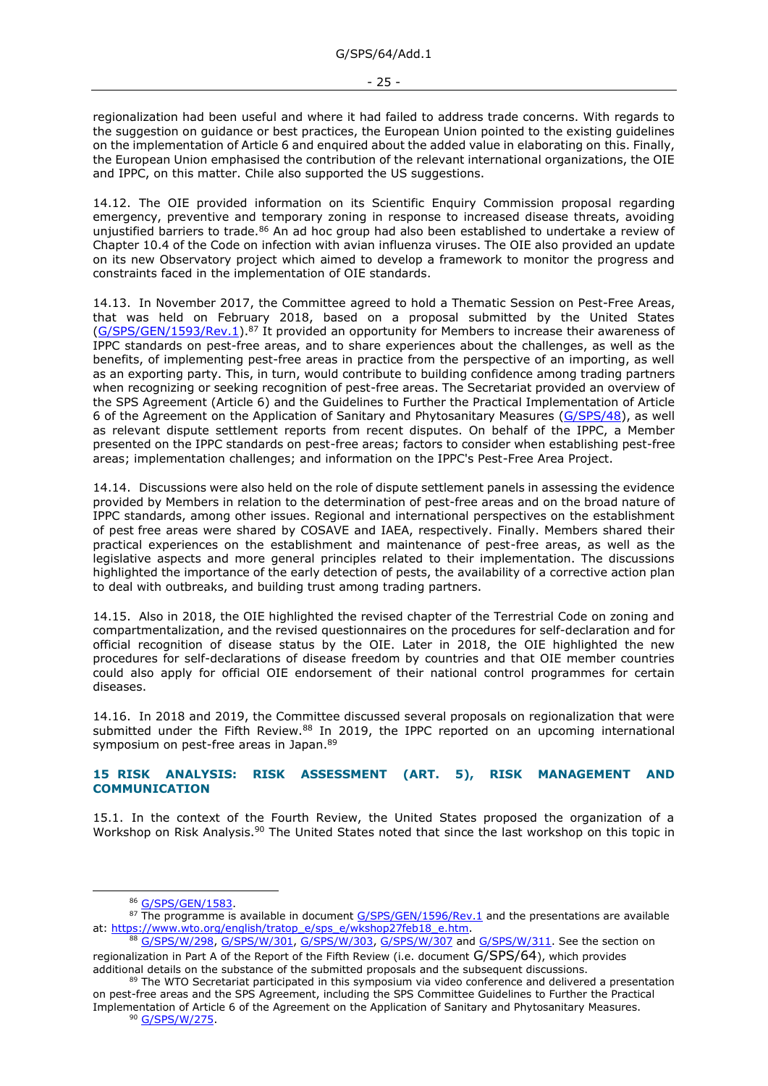- 25 -

regionalization had been useful and where it had failed to address trade concerns. With regards to the suggestion on guidance or best practices, the European Union pointed to the existing guidelines on the implementation of Article 6 and enquired about the added value in elaborating on this. Finally, the European Union emphasised the contribution of the relevant international organizations, the OIE and IPPC, on this matter. Chile also supported the US suggestions.

14.12. The OIE provided information on its Scientific Enquiry Commission proposal regarding emergency, preventive and temporary zoning in response to increased disease threats, avoiding unjustified barriers to trade.<sup>86</sup> An ad hoc group had also been established to undertake a review of Chapter 10.4 of the Code on infection with avian influenza viruses. The OIE also provided an update on its new Observatory project which aimed to develop a framework to monitor the progress and constraints faced in the implementation of OIE standards.

14.13. In November 2017, the Committee agreed to hold a Thematic Session on Pest-Free Areas, that was held on February 2018, based on a proposal submitted by the United States [\(G/SPS/GEN/1593/Rev.1\)](https://docs.wto.org/dol2fe/Pages/FE_Search/FE_S_S006.aspx?MetaCollection=WTO&SymbolList=%22G%2fSPS%2fGEN%2f1593%2fRev.1%22+OR+%22G%2fSPS%2fGEN%2f1593%2fRev.1%2f*%22&Serial=&IssuingDateFrom=&IssuingDateTo=&CATTITLE=&ConcernedCountryList=&OtherCountryList=&SubjectList=&TypeList=&FullTextHash=371857150&ProductList=&BodyList=&OrganizationList=&ArticleList=&Contents=&CollectionList=&RestrictionTypeName=&PostingDateFrom=&PostingDateTo=&DerestrictionDateFrom=&DerestrictionDateTo=&ReferenceList=&Language=ENGLISH&SearchPage=FE_S_S001&ActiveTabIndex=0&HSClassificationList=&ServicesClassificationList=&EnvironmentClassificationList=&ICSClassificationList=&ICSClassificationDescList:EnvironmentClassificationDescList:ServicesClassificationDescList:HSClassificationDescList=&languageUIChanged=true).<sup>87</sup> It provided an opportunity for Members to increase their awareness of IPPC standards on pest-free areas, and to share experiences about the challenges, as well as the benefits, of implementing pest-free areas in practice from the perspective of an importing, as well as an exporting party. This, in turn, would contribute to building confidence among trading partners when recognizing or seeking recognition of pest-free areas. The Secretariat provided an overview of the SPS Agreement (Article 6) and the Guidelines to Further the Practical Implementation of Article 6 of the Agreement on the Application of Sanitary and Phytosanitary Measures [\(G/SPS/48\)](https://docs.wto.org/dol2fe/Pages/FE_Search/FE_S_S006.aspx?MetaCollection=WTO&SymbolList=%22G%2fSPS%2f48%22+OR+%22G%2fSPS%2f48%2f*%22&Serial=&IssuingDateFrom=&IssuingDateTo=&CATTITLE=&ConcernedCountryList=&OtherCountryList=&SubjectList=&TypeList=&FullTextHash=371857150&ProductList=&BodyList=&OrganizationList=&ArticleList=&Contents=&CollectionList=&RestrictionTypeName=&PostingDateFrom=&PostingDateTo=&DerestrictionDateFrom=&DerestrictionDateTo=&ReferenceList=&Language=ENGLISH&SearchPage=FE_S_S001&ActiveTabIndex=0&HSClassificationList=&ServicesClassificationList=&EnvironmentClassificationList=&ICSClassificationList=&ICSClassificationDescList:EnvironmentClassificationDescList:ServicesClassificationDescList:HSClassificationDescList=&languageUIChanged=true), as well as relevant dispute settlement reports from recent disputes. On behalf of the IPPC, a Member presented on the IPPC standards on pest-free areas; factors to consider when establishing pest-free areas; implementation challenges; and information on the IPPC's Pest-Free Area Project.

14.14. Discussions were also held on the role of dispute settlement panels in assessing the evidence provided by Members in relation to the determination of pest-free areas and on the broad nature of IPPC standards, among other issues. Regional and international perspectives on the establishment of pest free areas were shared by COSAVE and IAEA, respectively. Finally. Members shared their practical experiences on the establishment and maintenance of pest-free areas, as well as the legislative aspects and more general principles related to their implementation. The discussions highlighted the importance of the early detection of pests, the availability of a corrective action plan to deal with outbreaks, and building trust among trading partners.

14.15. Also in 2018, the OIE highlighted the revised chapter of the Terrestrial Code on zoning and compartmentalization, and the revised questionnaires on the procedures for self-declaration and for official recognition of disease status by the OIE. Later in 2018, the OIE highlighted the new procedures for self-declarations of disease freedom by countries and that OIE member countries could also apply for official OIE endorsement of their national control programmes for certain diseases.

14.16. In 2018 and 2019, the Committee discussed several proposals on regionalization that were submitted under the Fifth Review. $88$  In 2019, the IPPC reported on an upcoming international symposium on pest-free areas in Japan.<sup>89</sup>

### <span id="page-24-0"></span>**15 RISK ANALYSIS: RISK ASSESSMENT (ART. 5), RISK MANAGEMENT AND COMMUNICATION**

15.1. In the context of the Fourth Review, the United States proposed the organization of a Workshop on Risk Analysis.<sup>90</sup> The United States noted that since the last workshop on this topic in

<sup>86</sup> [G/SPS/GEN/1583.](https://docs.wto.org/dol2fe/Pages/FE_Search/FE_S_S006.aspx?DataSource=Cat&query=@Symbol=%22G/SPS/GEN/1583%22%20OR%20@Symbol=%22G/SPS/GEN/1583/*%22&Language=English&Context=ScriptedSearches&languageUIChanged=true)

<sup>87</sup> The programme is available in document [G/SPS/GEN/1596/Rev.1](https://docs.wto.org/dol2fe/Pages/FE_Search/FE_S_S006.aspx?DataSource=Cat&query=@Symbol=%22G/SPS/GEN/1596/Rev.1%22%20OR%20@Symbol=%22G/SPS/GEN/1596/Rev.1/*%22&Language=English&Context=ScriptedSearches&languageUIChanged=true) and the presentations are available at: [https://www.wto.org/english/tratop\\_e/sps\\_e/wkshop27feb18\\_e.htm.](https://www.wto.org/english/tratop_e/sps_e/wkshop27feb18_e.htm)

<sup>88</sup> [G/SPS/W/298,](https://docs.wto.org/dol2fe/Pages/FE_Search/FE_S_S006.aspx?DataSource=Cat&query=@Symbol=%22G/SPS/W/298%22%20OR%20@Symbol=%22G/SPS/W/298/*%22&Language=English&Context=ScriptedSearches&languageUIChanged=true) [G/SPS/W/301,](https://docs.wto.org/dol2fe/Pages/FE_Search/FE_S_S006.aspx?DataSource=Cat&query=@Symbol=%22G/SPS/W/301%22%20OR%20@Symbol=%22G/SPS/W/301/*%22&Language=English&Context=ScriptedSearches&languageUIChanged=true) [G/SPS/W/303,](https://docs.wto.org/dol2fe/Pages/FE_Search/FE_S_S006.aspx?DataSource=Cat&query=@Symbol=%22G/SPS/W/303%22%20OR%20@Symbol=%22G/SPS/W/303/*%22&Language=English&Context=ScriptedSearches&languageUIChanged=true) [G/SPS/W/307](https://docs.wto.org/dol2fe/Pages/FE_Search/FE_S_S006.aspx?DataSource=Cat&query=@Symbol=%22G/SPS/W/307%22%20OR%20@Symbol=%22G/SPS/W/307/*%22&Language=English&Context=ScriptedSearches&languageUIChanged=true) and [G/SPS/W/311.](https://docs.wto.org/dol2fe/Pages/FE_Search/FE_S_S006.aspx?DataSource=Cat&query=@Symbol=%22G/SPS/W/311%22%20OR%20@Symbol=%22G/SPS/W/311/*%22&Language=English&Context=ScriptedSearches&languageUIChanged=true) See the section on regionalization in Part A of the Report of the Fifth Review (i.e. document G/SPS/64), which provides additional details on the substance of the submitted proposals and the subsequent discussions.

<sup>89</sup> The WTO Secretariat participated in this symposium via video conference and delivered a presentation on pest-free areas and the SPS Agreement, including the SPS Committee Guidelines to Further the Practical Implementation of Article 6 of the Agreement on the Application of Sanitary and Phytosanitary Measures. <sup>90</sup> [G/SPS/W/275.](https://docs.wto.org/dol2fe/Pages/FE_Search/FE_S_S006.aspx?DataSource=Cat&query=@Symbol=%22G/SPS/W/275%22%20OR%20@Symbol=%22G/SPS/W/275/*%22&Language=English&Context=ScriptedSearches&languageUIChanged=true)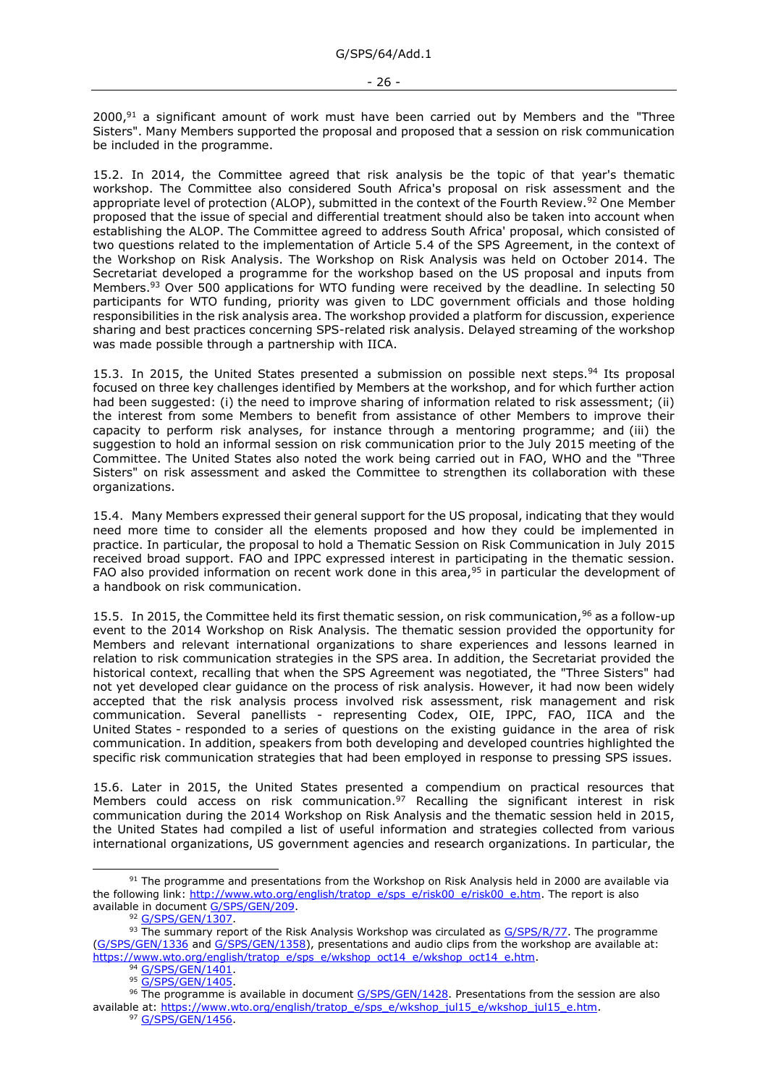$2000<sub>1</sub><sup>91</sup>$  a significant amount of work must have been carried out by Members and the "Three Sisters". Many Members supported the proposal and proposed that a session on risk communication be included in the programme.

15.2. In 2014, the Committee agreed that risk analysis be the topic of that year's thematic workshop. The Committee also considered South Africa's proposal on risk assessment and the appropriate level of protection (ALOP), submitted in the context of the Fourth Review.<sup>92</sup> One Member proposed that the issue of special and differential treatment should also be taken into account when establishing the ALOP. The Committee agreed to address South Africa' proposal, which consisted of two questions related to the implementation of Article 5.4 of the SPS Agreement, in the context of the Workshop on Risk Analysis. The Workshop on Risk Analysis was held on October 2014. The Secretariat developed a programme for the workshop based on the US proposal and inputs from Members.<sup>93</sup> Over 500 applications for WTO funding were received by the deadline. In selecting 50 participants for WTO funding, priority was given to LDC government officials and those holding responsibilities in the risk analysis area. The workshop provided a platform for discussion, experience sharing and best practices concerning SPS-related risk analysis. Delayed streaming of the workshop was made possible through a partnership with IICA.

15.3. In 2015, the United States presented a submission on possible next steps.<sup>94</sup> Its proposal focused on three key challenges identified by Members at the workshop, and for which further action had been suggested: (i) the need to improve sharing of information related to risk assessment; (ii) the interest from some Members to benefit from assistance of other Members to improve their capacity to perform risk analyses, for instance through a mentoring programme; and (iii) the suggestion to hold an informal session on risk communication prior to the July 2015 meeting of the Committee. The United States also noted the work being carried out in FAO, WHO and the "Three Sisters" on risk assessment and asked the Committee to strengthen its collaboration with these organizations.

15.4. Many Members expressed their general support for the US proposal, indicating that they would need more time to consider all the elements proposed and how they could be implemented in practice. In particular, the proposal to hold a Thematic Session on Risk Communication in July 2015 received broad support. FAO and IPPC expressed interest in participating in the thematic session. FAO also provided information on recent work done in this area, $95$  in particular the development of a handbook on risk communication.

15.5. In 2015, the Committee held its first thematic session, on risk communication,<sup>96</sup> as a follow-up event to the 2014 Workshop on Risk Analysis. The thematic session provided the opportunity for Members and relevant international organizations to share experiences and lessons learned in relation to risk communication strategies in the SPS area. In addition, the Secretariat provided the historical context, recalling that when the SPS Agreement was negotiated, the "Three Sisters" had not yet developed clear guidance on the process of risk analysis. However, it had now been widely accepted that the risk analysis process involved risk assessment, risk management and risk communication. Several panellists - representing Codex, OIE, IPPC, FAO, IICA and the United States - responded to a series of questions on the existing guidance in the area of risk communication. In addition, speakers from both developing and developed countries highlighted the specific risk communication strategies that had been employed in response to pressing SPS issues.

15.6. Later in 2015, the United States presented a compendium on practical resources that Members could access on risk communication.<sup>97</sup> Recalling the significant interest in risk communication during the 2014 Workshop on Risk Analysis and the thematic session held in 2015, the United States had compiled a list of useful information and strategies collected from various international organizations, US government agencies and research organizations. In particular, the

<sup>91</sup> The programme and presentations from the Workshop on Risk Analysis held in 2000 are available via the following link: [http://www.wto.org/english/tratop\\_e/sps\\_e/risk00\\_e/risk00\\_e.htm.](http://www.wto.org/english/tratop_e/sps_e/risk00_e/risk00_e.htm) The report is also available in document [G/SPS/GEN/209.](https://docs.wto.org/dol2fe/Pages/FE_Search/FE_S_S006.aspx?DataSource=Cat&query=@Symbol=%22G/SPS/GEN/209%22%20OR%20@Symbol=%22G/SPS/GEN/209/*%22&Language=English&Context=ScriptedSearches&languageUIChanged=true)

<sup>92</sup> [G/SPS/GEN/1307.](https://docs.wto.org/dol2fe/Pages/FE_Search/FE_S_S006.aspx?DataSource=Cat&query=@Symbol=%22G/SPS/GEN/1307%22%20OR%20@Symbol=%22G/SPS/GEN/1307/*%22&Language=English&Context=ScriptedSearches&languageUIChanged=true)

 $93$  The summary report of the Risk Analysis Workshop was circulated as  $G/SPS/R/77$ . The programme [\(G/SPS/GEN/1336](https://docs.wto.org/dol2fe/Pages/FE_Search/FE_S_S006.aspx?MetaCollection=WTO&SymbolList=%22G%2fSPS%2fGEN%2f1336%22+OR+%22G%2fSPS%2fGEN%2f1336%2f*%22&Serial=&IssuingDateFrom=&IssuingDateTo=&CATTITLE=&ConcernedCountryList=&OtherCountryList=&SubjectList=&TypeList=&FullTextHash=371857150&ProductList=&BodyList=&OrganizationList=&ArticleList=&Contents=&CollectionList=&RestrictionTypeName=&PostingDateFrom=&PostingDateTo=&DerestrictionDateFrom=&DerestrictionDateTo=&ReferenceList=&Language=ENGLISH&SearchPage=FE_S_S001&ActiveTabIndex=0&HSClassificationList=&ServicesClassificationList=&EnvironmentClassificationList=&ICSClassificationList=&ICSClassificationDescList:EnvironmentClassificationDescList:ServicesClassificationDescList:HSClassificationDescList=&languageUIChanged=true) and [G/SPS/GEN/1358\)](https://docs.wto.org/dol2fe/Pages/FE_Search/FE_S_S006.aspx?MetaCollection=WTO&SymbolList=%22G%2fSPS%2fGEN%2f1358%22+OR+%22G%2fSPS%2fGEN%2f1358%2f*%22&Serial=&IssuingDateFrom=&IssuingDateTo=&CATTITLE=&ConcernedCountryList=&OtherCountryList=&SubjectList=&TypeList=&FullTextHash=371857150&ProductList=&BodyList=&OrganizationList=&ArticleList=&Contents=&CollectionList=&RestrictionTypeName=&PostingDateFrom=&PostingDateTo=&DerestrictionDateFrom=&DerestrictionDateTo=&ReferenceList=&Language=ENGLISH&SearchPage=FE_S_S001&ActiveTabIndex=0&HSClassificationList=&ServicesClassificationList=&EnvironmentClassificationList=&ICSClassificationList=&ICSClassificationDescList:EnvironmentClassificationDescList:ServicesClassificationDescList:HSClassificationDescList=&languageUIChanged=true), presentations and audio clips from the workshop are available at: [https://www.wto.org/english/tratop\\_e/sps\\_e/wkshop\\_oct14\\_e/wkshop\\_oct14\\_e.htm.](https://www.wto.org/english/tratop_e/sps_e/wkshop_oct14_e/wkshop_oct14_e.htm)

<sup>94</sup> G/SPS/GEN/1401

<sup>95</sup> G/SPS/GEN/1405

<sup>96</sup> The programme is available in document [G/SPS/GEN/1428.](https://docs.wto.org/dol2fe/Pages/FE_Search/FE_S_S006.aspx?DataSource=Cat&query=@Symbol=%22G/SPS/GEN/1428%22%20OR%20@Symbol=%22G/SPS/GEN/1428/*%22&Language=English&Context=ScriptedSearches&languageUIChanged=true) Presentations from the session are also available at: [https://www.wto.org/english/tratop\\_e/sps\\_e/wkshop\\_jul15\\_e/wkshop\\_jul15\\_e.htm.](https://www.wto.org/english/tratop_e/sps_e/wkshop_jul15_e/wkshop_jul15_e.htm)

<sup>97</sup> G/SPS/GEN/1456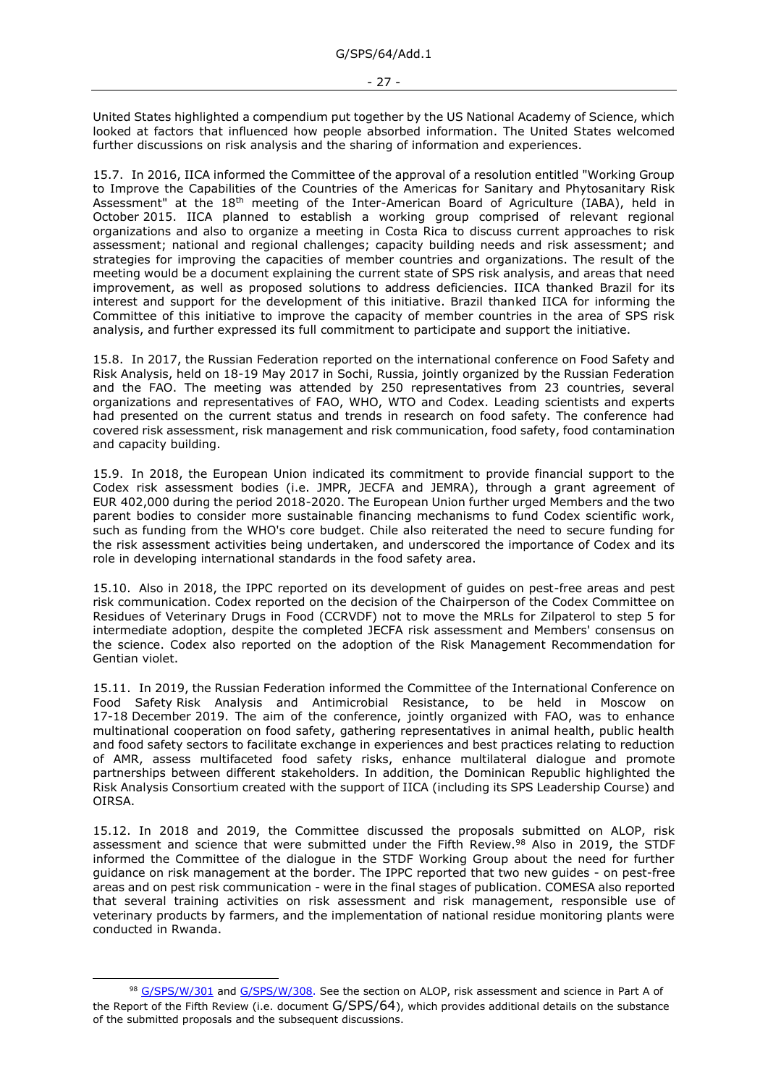United States highlighted a compendium put together by the US National Academy of Science, which looked at factors that influenced how people absorbed information. The United States welcomed further discussions on risk analysis and the sharing of information and experiences.

15.7. In 2016, IICA informed the Committee of the approval of a resolution entitled "Working Group to Improve the Capabilities of the Countries of the Americas for Sanitary and Phytosanitary Risk Assessment" at the 18th meeting of the Inter-American Board of Agriculture (IABA), held in October 2015. IICA planned to establish a working group comprised of relevant regional organizations and also to organize a meeting in Costa Rica to discuss current approaches to risk assessment; national and regional challenges; capacity building needs and risk assessment; and strategies for improving the capacities of member countries and organizations. The result of the meeting would be a document explaining the current state of SPS risk analysis, and areas that need improvement, as well as proposed solutions to address deficiencies. IICA thanked Brazil for its interest and support for the development of this initiative. Brazil thanked IICA for informing the Committee of this initiative to improve the capacity of member countries in the area of SPS risk analysis, and further expressed its full commitment to participate and support the initiative.

15.8. In 2017, the Russian Federation reported on the international conference on Food Safety and Risk Analysis, held on 18-19 May 2017 in Sochi, Russia, jointly organized by the Russian Federation and the FAO. The meeting was attended by 250 representatives from 23 countries, several organizations and representatives of FAO, WHO, WTO and Codex. Leading scientists and experts had presented on the current status and trends in research on food safety. The conference had covered risk assessment, risk management and risk communication, food safety, food contamination and capacity building.

15.9. In 2018, the European Union indicated its commitment to provide financial support to the Codex risk assessment bodies (i.e. JMPR, JECFA and JEMRA), through a grant agreement of EUR 402,000 during the period 2018-2020. The European Union further urged Members and the two parent bodies to consider more sustainable financing mechanisms to fund Codex scientific work, such as funding from the WHO's core budget. Chile also reiterated the need to secure funding for the risk assessment activities being undertaken, and underscored the importance of Codex and its role in developing international standards in the food safety area.

15.10. Also in 2018, the IPPC reported on its development of guides on pest-free areas and pest risk communication. Codex reported on the decision of the Chairperson of the Codex Committee on Residues of Veterinary Drugs in Food (CCRVDF) not to move the MRLs for Zilpaterol to step 5 for intermediate adoption, despite the completed JECFA risk assessment and Members' consensus on the science. Codex also reported on the adoption of the Risk Management Recommendation for Gentian violet.

15.11. In 2019, the Russian Federation informed the Committee of the International Conference on Food Safety Risk Analysis and Antimicrobial Resistance, to be held in Moscow on 17-18 December 2019. The aim of the conference, jointly organized with FAO, was to enhance multinational cooperation on food safety, gathering representatives in animal health, public health and food safety sectors to facilitate exchange in experiences and best practices relating to reduction of AMR, assess multifaceted food safety risks, enhance multilateral dialogue and promote partnerships between different stakeholders. In addition, the Dominican Republic highlighted the Risk Analysis Consortium created with the support of IICA (including its SPS Leadership Course) and OIRSA.

15.12. In 2018 and 2019, the Committee discussed the proposals submitted on ALOP, risk assessment and science that were submitted under the Fifth Review.<sup>98</sup> Also in 2019, the STDF informed the Committee of the dialogue in the STDF Working Group about the need for further guidance on risk management at the border. The IPPC reported that two new guides - on pest-free areas and on pest risk communication - were in the final stages of publication. COMESA also reported that several training activities on risk assessment and risk management, responsible use of veterinary products by farmers, and the implementation of national residue monitoring plants were conducted in Rwanda.

<sup>98</sup> [G/SPS/W/301](https://docs.wto.org/dol2fe/Pages/FE_Search/FE_S_S006.aspx?DataSource=Cat&query=@Symbol=%22G/SPS/W/301%22%20OR%20@Symbol=%22G/SPS/W/301/*%22&Language=English&Context=ScriptedSearches&languageUIChanged=true) and [G/SPS/W/308.](https://docs.wto.org/dol2fe/Pages/FE_Search/FE_S_S006.aspx?DataSource=Cat&query=@Symbol=%22G/SPS/W/308%22%20OR%20@Symbol=%22G/SPS/W/308/*%22&Language=English&Context=ScriptedSearches&languageUIChanged=true) See the section on ALOP, risk assessment and science in Part A of the Report of the Fifth Review (i.e. document G/SPS/64), which provides additional details on the substance of the submitted proposals and the subsequent discussions.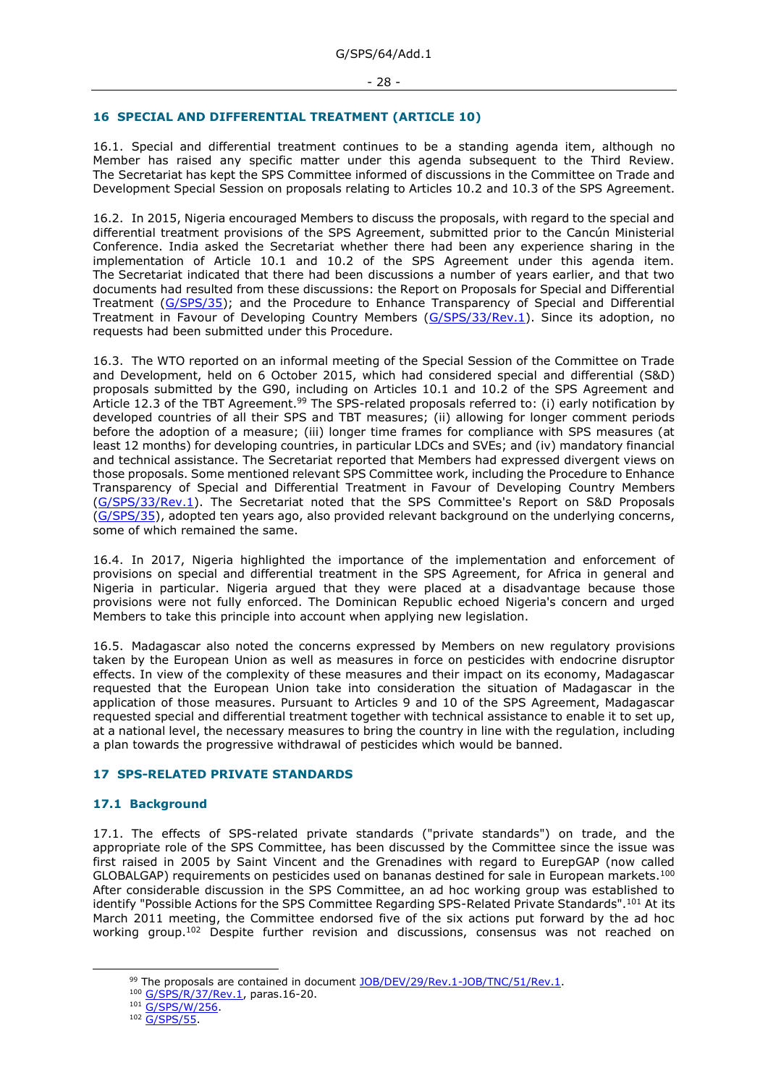# <span id="page-27-0"></span>**16 SPECIAL AND DIFFERENTIAL TREATMENT (ARTICLE 10)**

16.1. Special and differential treatment continues to be a standing agenda item, although no Member has raised any specific matter under this agenda subsequent to the Third Review. The Secretariat has kept the SPS Committee informed of discussions in the Committee on Trade and Development Special Session on proposals relating to Articles 10.2 and 10.3 of the SPS Agreement.

16.2. In 2015, Nigeria encouraged Members to discuss the proposals, with regard to the special and differential treatment provisions of the SPS Agreement, submitted prior to the Cancún Ministerial Conference. India asked the Secretariat whether there had been any experience sharing in the implementation of Article 10.1 and 10.2 of the SPS Agreement under this agenda item. The Secretariat indicated that there had been discussions a number of years earlier, and that two documents had resulted from these discussions: the Report on Proposals for Special and Differential Treatment [\(G/SPS/35\)](https://docs.wto.org/dol2fe/Pages/FE_Search/FE_S_S006.aspx?MetaCollection=WTO&SymbolList=%22G%2fSPS%2f35%22+OR+%22G%2fSPS%2f35%2f*%22&Serial=&IssuingDateFrom=&IssuingDateTo=&CATTITLE=&ConcernedCountryList=&OtherCountryList=&SubjectList=&TypeList=&FullTextHash=371857150&ProductList=&BodyList=&OrganizationList=&ArticleList=&Contents=&CollectionList=&RestrictionTypeName=&PostingDateFrom=&PostingDateTo=&DerestrictionDateFrom=&DerestrictionDateTo=&ReferenceList=&Language=ENGLISH&SearchPage=FE_S_S001&ActiveTabIndex=0&HSClassificationList=&ServicesClassificationList=&EnvironmentClassificationList=&ICSClassificationList=&ICSClassificationDescList:EnvironmentClassificationDescList:ServicesClassificationDescList:HSClassificationDescList=&languageUIChanged=true); and the Procedure to Enhance Transparency of Special and Differential Treatment in Favour of Developing Country Members [\(G/SPS/33/Rev.1\)](https://docs.wto.org/dol2fe/Pages/FE_Search/FE_S_S006.aspx?MetaCollection=WTO&SymbolList=%22G%2fSPS%2f33%2fRev.1%22+OR+%22G%2fSPS%2f33%2fRev.1%2f*%22&Serial=&IssuingDateFrom=&IssuingDateTo=&CATTITLE=&ConcernedCountryList=&OtherCountryList=&SubjectList=&TypeList=&FullTextHash=371857150&ProductList=&BodyList=&OrganizationList=&ArticleList=&Contents=&CollectionList=&RestrictionTypeName=&PostingDateFrom=&PostingDateTo=&DerestrictionDateFrom=&DerestrictionDateTo=&ReferenceList=&Language=ENGLISH&SearchPage=FE_S_S001&ActiveTabIndex=0&HSClassificationList=&ServicesClassificationList=&EnvironmentClassificationList=&ICSClassificationList=&ICSClassificationDescList:EnvironmentClassificationDescList:ServicesClassificationDescList:HSClassificationDescList=&languageUIChanged=true). Since its adoption, no requests had been submitted under this Procedure.

16.3. The WTO reported on an informal meeting of the Special Session of the Committee on Trade and Development, held on 6 October 2015, which had considered special and differential (S&D) proposals submitted by the G90, including on Articles 10.1 and 10.2 of the SPS Agreement and Article 12.3 of the TBT Agreement.<sup>99</sup> The SPS-related proposals referred to: (i) early notification by developed countries of all their SPS and TBT measures; (ii) allowing for longer comment periods before the adoption of a measure; (iii) longer time frames for compliance with SPS measures (at least 12 months) for developing countries, in particular LDCs and SVEs; and (iv) mandatory financial and technical assistance. The Secretariat reported that Members had expressed divergent views on those proposals. Some mentioned relevant SPS Committee work, including the Procedure to Enhance Transparency of Special and Differential Treatment in Favour of Developing Country Members [\(G/SPS/33/Rev.1\)](https://docs.wto.org/dol2fe/Pages/FE_Search/FE_S_S006.aspx?MetaCollection=WTO&SymbolList=%22G%2fSPS%2f33%2fRev.1%22+OR+%22G%2fSPS%2f33%2fRev.1%2f*%22&Serial=&IssuingDateFrom=&IssuingDateTo=&CATTITLE=&ConcernedCountryList=&OtherCountryList=&SubjectList=&TypeList=&FullTextHash=371857150&ProductList=&BodyList=&OrganizationList=&ArticleList=&Contents=&CollectionList=&RestrictionTypeName=&PostingDateFrom=&PostingDateTo=&DerestrictionDateFrom=&DerestrictionDateTo=&ReferenceList=&Language=ENGLISH&SearchPage=FE_S_S001&ActiveTabIndex=0&HSClassificationList=&ServicesClassificationList=&EnvironmentClassificationList=&ICSClassificationList=&ICSClassificationDescList:EnvironmentClassificationDescList:ServicesClassificationDescList:HSClassificationDescList=&languageUIChanged=true). The Secretariat noted that the SPS Committee's Report on S&D Proposals [\(G/SPS/35\)](https://docs.wto.org/dol2fe/Pages/FE_Search/FE_S_S006.aspx?MetaCollection=WTO&SymbolList=%22G%2fSPS%2f35%22+OR+%22G%2fSPS%2f35%2f*%22&Serial=&IssuingDateFrom=&IssuingDateTo=&CATTITLE=&ConcernedCountryList=&OtherCountryList=&SubjectList=&TypeList=&FullTextHash=371857150&ProductList=&BodyList=&OrganizationList=&ArticleList=&Contents=&CollectionList=&RestrictionTypeName=&PostingDateFrom=&PostingDateTo=&DerestrictionDateFrom=&DerestrictionDateTo=&ReferenceList=&Language=ENGLISH&SearchPage=FE_S_S001&ActiveTabIndex=0&HSClassificationList=&ServicesClassificationList=&EnvironmentClassificationList=&ICSClassificationList=&ICSClassificationDescList:EnvironmentClassificationDescList:ServicesClassificationDescList:HSClassificationDescList=&languageUIChanged=true), adopted ten years ago, also provided relevant background on the underlying concerns, some of which remained the same.

16.4. In 2017, Nigeria highlighted the importance of the implementation and enforcement of provisions on special and differential treatment in the SPS Agreement, for Africa in general and Nigeria in particular. Nigeria argued that they were placed at a disadvantage because those provisions were not fully enforced. The Dominican Republic echoed Nigeria's concern and urged Members to take this principle into account when applying new legislation.

16.5. Madagascar also noted the concerns expressed by Members on new regulatory provisions taken by the European Union as well as measures in force on pesticides with endocrine disruptor effects. In view of the complexity of these measures and their impact on its economy, Madagascar requested that the European Union take into consideration the situation of Madagascar in the application of those measures. Pursuant to Articles 9 and 10 of the SPS Agreement, Madagascar requested special and differential treatment together with technical assistance to enable it to set up, at a national level, the necessary measures to bring the country in line with the regulation, including a plan towards the progressive withdrawal of pesticides which would be banned.

### <span id="page-27-1"></span>**17 SPS-RELATED PRIVATE STANDARDS**

### <span id="page-27-2"></span>**17.1 Background**

17.1. The effects of SPS-related private standards ("private standards") on trade, and the appropriate role of the SPS Committee, has been discussed by the Committee since the issue was first raised in 2005 by Saint Vincent and the Grenadines with regard to EurepGAP (now called GLOBALGAP) requirements on pesticides used on bananas destined for sale in European markets.<sup>100</sup> After considerable discussion in the SPS Committee, an ad hoc working group was established to identify "Possible Actions for the SPS Committee Regarding SPS-Related Private Standards".<sup>101</sup> At its March 2011 meeting, the Committee endorsed five of the six actions put forward by the ad hoc working group.<sup>102</sup> Despite further revision and discussions, consensus was not reached on

<sup>&</sup>lt;sup>99</sup> The proposals are contained in document [JOB/DEV/29/Rev.1-JOB/TNC/51/](https://docs.wto.org/dol2fe/Pages/FE_Search/FE_S_S006.aspx?MetaCollection=WTO&SymbolList=%22JOB%2fDEV%2f29%22+OR+%22JOB%2fDEV%2f29%2f*%22&Serial=&IssuingDateFrom=&IssuingDateTo=&CATTITLE=&ConcernedCountryList=&OtherCountryList=&SubjectList=&TypeList=&FullTextHash=371857150&ProductList=&BodyList=&OrganizationList=&ArticleList=&Contents=&CollectionList=&RestrictionTypeName=&PostingDateFrom=&PostingDateTo=&DerestrictionDateFrom=&DerestrictionDateTo=&ReferenceList=&Language=ENGLISH&SearchPage=FE_S_S001&ActiveTabIndex=0&HSClassificationList=&ServicesClassificationList=&EnvironmentClassificationList=&ICSClassificationList=&ICSClassificationDescList:EnvironmentClassificationDescList:ServicesClassificationDescList:HSClassificationDescList=&languageUIChanged=true)Rev.1.

<sup>100</sup> [G/SPS/R/37/Rev.1,](https://docs.wto.org/dol2fe/Pages/FE_Search/FE_S_S006.aspx?DataSource=Cat&query=@Symbol=%22G/SPS/R/37/Rev.1%22%20OR%20@Symbol=%22G/SPS/R/37/Rev.1/*%22&Language=English&Context=ScriptedSearches&languageUIChanged=true) paras.16-20.

<sup>101</sup> [G/SPS/W/256.](https://docs.wto.org/dol2fe/Pages/FE_Search/FE_S_S006.aspx?DataSource=Cat&query=@Symbol=%22G/SPS/W/256%22%20OR%20@Symbol=%22G/SPS/W/256/*%22&Language=English&Context=ScriptedSearches&languageUIChanged=true)

<sup>102</sup> [G/SPS/55.](https://docs.wto.org/dol2fe/Pages/FE_Search/FE_S_S006.aspx?DataSource=Cat&query=@Symbol=%22G/SPS/55%22%20OR%20@Symbol=%22G/SPS/55/*%22&Language=English&Context=ScriptedSearches&languageUIChanged=true)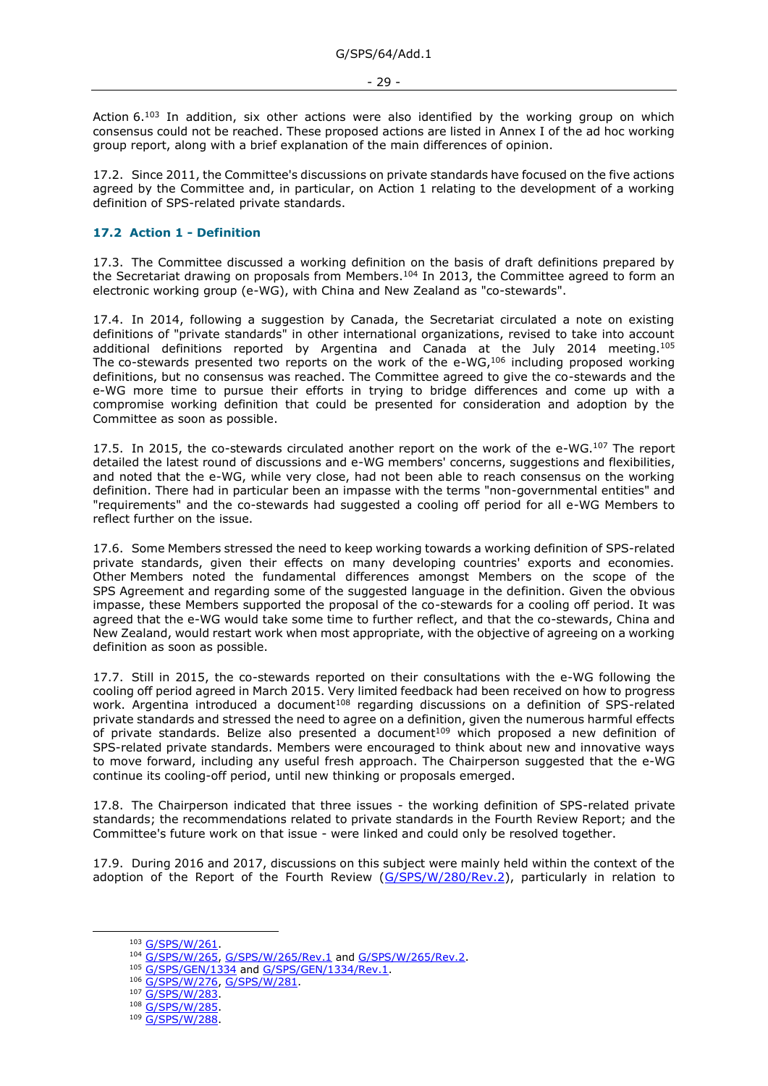Action 6.<sup>103</sup> In addition, six other actions were also identified by the working group on which consensus could not be reached. These proposed actions are listed in Annex I of the ad hoc working group report, along with a brief explanation of the main differences of opinion.

17.2. Since 2011, the Committee's discussions on private standards have focused on the five actions agreed by the Committee and, in particular, on Action 1 relating to the development of a working definition of SPS-related private standards.

## <span id="page-28-0"></span>**17.2 Action 1 - Definition**

17.3. The Committee discussed a working definition on the basis of draft definitions prepared by the Secretariat drawing on proposals from Members.<sup>104</sup> In 2013, the Committee agreed to form an electronic working group (e-WG), with China and New Zealand as "co-stewards".

17.4. In 2014, following a suggestion by Canada, the Secretariat circulated a note on existing definitions of "private standards" in other international organizations, revised to take into account additional definitions reported by Argentina and Canada at the July 2014 meeting.<sup>105</sup> The co-stewards presented two reports on the work of the e-WG,<sup>106</sup> including proposed working definitions, but no consensus was reached. The Committee agreed to give the co-stewards and the e-WG more time to pursue their efforts in trying to bridge differences and come up with a compromise working definition that could be presented for consideration and adoption by the Committee as soon as possible.

17.5. In 2015, the co-stewards circulated another report on the work of the e-WG.<sup>107</sup> The report detailed the latest round of discussions and e-WG members' concerns, suggestions and flexibilities, and noted that the e-WG, while very close, had not been able to reach consensus on the working definition. There had in particular been an impasse with the terms "non-governmental entities" and "requirements" and the co-stewards had suggested a cooling off period for all e-WG Members to reflect further on the issue.

17.6. Some Members stressed the need to keep working towards a working definition of SPS-related private standards, given their effects on many developing countries' exports and economies. Other Members noted the fundamental differences amongst Members on the scope of the SPS Agreement and regarding some of the suggested language in the definition. Given the obvious impasse, these Members supported the proposal of the co-stewards for a cooling off period. It was agreed that the e-WG would take some time to further reflect, and that the co-stewards, China and New Zealand, would restart work when most appropriate, with the objective of agreeing on a working definition as soon as possible.

17.7. Still in 2015, the co-stewards reported on their consultations with the e-WG following the cooling off period agreed in March 2015. Very limited feedback had been received on how to progress work. Argentina introduced a document<sup>108</sup> regarding discussions on a definition of SPS-related private standards and stressed the need to agree on a definition, given the numerous harmful effects of private standards. Belize also presented a document<sup>109</sup> which proposed a new definition of SPS-related private standards. Members were encouraged to think about new and innovative ways to move forward, including any useful fresh approach. The Chairperson suggested that the e-WG continue its cooling-off period, until new thinking or proposals emerged.

17.8. The Chairperson indicated that three issues - the working definition of SPS-related private standards; the recommendations related to private standards in the Fourth Review Report; and the Committee's future work on that issue - were linked and could only be resolved together.

17.9. During 2016 and 2017, discussions on this subject were mainly held within the context of the adoption of the Report of the Fourth Review [\(G/SPS/W/280/Rev.2\)](https://docs.wto.org/dol2fe/Pages/FE_Search/FE_S_S006.aspx?MetaCollection=WTO&SymbolList=%22G%2fSPS%2fW%2f280%2fRev.2%22+OR+%22G%2fSPS%2fW%2f280%2fRev.2%2f*%22&Serial=&IssuingDateFrom=&IssuingDateTo=&CATTITLE=&ConcernedCountryList=&OtherCountryList=&SubjectList=&TypeList=&FullTextHash=371857150&ProductList=&BodyList=&OrganizationList=&ArticleList=&Contents=&CollectionList=&RestrictionTypeName=&PostingDateFrom=&PostingDateTo=&DerestrictionDateFrom=&DerestrictionDateTo=&ReferenceList=&Language=ENGLISH&SearchPage=FE_S_S001&ActiveTabIndex=0&HSClassificationList=&ServicesClassificationList=&EnvironmentClassificationList=&ICSClassificationList=&ICSClassificationDescList:EnvironmentClassificationDescList:ServicesClassificationDescList:HSClassificationDescList=&languageUIChanged=true), particularly in relation to

<sup>103</sup> [G/SPS/W/261.](https://docs.wto.org/dol2fe/Pages/FE_Search/FE_S_S006.aspx?DataSource=Cat&query=@Symbol=%22G/SPS/W/261%22%20OR%20@Symbol=%22G/SPS/W/261/*%22&Language=English&Context=ScriptedSearches&languageUIChanged=true)

<sup>104</sup> [G/SPS/W/265,](https://docs.wto.org/dol2fe/Pages/FE_Search/FE_S_S006.aspx?DataSource=Cat&query=@Symbol=%22G/SPS/W/265%22%20OR%20@Symbol=%22G/SPS/W/265/*%22&Language=English&Context=ScriptedSearches&languageUIChanged=true) [G/SPS/W/265/Rev.1](https://docs.wto.org/dol2fe/Pages/FE_Search/FE_S_S006.aspx?DataSource=Cat&query=@Symbol=%22G/SPS/W/265/Rev.1%22%20OR%20@Symbol=%22G/SPS/W/265/Rev.1/*%22&Language=English&Context=ScriptedSearches&languageUIChanged=true) an[d G/SPS/W/265/Rev.2.](https://docs.wto.org/dol2fe/Pages/FE_Search/FE_S_S006.aspx?DataSource=Cat&query=@Symbol=%22G/SPS/W/265/Rev.2%22%20OR%20@Symbol=%22G/SPS/W/265/Rev.2/*%22&Language=English&Context=ScriptedSearches&languageUIChanged=true)

<sup>105 &</sup>lt;u>[G/SPS/GEN/1334](https://docs.wto.org/dol2fe/Pages/FE_Search/FE_S_S006.aspx?DataSource=Cat&query=@Symbol=%22G/SPS/GEN/1334%22%20OR%20@Symbol=%22G/SPS/GEN/1334/*%22&Language=English&Context=ScriptedSearches&languageUIChanged=true)</u> an[d G/SPS/GEN/1334/Rev.1.](https://docs.wto.org/dol2fe/Pages/FE_Search/FE_S_S006.aspx?DataSource=Cat&query=@Symbol=%22G/SPS/GEN/1334/Rev.1%22%20OR%20@Symbol=%22G/SPS/GEN/1334/Rev.1/*%22&Language=English&Context=ScriptedSearches&languageUIChanged=true)

<sup>106</sup> [G/SPS/W/276,](https://docs.wto.org/dol2fe/Pages/FE_Search/FE_S_S006.aspx?DataSource=Cat&query=@Symbol=%22G/SPS/W/276%22%20OR%20@Symbol=%22G/SPS/W/276/*%22&Language=English&Context=ScriptedSearches&languageUIChanged=true) [G/SPS/W/281.](https://docs.wto.org/dol2fe/Pages/FE_Search/FE_S_S006.aspx?DataSource=Cat&query=@Symbol=%22G/SPS/W/281%22%20OR%20@Symbol=%22G/SPS/W/281/*%22&Language=English&Context=ScriptedSearches&languageUIChanged=true)

<sup>107</sup> [G/SPS/W/283.](https://docs.wto.org/dol2fe/Pages/FE_Search/FE_S_S006.aspx?DataSource=Cat&query=@Symbol=%22G/SPS/W/283%22%20OR%20@Symbol=%22G/SPS/W/283/*%22&Language=English&Context=ScriptedSearches&languageUIChanged=true)

<sup>108</sup> G/SPS/W/285

<sup>109</sup> [G/SPS/W/288.](https://docs.wto.org/dol2fe/Pages/FE_Search/FE_S_S006.aspx?DataSource=Cat&query=@Symbol=%22G/SPS/W/288%22%20OR%20@Symbol=%22G/SPS/W/288/*%22&Language=English&Context=ScriptedSearches&languageUIChanged=true)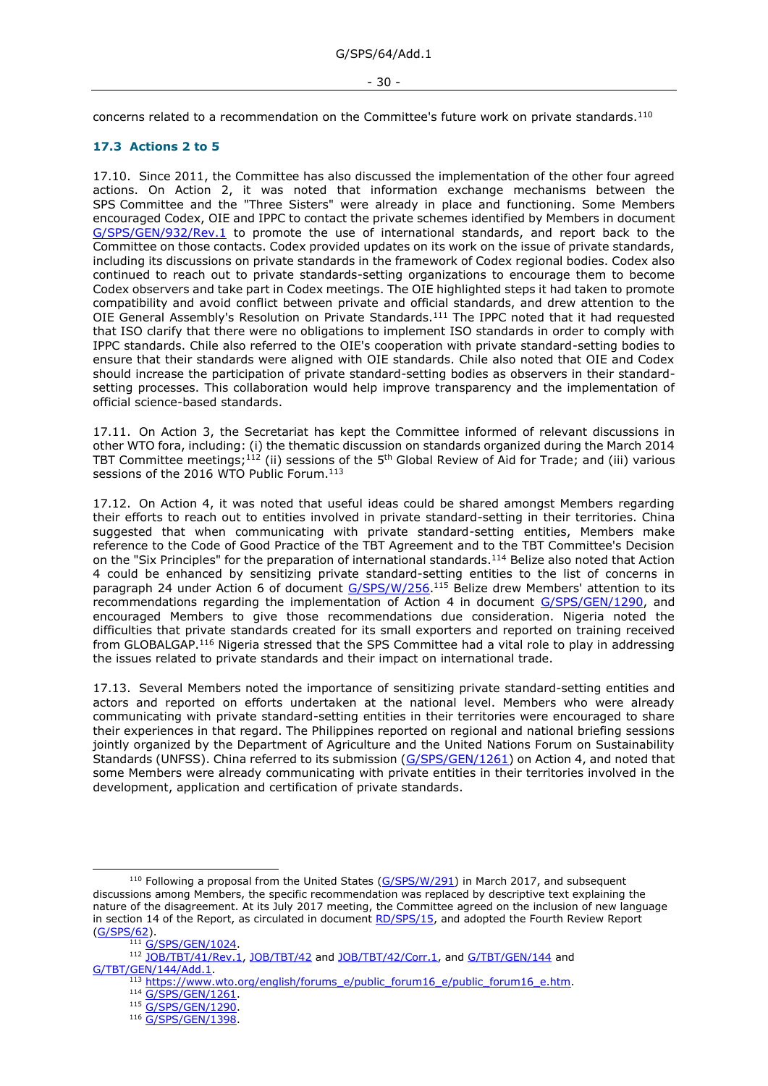#### - 30 -

concerns related to a recommendation on the Committee's future work on private standards.<sup>110</sup>

## <span id="page-29-0"></span>**17.3 Actions 2 to 5**

17.10. Since 2011, the Committee has also discussed the implementation of the other four agreed actions. On Action 2, it was noted that information exchange mechanisms between the SPS Committee and the "Three Sisters" were already in place and functioning. Some Members encouraged Codex, OIE and IPPC to contact the private schemes identified by Members in document [G/SPS/GEN/932/Rev.1](https://docs.wto.org/dol2fe/Pages/FE_Search/FE_S_S006.aspx?DataSource=Cat&query=@Symbol=%22G/SPS/GEN/932/Rev.1%22%20OR%20@Symbol=%22G/SPS/GEN/932/Rev.1/*%22&Language=English&Context=ScriptedSearches&languageUIChanged=true) to promote the use of international standards, and report back to the Committee on those contacts. Codex provided updates on its work on the issue of private standards, including its discussions on private standards in the framework of Codex regional bodies. Codex also continued to reach out to private standards-setting organizations to encourage them to become Codex observers and take part in Codex meetings. The OIE highlighted steps it had taken to promote compatibility and avoid conflict between private and official standards, and drew attention to the OIE General Assembly's Resolution on Private Standards.<sup>111</sup> The IPPC noted that it had requested that ISO clarify that there were no obligations to implement ISO standards in order to comply with IPPC standards. Chile also referred to the OIE's cooperation with private standard-setting bodies to ensure that their standards were aligned with OIE standards. Chile also noted that OIE and Codex should increase the participation of private standard-setting bodies as observers in their standardsetting processes. This collaboration would help improve transparency and the implementation of official science-based standards.

17.11. On Action 3, the Secretariat has kept the Committee informed of relevant discussions in other WTO fora, including: (i) the thematic discussion on standards organized during the March 2014 TBT Committee meetings;<sup>112</sup> (ii) sessions of the 5<sup>th</sup> Global Review of Aid for Trade; and (iii) various sessions of the 2016 WTO Public Forum.<sup>113</sup>

17.12. On Action 4, it was noted that useful ideas could be shared amongst Members regarding their efforts to reach out to entities involved in private standard-setting in their territories. China suggested that when communicating with private standard-setting entities, Members make reference to the Code of Good Practice of the TBT Agreement and to the TBT Committee's Decision on the "Six Principles" for the preparation of international standards.<sup>114</sup> Belize also noted that Action 4 could be enhanced by sensitizing private standard-setting entities to the list of concerns in paragraph 24 under Action 6 of document [G/SPS/W/256.](https://docs.wto.org/dol2fe/Pages/FE_Search/FE_S_S006.aspx?DataSource=Cat&query=@Symbol=%22G/SPS/W/256%22%20OR%20@Symbol=%22G/SPS/W/256/*%22&Language=English&Context=ScriptedSearches&languageUIChanged=true)<sup>115</sup> Belize drew Members' attention to its recommendations regarding the implementation of Action 4 in document [G/SPS/GEN/1290,](https://docs.wto.org/dol2fe/Pages/FE_Search/FE_S_S006.aspx?DataSource=Cat&query=@Symbol=%22G/SPS/GEN/1290%22%20OR%20@Symbol=%22G/SPS/GEN/1290/*%22&Language=English&Context=ScriptedSearches&languageUIChanged=true) and encouraged Members to give those recommendations due consideration. Nigeria noted the difficulties that private standards created for its small exporters and reported on training received from GLOBALGAP.<sup>116</sup> Nigeria stressed that the SPS Committee had a vital role to play in addressing the issues related to private standards and their impact on international trade.

17.13. Several Members noted the importance of sensitizing private standard-setting entities and actors and reported on efforts undertaken at the national level. Members who were already communicating with private standard-setting entities in their territories were encouraged to share their experiences in that regard. The Philippines reported on regional and national briefing sessions jointly organized by the Department of Agriculture and the United Nations Forum on Sustainability Standards (UNFSS). China referred to its submission [\(G/SPS/GEN/1261\)](https://docs.wto.org/dol2fe/Pages/FE_Search/FE_S_S006.aspx?MetaCollection=WTO&SymbolList=%22G%2fSPS%2fGEN%2f1261%22+OR+%22G%2fSPS%2fGEN%2f1261%2f*%22&Serial=&IssuingDateFrom=&IssuingDateTo=&CATTITLE=&ConcernedCountryList=&OtherCountryList=&SubjectList=&TypeList=&FullTextHash=371857150&ProductList=&BodyList=&OrganizationList=&ArticleList=&Contents=&CollectionList=&RestrictionTypeName=&PostingDateFrom=&PostingDateTo=&DerestrictionDateFrom=&DerestrictionDateTo=&ReferenceList=&Language=ENGLISH&SearchPage=FE_S_S001&ActiveTabIndex=0&HSClassificationList=&ServicesClassificationList=&EnvironmentClassificationList=&ICSClassificationList=&ICSClassificationDescList:EnvironmentClassificationDescList:ServicesClassificationDescList:HSClassificationDescList=&languageUIChanged=true) on Action 4, and noted that some Members were already communicating with private entities in their territories involved in the development, application and certification of private standards.

 $110$  Following a proposal from the United States ( $G/SPS/W/291$ ) in March 2017, and subsequent discussions among Members, the specific recommendation was replaced by descriptive text explaining the nature of the disagreement. At its July 2017 meeting, the Committee agreed on the inclusion of new language in section 14 of the Report, as circulated in document [RD/SPS/15,](https://docs.wto.org/dol2fe/Pages/FE_Search/FE_S_S006.aspx?DataSource=Cat&query=@Symbol=%22RD/SPS/15%22%20OR%20@Symbol=%22RD/SPS/15/*%22&Language=English&Context=ScriptedSearches&languageUIChanged=true) and adopted the Fourth Review Report [\(G/SPS/62\)](https://docs.wto.org/dol2fe/Pages/FE_Search/FE_S_S006.aspx?MetaCollection=WTO&SymbolList=%22G%2fSPS%2f62%22+OR+%22G%2fSPS%2f62%2f*%22&Serial=&IssuingDateFrom=&IssuingDateTo=&CATTITLE=&ConcernedCountryList=&OtherCountryList=&SubjectList=&TypeList=&FullTextHash=371857150&ProductList=&BodyList=&OrganizationList=&ArticleList=&Contents=&CollectionList=&RestrictionTypeName=&PostingDateFrom=&PostingDateTo=&DerestrictionDateFrom=&DerestrictionDateTo=&ReferenceList=&Language=ENGLISH&SearchPage=FE_S_S001&ActiveTabIndex=0&HSClassificationList=&ServicesClassificationList=&EnvironmentClassificationList=&ICSClassificationList=&ICSClassificationDescList:EnvironmentClassificationDescList:ServicesClassificationDescList:HSClassificationDescList=&languageUIChanged=true).

<sup>111</sup> [G/SPS/GEN/1024.](https://docs.wto.org/dol2fe/Pages/FE_Search/FE_S_S006.aspx?DataSource=Cat&query=@Symbol=%22G/SPS/GEN/1024%22%20OR%20@Symbol=%22G/SPS/GEN/1024/*%22&Language=English&Context=ScriptedSearches&languageUIChanged=true)

<sup>112</sup> [JOB/TBT/41/Rev.1,](https://docs.wto.org/dol2fe/Pages/FE_Search/FE_S_S006.aspx?MetaCollection=WTO&SymbolList=%22JOB%2fTBT%2f41%2fRev.1%22+OR+%22JOB%2fTBT%2f41%2fRev.1%2f*%22&Serial=&IssuingDateFrom=&IssuingDateTo=&CATTITLE=&ConcernedCountryList=&OtherCountryList=&SubjectList=&TypeList=&FullTextHash=371857150&ProductList=&BodyList=&OrganizationList=&ArticleList=&Contents=&CollectionList=&RestrictionTypeName=&PostingDateFrom=&PostingDateTo=&DerestrictionDateFrom=&DerestrictionDateTo=&ReferenceList=&Language=ENGLISH&SearchPage=FE_S_S001&ActiveTabIndex=0&HSClassificationList=&ServicesClassificationList=&EnvironmentClassificationList=&ICSClassificationList=&ICSClassificationDescList:EnvironmentClassificationDescList:ServicesClassificationDescList:HSClassificationDescList=&languageUIChanged=true) [JOB/TBT/42](https://docs.wto.org/dol2fe/Pages/FE_Search/FE_S_S006.aspx?DataSource=Cat&query=@Symbol=%22JOB/TBT/42%22%20OR%20@Symbol=%22JOB/TBT/42/*%22&Language=English&Context=ScriptedSearches&languageUIChanged=true) and [JOB/TBT/42/Corr.1,](https://docs.wto.org/dol2fe/Pages/FE_Search/FE_S_S006.aspx?DataSource=Cat&query=@Symbol=%22JOB/TBT/42/Corr.1%22%20OR%20@Symbol=%22JOB/TBT/42/Corr.1/*%22&Language=English&Context=ScriptedSearches&languageUIChanged=true) and [G/TBT/GEN/144](https://docs.wto.org/dol2fe/Pages/FE_Search/FE_S_S006.aspx?DataSource=Cat&query=@Symbol=%22G/TBT/GEN/144%22%20OR%20@Symbol=%22G/TBT/GEN/144/*%22&Language=English&Context=ScriptedSearches&languageUIChanged=true) and [G/TBT/GEN/144/Add.1.](https://docs.wto.org/dol2fe/Pages/FE_Search/FE_S_S006.aspx?DataSource=Cat&query=@Symbol=%22G/TBT/GEN/144/Add.1%22%20OR%20@Symbol=%22G/TBT/GEN/144/Add.1/*%22&Language=English&Context=ScriptedSearches&languageUIChanged=true)

<sup>&</sup>lt;sup>113</sup> [https://www.wto.org/english/forums\\_e/public\\_forum16\\_e/public\\_forum16\\_e.htm.](https://www.wto.org/english/forums_e/public_forum16_e/public_forum16_e.htm)

<sup>114</sup> G/SPS/GEN/1261

<sup>115</sup> [G/SPS/GEN/1290.](https://docs.wto.org/dol2fe/Pages/FE_Search/FE_S_S006.aspx?DataSource=Cat&query=@Symbol=%22G/SPS/GEN/1290%22%20OR%20@Symbol=%22G/SPS/GEN/1290/*%22&Language=English&Context=ScriptedSearches&languageUIChanged=true)

<sup>116</sup> [G/SPS/GEN/1398.](https://docs.wto.org/dol2fe/Pages/FE_Search/FE_S_S006.aspx?DataSource=Cat&query=@Symbol=%22G/SPS/GEN/1398%22%20OR%20@Symbol=%22G/SPS/GEN/1398/*%22&Language=English&Context=ScriptedSearches&languageUIChanged=true)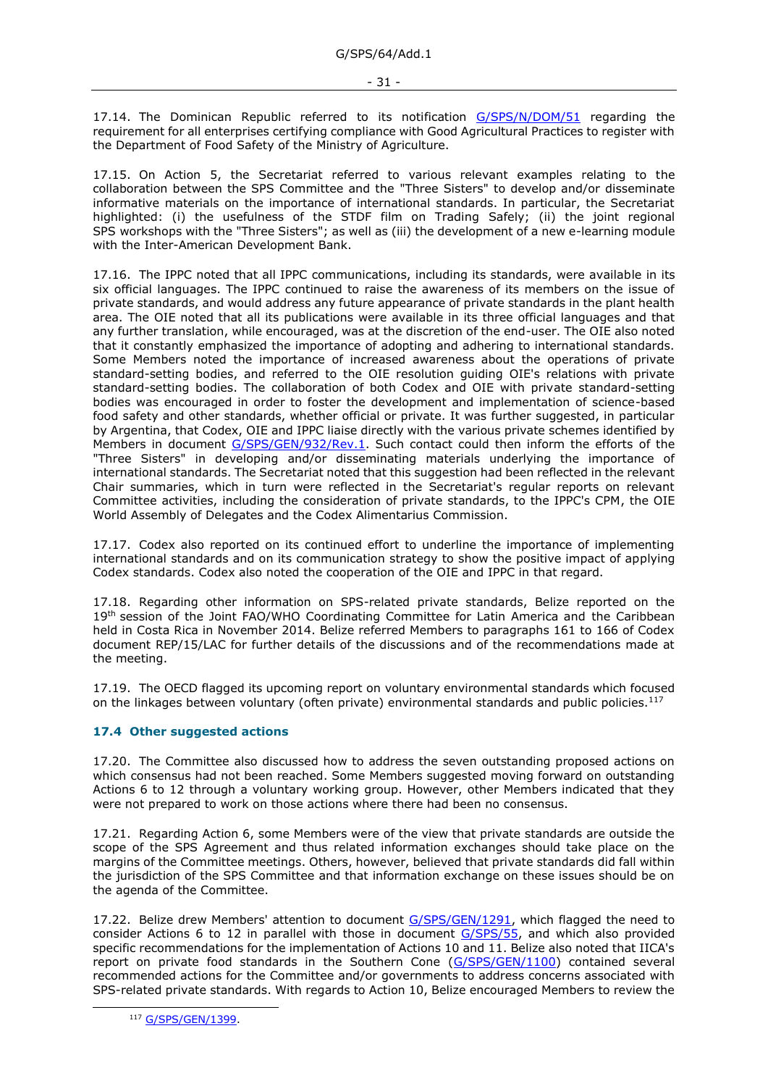17.14. The Dominican Republic referred to its notification [G/SPS/N/DOM/51](https://docs.wto.org/dol2fe/Pages/FE_Search/FE_S_S006.aspx?DataSource=Cat&query=@Symbol=%22G/SPS/N/DOM/51%22%20OR%20@Symbol=%22G/SPS/N/DOM/51/*%22&Language=English&Context=ScriptedSearches&languageUIChanged=true) regarding the requirement for all enterprises certifying compliance with Good Agricultural Practices to register with the Department of Food Safety of the Ministry of Agriculture.

17.15. On Action 5, the Secretariat referred to various relevant examples relating to the collaboration between the SPS Committee and the "Three Sisters" to develop and/or disseminate informative materials on the importance of international standards. In particular, the Secretariat highlighted: (i) the usefulness of the STDF film on Trading Safely; (ii) the joint regional SPS workshops with the "Three Sisters"; as well as (iii) the development of a new e-learning module with the Inter-American Development Bank.

17.16. The IPPC noted that all IPPC communications, including its standards, were available in its six official languages. The IPPC continued to raise the awareness of its members on the issue of private standards, and would address any future appearance of private standards in the plant health area. The OIE noted that all its publications were available in its three official languages and that any further translation, while encouraged, was at the discretion of the end-user. The OIE also noted that it constantly emphasized the importance of adopting and adhering to international standards. Some Members noted the importance of increased awareness about the operations of private standard-setting bodies, and referred to the OIE resolution guiding OIE's relations with private standard-setting bodies. The collaboration of both Codex and OIE with private standard-setting bodies was encouraged in order to foster the development and implementation of science-based food safety and other standards, whether official or private. It was further suggested, in particular by Argentina, that Codex, OIE and IPPC liaise directly with the various private schemes identified by Members in document [G/SPS/GEN/932/Rev.1.](https://docs.wto.org/dol2fe/Pages/FE_Search/FE_S_S006.aspx?DataSource=Cat&query=@Symbol=%22G/SPS/GEN/932/Rev.1%22%20OR%20@Symbol=%22G/SPS/GEN/932/Rev.1/*%22&Language=English&Context=ScriptedSearches&languageUIChanged=true) Such contact could then inform the efforts of the "Three Sisters" in developing and/or disseminating materials underlying the importance of international standards. The Secretariat noted that this suggestion had been reflected in the relevant Chair summaries, which in turn were reflected in the Secretariat's regular reports on relevant Committee activities, including the consideration of private standards, to the IPPC's CPM, the OIE World Assembly of Delegates and the Codex Alimentarius Commission.

17.17. Codex also reported on its continued effort to underline the importance of implementing international standards and on its communication strategy to show the positive impact of applying Codex standards. Codex also noted the cooperation of the OIE and IPPC in that regard.

17.18. Regarding other information on SPS-related private standards, Belize reported on the 19<sup>th</sup> session of the Joint FAO/WHO Coordinating Committee for Latin America and the Caribbean held in Costa Rica in November 2014. Belize referred Members to paragraphs 161 to 166 of Codex document REP/15/LAC for further details of the discussions and of the recommendations made at the meeting.

17.19. The OECD flagged its upcoming report on voluntary environmental standards which focused on the linkages between voluntary (often private) environmental standards and public policies.<sup>117</sup>

### <span id="page-30-0"></span>**17.4 Other suggested actions**

17.20. The Committee also discussed how to address the seven outstanding proposed actions on which consensus had not been reached. Some Members suggested moving forward on outstanding Actions 6 to 12 through a voluntary working group. However, other Members indicated that they were not prepared to work on those actions where there had been no consensus.

17.21. Regarding Action 6, some Members were of the view that private standards are outside the scope of the SPS Agreement and thus related information exchanges should take place on the margins of the Committee meetings. Others, however, believed that private standards did fall within the jurisdiction of the SPS Committee and that information exchange on these issues should be on the agenda of the Committee.

17.22. Belize drew Members' attention to document [G/SPS/GEN/1291,](https://docs.wto.org/dol2fe/Pages/FE_Search/FE_S_S006.aspx?DataSource=Cat&query=@Symbol=%22G/SPS/GEN/1291%22%20OR%20@Symbol=%22G/SPS/GEN/1291/*%22&Language=English&Context=ScriptedSearches&languageUIChanged=true) which flagged the need to consider Actions 6 to 12 in parallel with those in document [G/SPS/55,](https://docs.wto.org/dol2fe/Pages/FE_Search/FE_S_S006.aspx?DataSource=Cat&query=@Symbol=%22G/SPS/55%22%20OR%20@Symbol=%22G/SPS/55/*%22&Language=English&Context=ScriptedSearches&languageUIChanged=true) and which also provided specific recommendations for the implementation of Actions 10 and 11. Belize also noted that IICA's report on private food standards in the Southern Cone [\(G/SPS/GEN/1100\)](https://docs.wto.org/dol2fe/Pages/FE_Search/FE_S_S006.aspx?MetaCollection=WTO&SymbolList=%22G%2fSPS%2fGEN%2f1100%22+OR+%22G%2fSPS%2fGEN%2f1100%2f*%22&Serial=&IssuingDateFrom=&IssuingDateTo=&CATTITLE=&ConcernedCountryList=&OtherCountryList=&SubjectList=&TypeList=&FullTextHash=371857150&ProductList=&BodyList=&OrganizationList=&ArticleList=&Contents=&CollectionList=&RestrictionTypeName=&PostingDateFrom=&PostingDateTo=&DerestrictionDateFrom=&DerestrictionDateTo=&ReferenceList=&Language=ENGLISH&SearchPage=FE_S_S001&ActiveTabIndex=0&HSClassificationList=&ServicesClassificationList=&EnvironmentClassificationList=&ICSClassificationList=&ICSClassificationDescList:EnvironmentClassificationDescList:ServicesClassificationDescList:HSClassificationDescList=&languageUIChanged=true) contained several recommended actions for the Committee and/or governments to address concerns associated with SPS-related private standards. With regards to Action 10, Belize encouraged Members to review the

<sup>117</sup> [G/SPS/GEN/1399.](https://docs.wto.org/dol2fe/Pages/FE_Search/FE_S_S006.aspx?DataSource=Cat&query=@Symbol=%22G/SPS/GEN/1399%22%20OR%20@Symbol=%22G/SPS/GEN/1399/*%22&Language=English&Context=ScriptedSearches&languageUIChanged=true)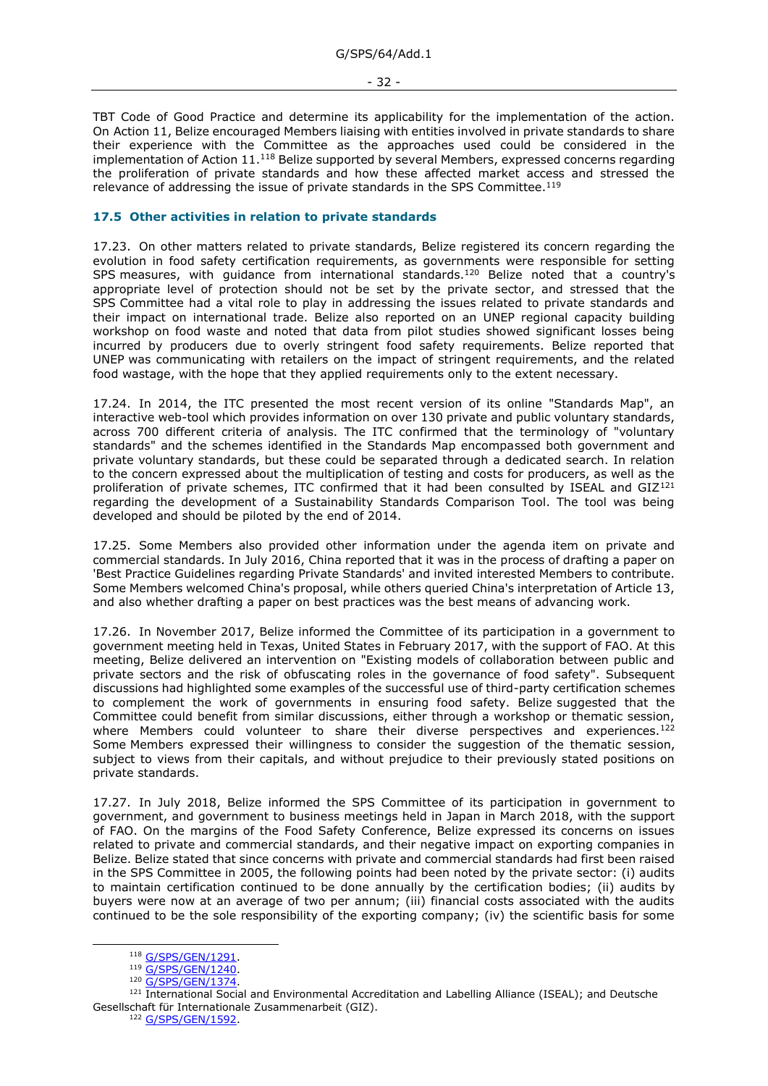TBT Code of Good Practice and determine its applicability for the implementation of the action. On Action 11, Belize encouraged Members liaising with entities involved in private standards to share their experience with the Committee as the approaches used could be considered in the implementation of Action 11.<sup>118</sup> Belize supported by several Members, expressed concerns regarding the proliferation of private standards and how these affected market access and stressed the relevance of addressing the issue of private standards in the SPS Committee.<sup>119</sup>

### <span id="page-31-0"></span>**17.5 Other activities in relation to private standards**

17.23. On other matters related to private standards, Belize registered its concern regarding the evolution in food safety certification requirements, as governments were responsible for setting SPS measures, with guidance from international standards.<sup>120</sup> Belize noted that a country's appropriate level of protection should not be set by the private sector, and stressed that the SPS Committee had a vital role to play in addressing the issues related to private standards and their impact on international trade. Belize also reported on an UNEP regional capacity building workshop on food waste and noted that data from pilot studies showed significant losses being incurred by producers due to overly stringent food safety requirements. Belize reported that UNEP was communicating with retailers on the impact of stringent requirements, and the related food wastage, with the hope that they applied requirements only to the extent necessary.

17.24. In 2014, the ITC presented the most recent version of its online "Standards Map", an interactive web-tool which provides information on over 130 private and public voluntary standards, across 700 different criteria of analysis. The ITC confirmed that the terminology of "voluntary standards" and the schemes identified in the Standards Map encompassed both government and private voluntary standards, but these could be separated through a dedicated search. In relation to the concern expressed about the multiplication of testing and costs for producers, as well as the proliferation of private schemes, ITC confirmed that it had been consulted by ISEAL and GIZ<sup>121</sup> regarding the development of a Sustainability Standards Comparison Tool. The tool was being developed and should be piloted by the end of 2014.

17.25. Some Members also provided other information under the agenda item on private and commercial standards. In July 2016, China reported that it was in the process of drafting a paper on 'Best Practice Guidelines regarding Private Standards' and invited interested Members to contribute. Some Members welcomed China's proposal, while others queried China's interpretation of Article 13, and also whether drafting a paper on best practices was the best means of advancing work.

17.26. In November 2017, Belize informed the Committee of its participation in a government to government meeting held in Texas, United States in February 2017, with the support of FAO. At this meeting, Belize delivered an intervention on "Existing models of collaboration between public and private sectors and the risk of obfuscating roles in the governance of food safety". Subsequent discussions had highlighted some examples of the successful use of third-party certification schemes to complement the work of governments in ensuring food safety. Belize suggested that the Committee could benefit from similar discussions, either through a workshop or thematic session, where Members could volunteer to share their diverse perspectives and experiences.<sup>122</sup> Some Members expressed their willingness to consider the suggestion of the thematic session, subject to views from their capitals, and without prejudice to their previously stated positions on private standards.

17.27. In July 2018, Belize informed the SPS Committee of its participation in government to government, and government to business meetings held in Japan in March 2018, with the support of FAO. On the margins of the Food Safety Conference, Belize expressed its concerns on issues related to private and commercial standards, and their negative impact on exporting companies in Belize. Belize stated that since concerns with private and commercial standards had first been raised in the SPS Committee in 2005, the following points had been noted by the private sector: (i) audits to maintain certification continued to be done annually by the certification bodies; (ii) audits by buyers were now at an average of two per annum; (iii) financial costs associated with the audits continued to be the sole responsibility of the exporting company; (iv) the scientific basis for some

<sup>118</sup> [G/SPS/GEN/1291.](https://docs.wto.org/dol2fe/Pages/FE_Search/FE_S_S006.aspx?DataSource=Cat&query=@Symbol=%22G/SPS/GEN/1291%22%20OR%20@Symbol=%22G/SPS/GEN/1291/*%22&Language=English&Context=ScriptedSearches&languageUIChanged=true)

<sup>119</sup> G/SPS/GEN/1240

<sup>120</sup> [G/SPS/GEN/1374.](https://docs.wto.org/dol2fe/Pages/FE_Search/FE_S_S006.aspx?DataSource=Cat&query=@Symbol=%22G/SPS/GEN/1374%22%20OR%20@Symbol=%22G/SPS/GEN/1374/*%22&Language=English&Context=ScriptedSearches&languageUIChanged=true)

<sup>121</sup> International Social and Environmental Accreditation and Labelling Alliance (ISEAL); and Deutsche Gesellschaft für Internationale Zusammenarbeit (GIZ).

<sup>122</sup> [G/SPS/GEN/1592.](https://docs.wto.org/dol2fe/Pages/FE_Search/FE_S_S006.aspx?DataSource=Cat&query=@Symbol=%22G/SPS/GEN/1592%22%20OR%20@Symbol=%22G/SPS/GEN/1592/*%22&Language=English&Context=ScriptedSearches&languageUIChanged=true)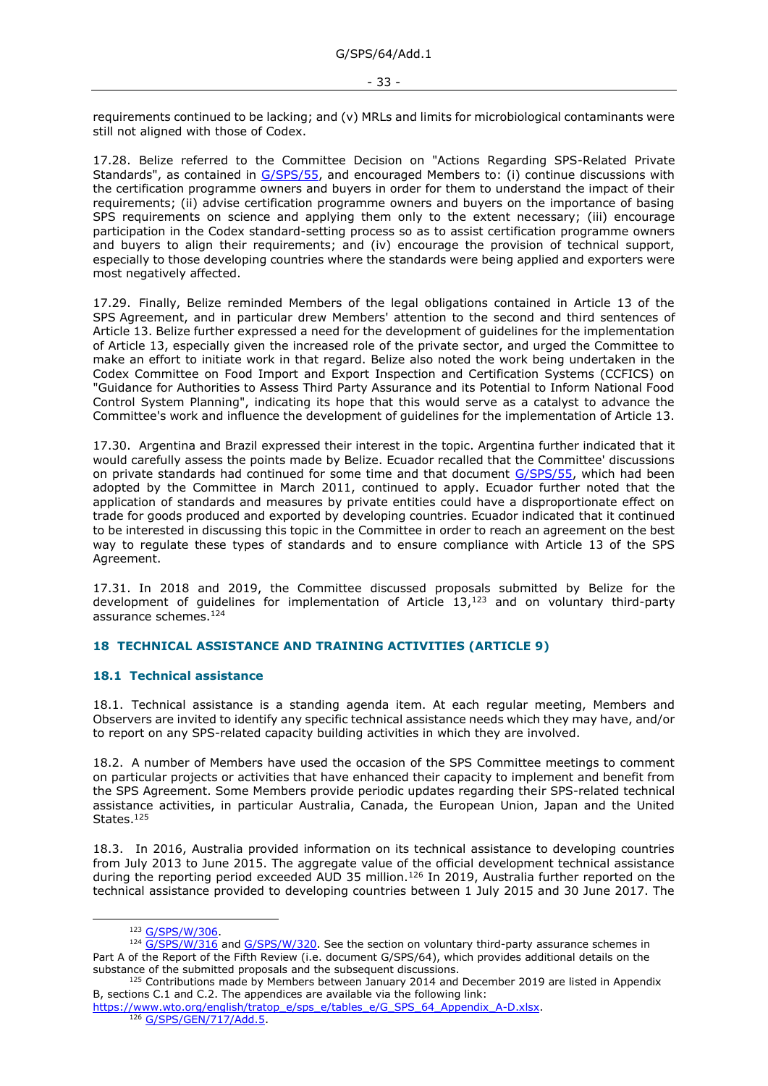requirements continued to be lacking; and (v) MRLs and limits for microbiological contaminants were still not aligned with those of Codex.

17.28. Belize referred to the Committee Decision on "Actions Regarding SPS-Related Private Standards", as contained in [G/SPS/55,](https://docs.wto.org/dol2fe/Pages/FE_Search/FE_S_S006.aspx?DataSource=Cat&query=@Symbol=%22G/SPS/55%22%20OR%20@Symbol=%22G/SPS/55/*%22&Language=English&Context=ScriptedSearches&languageUIChanged=true) and encouraged Members to: (i) continue discussions with the certification programme owners and buyers in order for them to understand the impact of their requirements; (ii) advise certification programme owners and buyers on the importance of basing SPS requirements on science and applying them only to the extent necessary; (iii) encourage participation in the Codex standard-setting process so as to assist certification programme owners and buyers to align their requirements; and (iv) encourage the provision of technical support, especially to those developing countries where the standards were being applied and exporters were most negatively affected.

17.29. Finally, Belize reminded Members of the legal obligations contained in Article 13 of the SPS Agreement, and in particular drew Members' attention to the second and third sentences of Article 13. Belize further expressed a need for the development of guidelines for the implementation of Article 13, especially given the increased role of the private sector, and urged the Committee to make an effort to initiate work in that regard. Belize also noted the work being undertaken in the Codex Committee on Food Import and Export Inspection and Certification Systems (CCFICS) on "Guidance for Authorities to Assess Third Party Assurance and its Potential to Inform National Food Control System Planning", indicating its hope that this would serve as a catalyst to advance the Committee's work and influence the development of guidelines for the implementation of Article 13.

17.30. Argentina and Brazil expressed their interest in the topic. Argentina further indicated that it would carefully assess the points made by Belize. Ecuador recalled that the Committee' discussions on private standards had continued for some time and that document [G/SPS/55,](https://docs.wto.org/dol2fe/Pages/FE_Search/FE_S_S006.aspx?DataSource=Cat&query=@Symbol=%22G/SPS/55%22%20OR%20@Symbol=%22G/SPS/55/*%22&Language=English&Context=ScriptedSearches&languageUIChanged=true) which had been adopted by the Committee in March 2011, continued to apply. Ecuador further noted that the application of standards and measures by private entities could have a disproportionate effect on trade for goods produced and exported by developing countries. Ecuador indicated that it continued to be interested in discussing this topic in the Committee in order to reach an agreement on the best way to regulate these types of standards and to ensure compliance with Article 13 of the SPS Agreement.

17.31. In 2018 and 2019, the Committee discussed proposals submitted by Belize for the development of quidelines for implementation of Article  $13,123$  and on voluntary third-party assurance schemes.<sup>124</sup>

### <span id="page-32-0"></span>**18 TECHNICAL ASSISTANCE AND TRAINING ACTIVITIES (ARTICLE 9)**

### <span id="page-32-1"></span>**18.1 Technical assistance**

18.1. Technical assistance is a standing agenda item. At each regular meeting, Members and Observers are invited to identify any specific technical assistance needs which they may have, and/or to report on any SPS-related capacity building activities in which they are involved.

18.2. A number of Members have used the occasion of the SPS Committee meetings to comment on particular projects or activities that have enhanced their capacity to implement and benefit from the SPS Agreement. Some Members provide periodic updates regarding their SPS-related technical assistance activities, in particular Australia, Canada, the European Union, Japan and the United States.<sup>125</sup>

18.3. In 2016, Australia provided information on its technical assistance to developing countries from July 2013 to June 2015. The aggregate value of the official development technical assistance during the reporting period exceeded AUD 35 million.<sup>126</sup> In 2019, Australia further reported on the technical assistance provided to developing countries between 1 July 2015 and 30 June 2017. The

<sup>123</sup> [G/SPS/W/306.](https://docs.wto.org/dol2fe/Pages/FE_Search/FE_S_S006.aspx?DataSource=Cat&query=@Symbol=%22G/SPS/W/306%22%20OR%20@Symbol=%22G/SPS/W/306/*%22&Language=English&Context=ScriptedSearches&languageUIChanged=true)

 $124$   $G/SPS/W/316$  and  $G/SPS/W/320$ . See the section on voluntary third-party assurance schemes in Part A of the Report of the Fifth Review (i.e. document G/SPS/64), which provides additional details on the substance of the submitted proposals and the subsequent discussions.

<sup>&</sup>lt;sup>125</sup> Contributions made by Members between January 2014 and December 2019 are listed in Appendix B, sections C.1 and C.2. The appendices are available via the following link:

[https://www.wto.org/english/tratop\\_e/sps\\_e/tables\\_e/G\\_SPS\\_64\\_Appendix\\_A-D.xlsx.](https://www.wto.org/english/tratop_e/sps_e/tables_e/G_SPS_64_Appendix_A-D.xlsx) 126 [G/SPS/GEN/717/Add.5.](https://docs.wto.org/dol2fe/Pages/FE_Search/FE_S_S006.aspx?DataSource=Cat&query=@Symbol=%22G/SPS/GEN/717/Add.5%22%20OR%20@Symbol=%22G/SPS/GEN/717/Add.5/*%22&Language=English&Context=ScriptedSearches&languageUIChanged=true)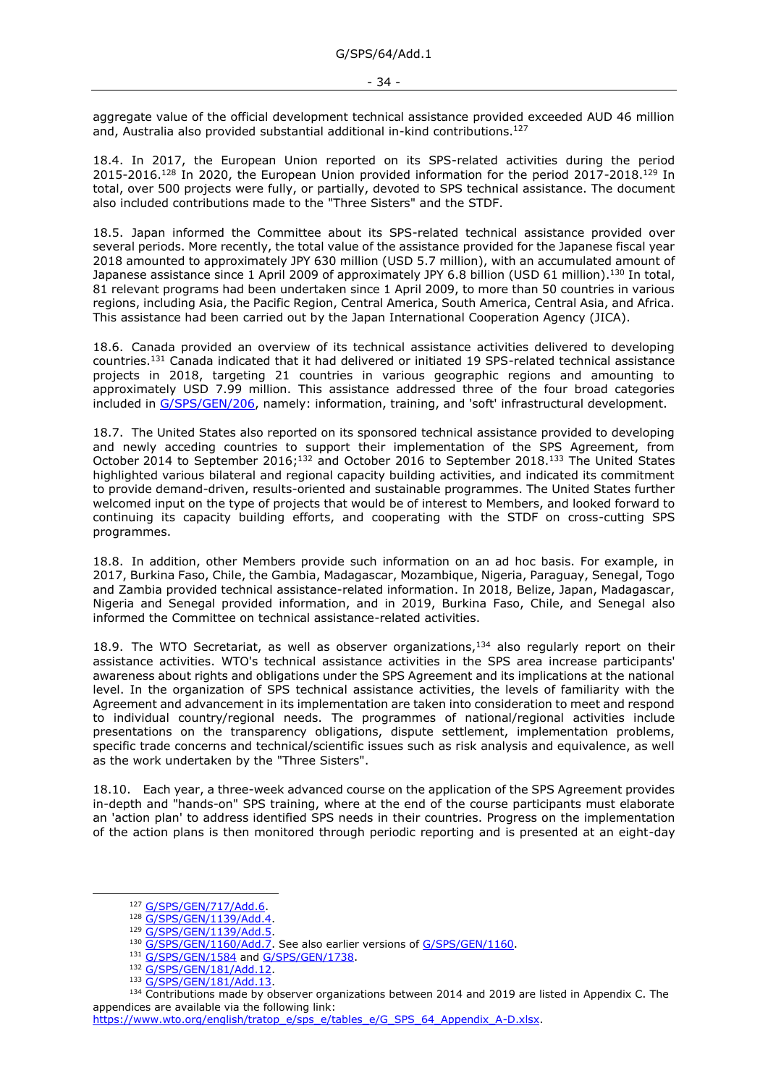aggregate value of the official development technical assistance provided exceeded AUD 46 million and, Australia also provided substantial additional in-kind contributions.<sup>127</sup>

18.4. In 2017, the European Union reported on its SPS-related activities during the period 2015-2016.<sup>128</sup> In 2020, the European Union provided information for the period 2017-2018.<sup>129</sup> In total, over 500 projects were fully, or partially, devoted to SPS technical assistance. The document also included contributions made to the "Three Sisters" and the STDF.

18.5. Japan informed the Committee about its SPS-related technical assistance provided over several periods. More recently, the total value of the assistance provided for the Japanese fiscal year 2018 amounted to approximately JPY 630 million (USD 5.7 million), with an accumulated amount of Japanese assistance since 1 April 2009 of approximately JPY 6.8 billion (USD 61 million).<sup>130</sup> In total, 81 relevant programs had been undertaken since 1 April 2009, to more than 50 countries in various regions, including Asia, the Pacific Region, Central America, South America, Central Asia, and Africa. This assistance had been carried out by the Japan International Cooperation Agency (JICA).

18.6. Canada provided an overview of its technical assistance activities delivered to developing countries.<sup>131</sup> Canada indicated that it had delivered or initiated 19 SPS-related technical assistance projects in 2018, targeting 21 countries in various geographic regions and amounting to approximately USD 7.99 million. This assistance addressed three of the four broad categories included in [G/SPS/GEN/206,](https://docs.wto.org/dol2fe/Pages/FE_Search/FE_S_S006.aspx?DataSource=Cat&query=@Symbol=%22G/SPS/GEN/206%22%20OR%20@Symbol=%22G/SPS/GEN/206/*%22&Language=English&Context=ScriptedSearches&languageUIChanged=true) namely: information, training, and 'soft' infrastructural development.

18.7. The United States also reported on its sponsored technical assistance provided to developing and newly acceding countries to support their implementation of the SPS Agreement, from October 2014 to September 2016;<sup>132</sup> and October 2016 to September 2018.<sup>133</sup> The United States highlighted various bilateral and regional capacity building activities, and indicated its commitment to provide demand-driven, results-oriented and sustainable programmes. The United States further welcomed input on the type of projects that would be of interest to Members, and looked forward to continuing its capacity building efforts, and cooperating with the STDF on cross-cutting SPS programmes.

18.8. In addition, other Members provide such information on an ad hoc basis. For example, in 2017, Burkina Faso, Chile, the Gambia, Madagascar, Mozambique, Nigeria, Paraguay, Senegal, Togo and Zambia provided technical assistance-related information. In 2018, Belize, Japan, Madagascar, Nigeria and Senegal provided information, and in 2019, Burkina Faso, Chile, and Senegal also informed the Committee on technical assistance-related activities.

18.9. The WTO Secretariat, as well as observer organizations,  $134$  also regularly report on their assistance activities. WTO's technical assistance activities in the SPS area increase participants' awareness about rights and obligations under the SPS Agreement and its implications at the national level. In the organization of SPS technical assistance activities, the levels of familiarity with the Agreement and advancement in its implementation are taken into consideration to meet and respond to individual country/regional needs. The programmes of national/regional activities include presentations on the transparency obligations, dispute settlement, implementation problems, specific trade concerns and technical/scientific issues such as risk analysis and equivalence, as well as the work undertaken by the "Three Sisters".

18.10. Each year, a three-week advanced course on the application of the SPS Agreement provides in-depth and "hands-on" SPS training, where at the end of the course participants must elaborate an 'action plan' to address identified SPS needs in their countries. Progress on the implementation of the action plans is then monitored through periodic reporting and is presented at an eight-day

<sup>127</sup> [G/SPS/GEN/717/Add.6.](https://docs.wto.org/dol2fe/Pages/FE_Search/FE_S_S006.aspx?DataSource=Cat&query=@Symbol=%22G/SPS/GEN/717/Add.6%22%20OR%20@Symbol=%22G/SPS/GEN/717/Add.6/*%22&Language=English&Context=ScriptedSearches&languageUIChanged=true)

<sup>128</sup> [G/SPS/GEN/1139/Add.4.](https://docs.wto.org/dol2fe/Pages/FE_Search/FE_S_S006.aspx?DataSource=Cat&query=@Symbol=%22G/SPS/GEN/1139/Add.4%22%20OR%20@Symbol=%22G/SPS/GEN/1139/Add.4/*%22&Language=English&Context=ScriptedSearches&languageUIChanged=true)

<sup>129</sup> [G/SPS/GEN/1139/Add.5.](https://docs.wto.org/dol2fe/Pages/FE_Search/FE_S_S006.aspx?DataSource=Cat&query=@Symbol=%22G/SPS/GEN/1139/Add.5%22%20OR%20@Symbol=%22G/SPS/GEN/1139/Add.5/*%22&Language=English&Context=ScriptedSearches&languageUIChanged=true)

<sup>130</sup> [G/SPS/GEN/1160/Add.7.](https://docs.wto.org/dol2fe/Pages/FE_Search/FE_S_S006.aspx?DataSource=Cat&query=@Symbol=%22G/SPS/GEN/1160/Add.7%22%20OR%20@Symbol=%22G/SPS/GEN/1160/Add.7/*%22&Language=English&Context=ScriptedSearches&languageUIChanged=true) See also earlier versions o[f G/SPS/GEN/1160.](https://docs.wto.org/dol2fe/Pages/FE_Search/FE_S_S006.aspx?DataSource=Cat&query=@Symbol=%22G/SPS/GEN/1160%22%20OR%20@Symbol=%22G/SPS/GEN/1160/*%22&Language=English&Context=ScriptedSearches&languageUIChanged=true)

<sup>131</sup> [G/SPS/GEN/1584](https://docs.wto.org/dol2fe/Pages/FE_Search/FE_S_S006.aspx?DataSource=Cat&query=@Symbol=%22G/SPS/GEN/1584%22%20OR%20@Symbol=%22G/SPS/GEN/1584/*%22&Language=English&Context=ScriptedSearches&languageUIChanged=true) an[d G/SPS/GEN/1738.](https://docs.wto.org/dol2fe/Pages/FE_Search/FE_S_S006.aspx?DataSource=Cat&query=@Symbol=%22G/SPS/GEN/1738%22%20OR%20@Symbol=%22G/SPS/GEN/1738/*%22&Language=English&Context=ScriptedSearches&languageUIChanged=true)

<sup>132</sup> [G/SPS/GEN/181/Add.12.](https://docs.wto.org/dol2fe/Pages/FE_Search/FE_S_S006.aspx?DataSource=Cat&query=@Symbol=%22G/SPS/GEN/181/Add.12%22%20OR%20@Symbol=%22G/SPS/GEN/181/Add.12/*%22&Language=English&Context=ScriptedSearches&languageUIChanged=true)

<sup>133</sup> [G/SPS/GEN/181/Add.13.](https://docs.wto.org/dol2fe/Pages/FE_Search/FE_S_S006.aspx?DataSource=Cat&query=@Symbol=%22G/SPS/GEN/181/Add.13%22%20OR%20@Symbol=%22G/SPS/GEN/181/Add.13/*%22&Language=English&Context=ScriptedSearches&languageUIChanged=true)

<sup>134</sup> Contributions made by observer organizations between 2014 and 2019 are listed in Appendix C. The appendices are available via the following link:

[https://www.wto.org/english/tratop\\_e/sps\\_e/tables\\_e/G\\_SPS\\_64\\_Appendix\\_A-D.xlsx.](https://www.wto.org/english/tratop_e/sps_e/tables_e/G_SPS_64_Appendix_A-D.xlsx)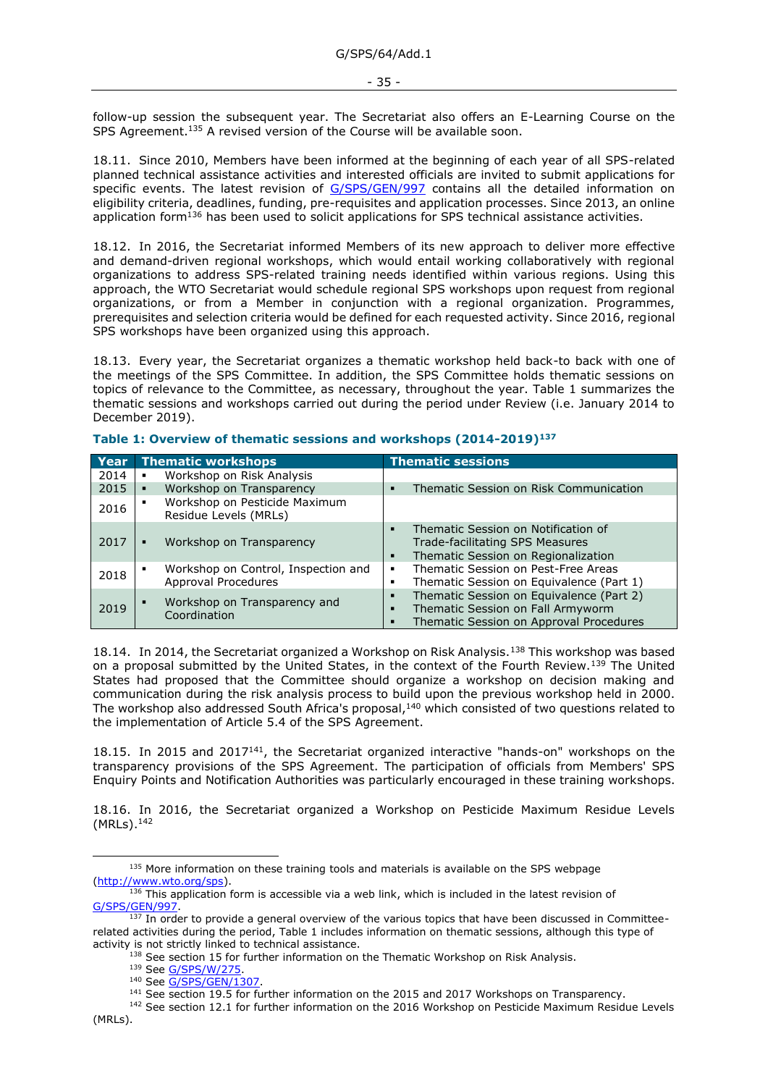follow-up session the subsequent year. The Secretariat also offers an E-Learning Course on the SPS Agreement.<sup>135</sup> A revised version of the Course will be available soon.

18.11. Since 2010, Members have been informed at the beginning of each year of all SPS-related planned technical assistance activities and interested officials are invited to submit applications for specific events. The latest revision of [G/SPS/GEN/997](https://docs.wto.org/dol2fe/Pages/FE_Search/FE_S_S006.aspx?DataSource=Cat&query=@Symbol=%22G/SPS/GEN/997%22%20OR%20@Symbol=%22G/SPS/GEN/997/*%22&Language=English&Context=ScriptedSearches&languageUIChanged=true) contains all the detailed information on eligibility criteria, deadlines, funding, pre-requisites and application processes. Since 2013, an online application form<sup>136</sup> has been used to solicit applications for SPS technical assistance activities.

18.12. In 2016, the Secretariat informed Members of its new approach to deliver more effective and demand-driven regional workshops, which would entail working collaboratively with regional organizations to address SPS-related training needs identified within various regions. Using this approach, the WTO Secretariat would schedule regional SPS workshops upon request from regional organizations, or from a Member in conjunction with a regional organization. Programmes, prerequisites and selection criteria would be defined for each requested activity. Since 2016, regional SPS workshops have been organized using this approach.

18.13. Every year, the Secretariat organizes a thematic workshop held back-to back with one of the meetings of the SPS Committee. In addition, the SPS Committee holds thematic sessions on topics of relevance to the Committee, as necessary, throughout the year. Table 1 summarizes the thematic sessions and workshops carried out during the period under Review (i.e. January 2014 to December 2019).

| Year | <b>Thematic workshops</b>                                  | <b>Thematic sessions</b>                                                                                                       |
|------|------------------------------------------------------------|--------------------------------------------------------------------------------------------------------------------------------|
| 2014 | Workshop on Risk Analysis                                  |                                                                                                                                |
| 2015 | Workshop on Transparency                                   | Thematic Session on Risk Communication                                                                                         |
| 2016 | Workshop on Pesticide Maximum<br>Residue Levels (MRLs)     |                                                                                                                                |
| 2017 | Workshop on Transparency<br>п                              | Thematic Session on Notification of<br>п<br><b>Trade-facilitating SPS Measures</b><br>Thematic Session on Regionalization<br>п |
| 2018 | Workshop on Control, Inspection and<br>Approval Procedures | Thematic Session on Pest-Free Areas<br>п<br>Thematic Session on Equivalence (Part 1)<br>п                                      |
| 2019 | Workshop on Transparency and<br>Coordination               | Thematic Session on Equivalence (Part 2)<br>Thematic Session on Fall Armyworm<br>п<br>Thematic Session on Approval Procedures  |

#### **Table 1: Overview of thematic sessions and workshops (2014-2019)<sup>137</sup>**

18.14. In 2014, the Secretariat organized a Workshop on Risk Analysis.<sup>138</sup> This workshop was based on a proposal submitted by the United States, in the context of the Fourth Review.<sup>139</sup> The United States had proposed that the Committee should organize a workshop on decision making and communication during the risk analysis process to build upon the previous workshop held in 2000. The workshop also addressed South Africa's proposal,<sup>140</sup> which consisted of two questions related to the implementation of Article 5.4 of the SPS Agreement.

18.15. In 2015 and 2017<sup>141</sup>, the Secretariat organized interactive "hands-on" workshops on the transparency provisions of the SPS Agreement. The participation of officials from Members' SPS Enquiry Points and Notification Authorities was particularly encouraged in these training workshops.

18.16. In 2016, the Secretariat organized a Workshop on Pesticide Maximum Residue Levels (MRLs).<sup>142</sup>

 $135$  More information on these training tools and materials is available on the SPS webpage [\(http://www.wto.org/sps\)](http://www.wto.org/sps).

 $136$  This application form is accessible via a web link, which is included in the latest revision of [G/SPS/GEN/997.](https://docs.wto.org/dol2fe/Pages/FE_Search/FE_S_S006.aspx?DataSource=Cat&query=@Symbol=%22G/SPS/GEN/997%22%20OR%20@Symbol=%22G/SPS/GEN/997/*%22&Language=English&Context=ScriptedSearches&languageUIChanged=true)

<sup>&</sup>lt;sup>137</sup> In order to provide a general overview of the various topics that have been discussed in Committeerelated activities during the period, Table 1 includes information on thematic sessions, although this type of activity is not strictly linked to technical assistance.

 $138$  See section 15 for further information on the Thematic Workshop on Risk Analysis.

<sup>139</sup> See [G/SPS/W/275.](https://docs.wto.org/dol2fe/Pages/FE_Search/FE_S_S006.aspx?DataSource=Cat&query=@Symbol=%22G/SPS/W/275%22%20OR%20@Symbol=%22G/SPS/W/275/*%22&Language=English&Context=ScriptedSearches&languageUIChanged=true)

<sup>140</sup> See [G/SPS/GEN/1307.](https://docs.wto.org/dol2fe/Pages/FE_Search/FE_S_S006.aspx?DataSource=Cat&query=@Symbol=%22G/SPS/GEN/1307%22%20OR%20@Symbol=%22G/SPS/GEN/1307/*%22&Language=English&Context=ScriptedSearches&languageUIChanged=true)

<sup>&</sup>lt;sup>141</sup> See section 19.5 for further information on the 2015 and 2017 Workshops on Transparency.

<sup>&</sup>lt;sup>142</sup> See section 12.1 for further information on the 2016 Workshop on Pesticide Maximum Residue Levels (MRLs).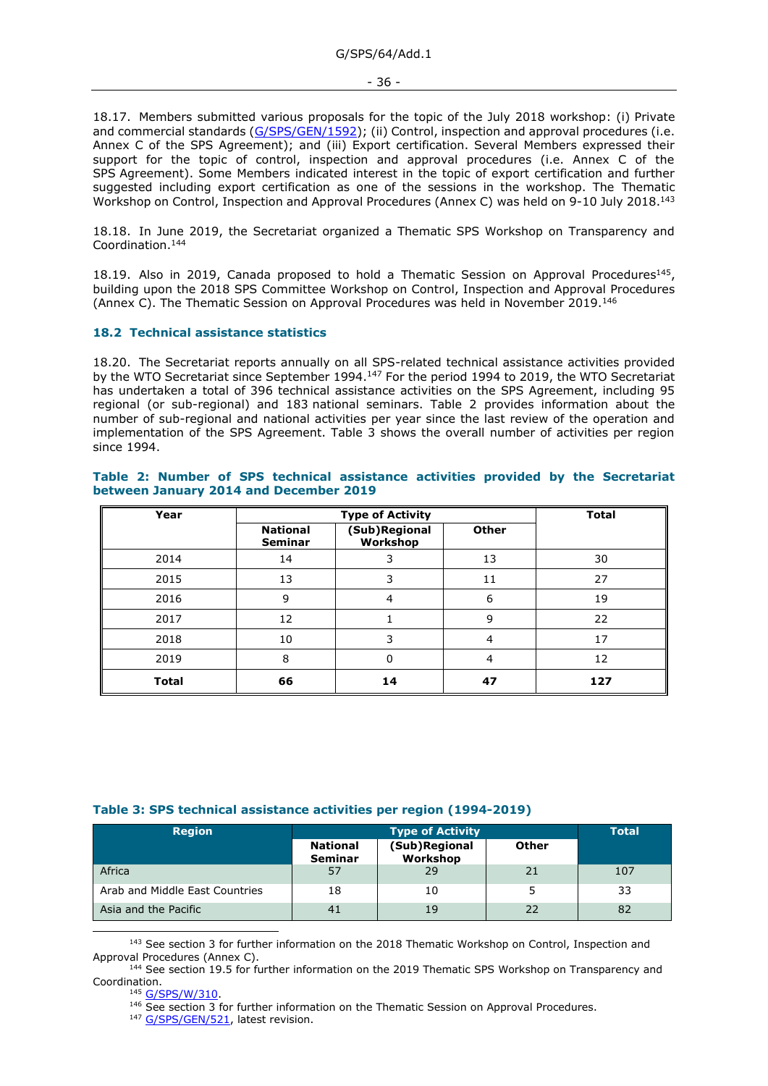18.17. Members submitted various proposals for the topic of the July 2018 workshop: (i) Private and commercial standards [\(G/SPS/GEN/1592\)](https://docs.wto.org/dol2fe/Pages/FE_Search/FE_S_S006.aspx?MetaCollection=WTO&SymbolList=%22G%2fSPS%2fGEN%2f1592%22+OR+%22G%2fSPS%2fGEN%2f1592%2f*%22&Serial=&IssuingDateFrom=&IssuingDateTo=&CATTITLE=&ConcernedCountryList=&OtherCountryList=&SubjectList=&TypeList=&FullTextHash=371857150&ProductList=&BodyList=&OrganizationList=&ArticleList=&Contents=&CollectionList=&RestrictionTypeName=&PostingDateFrom=&PostingDateTo=&DerestrictionDateFrom=&DerestrictionDateTo=&ReferenceList=&Language=ENGLISH&SearchPage=FE_S_S001&ActiveTabIndex=0&HSClassificationList=&ServicesClassificationList=&EnvironmentClassificationList=&ICSClassificationList=&ICSClassificationDescList:EnvironmentClassificationDescList:ServicesClassificationDescList:HSClassificationDescList=&languageUIChanged=true); (ii) Control, inspection and approval procedures (i.e. Annex C of the SPS Agreement); and (iii) Export certification. Several Members expressed their support for the topic of control, inspection and approval procedures (i.e. Annex C of the SPS Agreement). Some Members indicated interest in the topic of export certification and further suggested including export certification as one of the sessions in the workshop. The Thematic Workshop on Control, Inspection and Approval Procedures (Annex C) was held on 9-10 July 2018.<sup>143</sup>

18.18. In June 2019, the Secretariat organized a Thematic SPS Workshop on Transparency and Coordination.<sup>144</sup>

18.19. Also in 2019, Canada proposed to hold a Thematic Session on Approval Procedures<sup>145</sup>, building upon the 2018 SPS Committee Workshop on Control, Inspection and Approval Procedures (Annex C). The Thematic Session on Approval Procedures was held in November 2019.<sup>146</sup>

### <span id="page-35-0"></span>**18.2 Technical assistance statistics**

18.20. The Secretariat reports annually on all SPS-related technical assistance activities provided by the WTO Secretariat since September 1994.<sup>147</sup> For the period 1994 to 2019, the WTO Secretariat has undertaken a total of 396 technical assistance activities on the SPS Agreement, including 95 regional (or sub-regional) and 183 national seminars. Table 2 provides information about the number of sub-regional and national activities per year since the last review of the operation and implementation of the SPS Agreement. Table 3 shows the overall number of activities per region since 1994.

## **Table 2: Number of SPS technical assistance activities provided by the Secretariat between January 2014 and December 2019**

| Year         |                            | <b>Total</b>              |              |     |
|--------------|----------------------------|---------------------------|--------------|-----|
|              | <b>National</b><br>Seminar | (Sub)Regional<br>Workshop | <b>Other</b> |     |
| 2014         | 14                         |                           | 13           | 30  |
| 2015         | 13                         | 3                         | 11           | 27  |
| 2016         | 9                          | 4                         | 6            | 19  |
| 2017         | 12                         |                           | 9            | 22  |
| 2018         | 10                         | 3                         | 4            | 17  |
| 2019         | 8                          | 0                         | 4            | 12  |
| <b>Total</b> | 66                         | 14                        | 47           | 127 |

### **Table 3: SPS technical assistance activities per region (1994-2019)**

| <b>Region</b>                  | <b>Type of Activity</b>           |                           |       | <b>Total</b> |
|--------------------------------|-----------------------------------|---------------------------|-------|--------------|
|                                | <b>National</b><br><b>Seminar</b> | (Sub)Regional<br>Workshop | Other |              |
| Africa                         | 57                                | 29                        | 21    | 107          |
| Arab and Middle East Countries | 18                                | 10                        |       | 33           |
| Asia and the Pacific           | 41                                | 19                        | 22    | 82           |

<sup>143</sup> See section 3 for further information on the 2018 Thematic Workshop on Control, Inspection and Approval Procedures (Annex C).

<sup>&</sup>lt;sup>144</sup> See section 19.5 for further information on the 2019 Thematic SPS Workshop on Transparency and Coordination.

<sup>145</sup> [G/SPS/W/310.](https://docs.wto.org/dol2fe/Pages/FE_Search/FE_S_S006.aspx?DataSource=Cat&query=@Symbol=%22G/SPS/W/310%22%20OR%20@Symbol=%22G/SPS/W/310/*%22&Language=English&Context=ScriptedSearches&languageUIChanged=true)

<sup>&</sup>lt;sup>146</sup> See section 3 for further information on the Thematic Session on Approval Procedures.

<sup>&</sup>lt;sup>147</sup> [G/SPS/GEN/521,](https://docs.wto.org/dol2fe/Pages/FE_Search/FE_S_S006.aspx?DataSource=Cat&query=@Symbol=%22G/SPS/GEN/521%22%20OR%20@Symbol=%22G/SPS/GEN/521/*%22&Language=English&Context=ScriptedSearches&languageUIChanged=true) latest revision.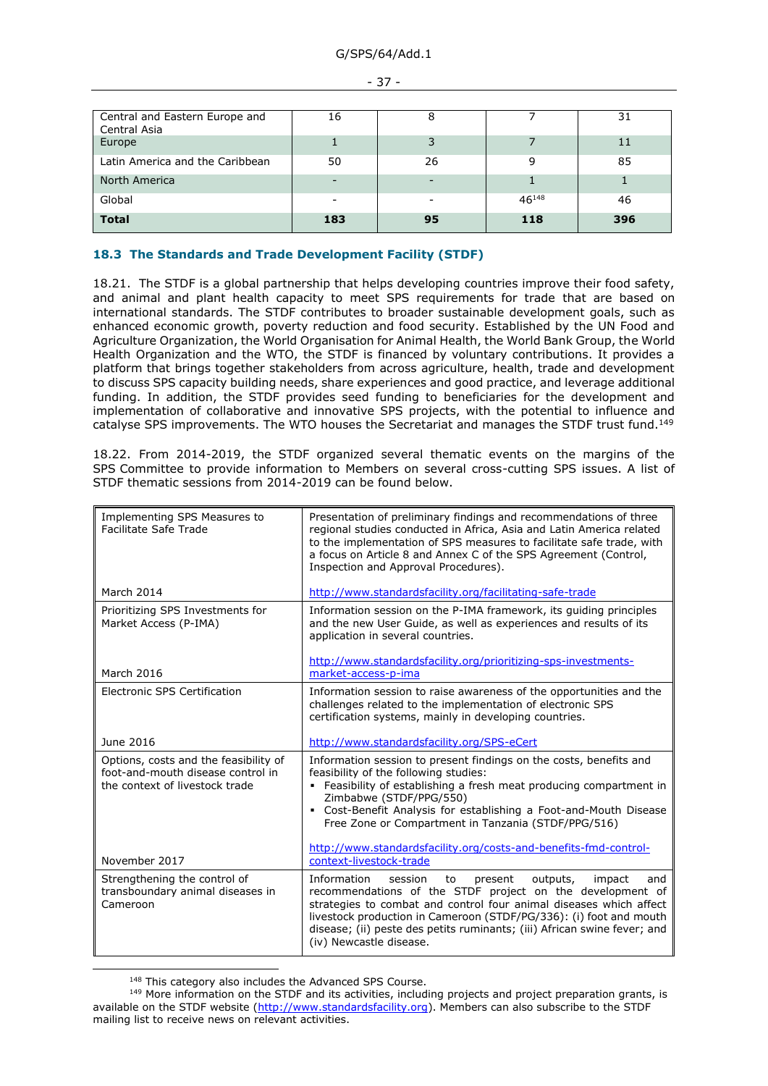| Central and Eastern Europe and<br>Central Asia | 16  | 8  |            | 31  |
|------------------------------------------------|-----|----|------------|-----|
| Europe                                         |     | 3  |            | 11  |
| Latin America and the Caribbean                | 50  | 26 | 9          | 85  |
| North America                                  |     |    |            |     |
| Global                                         |     | ۰  | $46^{148}$ | 46  |
| <b>Total</b>                                   | 183 | 95 | 118        | 396 |

### - 37 -

## <span id="page-36-0"></span>**18.3 The Standards and Trade Development Facility (STDF)**

18.21. The STDF is a global partnership that helps developing countries improve their food safety, and animal and plant health capacity to meet SPS requirements for trade that are based on international standards. The STDF contributes to broader sustainable development goals, such as enhanced economic growth, poverty reduction and food security. Established by the UN Food and Agriculture Organization, the World Organisation for Animal Health, the World Bank Group, the World Health Organization and the WTO, the STDF is financed by voluntary contributions. It provides a platform that brings together stakeholders from across agriculture, health, trade and development to discuss SPS capacity building needs, share experiences and good practice, and leverage additional funding. In addition, the STDF provides seed funding to beneficiaries for the development and implementation of collaborative and innovative SPS projects, with the potential to influence and catalyse SPS improvements. The WTO houses the Secretariat and manages the STDF trust fund.<sup>149</sup>

18.22. From 2014-2019, the STDF organized several thematic events on the margins of the SPS Committee to provide information to Members on several cross-cutting SPS issues. A list of STDF thematic sessions from 2014-2019 can be found below.

| Implementing SPS Measures to<br>Facilitate Safe Trade                                                        | Presentation of preliminary findings and recommendations of three<br>regional studies conducted in Africa, Asia and Latin America related<br>to the implementation of SPS measures to facilitate safe trade, with<br>a focus on Article 8 and Annex C of the SPS Agreement (Control,<br>Inspection and Approval Procedures).                                                                                |
|--------------------------------------------------------------------------------------------------------------|-------------------------------------------------------------------------------------------------------------------------------------------------------------------------------------------------------------------------------------------------------------------------------------------------------------------------------------------------------------------------------------------------------------|
| March 2014                                                                                                   | http://www.standardsfacility.org/facilitating-safe-trade                                                                                                                                                                                                                                                                                                                                                    |
| Prioritizing SPS Investments for<br>Market Access (P-IMA)                                                    | Information session on the P-IMA framework, its quiding principles<br>and the new User Guide, as well as experiences and results of its<br>application in several countries.                                                                                                                                                                                                                                |
| March 2016                                                                                                   | http://www.standardsfacility.org/prioritizing-sps-investments-<br>market-access-p-ima                                                                                                                                                                                                                                                                                                                       |
| Electronic SPS Certification                                                                                 | Information session to raise awareness of the opportunities and the<br>challenges related to the implementation of electronic SPS<br>certification systems, mainly in developing countries.                                                                                                                                                                                                                 |
| June 2016                                                                                                    | http://www.standardsfacility.org/SPS-eCert                                                                                                                                                                                                                                                                                                                                                                  |
| Options, costs and the feasibility of<br>foot-and-mouth disease control in<br>the context of livestock trade | Information session to present findings on the costs, benefits and<br>feasibility of the following studies:<br>Feasibility of establishing a fresh meat producing compartment in<br>Zimbabwe (STDF/PPG/550)<br>• Cost-Benefit Analysis for establishing a Foot-and-Mouth Disease<br>Free Zone or Compartment in Tanzania (STDF/PPG/516)<br>http://www.standardsfacility.org/costs-and-benefits-fmd-control- |
| November 2017                                                                                                | context-livestock-trade                                                                                                                                                                                                                                                                                                                                                                                     |
| Strengthening the control of<br>transboundary animal diseases in<br>Cameroon                                 | Information<br>session<br>outputs,<br>impact<br>to<br>present<br>and<br>recommendations of the STDF project on the development of<br>strategies to combat and control four animal diseases which affect<br>livestock production in Cameroon (STDF/PG/336): (i) foot and mouth<br>disease; (ii) peste des petits ruminants; (iii) African swine fever; and                                                   |

<sup>&</sup>lt;sup>148</sup> This category also includes the Advanced SPS Course.

<sup>&</sup>lt;sup>149</sup> More information on the STDF and its activities, including projects and project preparation grants, is available on the STDF website [\(http://www.standardsfacility.org\)](http://www.standardsfacility.org/). Members can also subscribe to the STDF mailing list to receive news on relevant activities.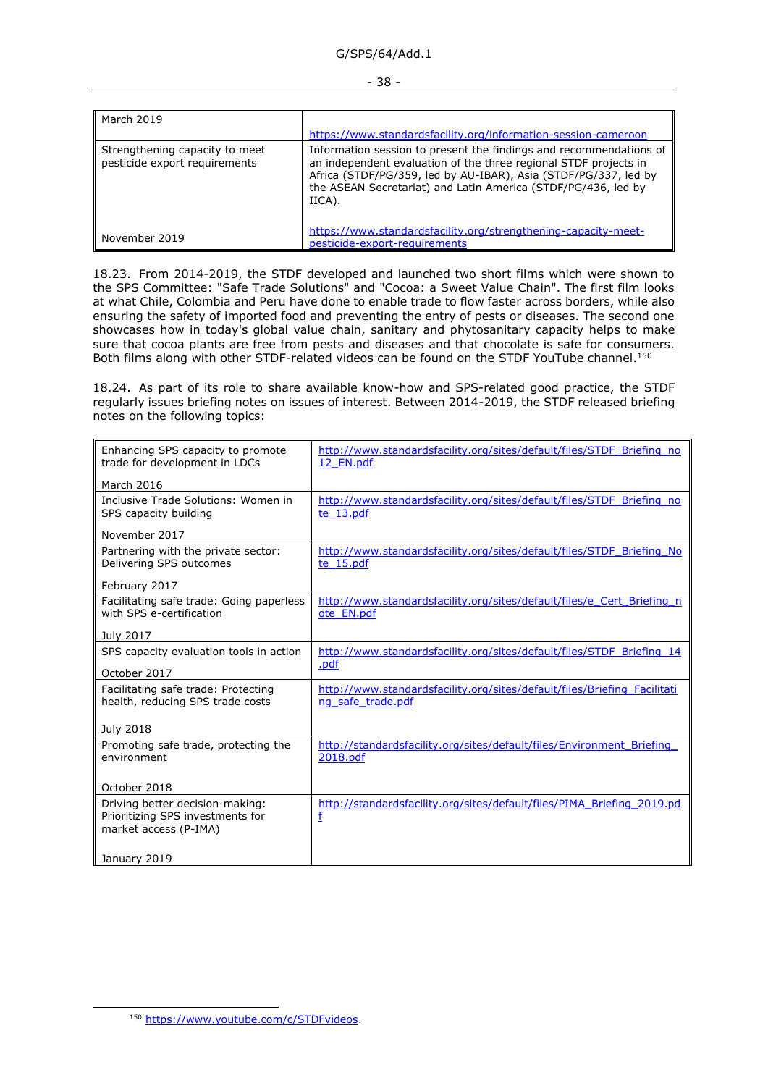### G/SPS/64/Add.1

#### - 38 -

| March 2019                                                      | https://www.standardsfacility.org/information-session-cameroon                                                                                                                                                                                                                       |
|-----------------------------------------------------------------|--------------------------------------------------------------------------------------------------------------------------------------------------------------------------------------------------------------------------------------------------------------------------------------|
| Strengthening capacity to meet<br>pesticide export requirements | Information session to present the findings and recommendations of<br>an independent evaluation of the three regional STDF projects in<br>Africa (STDF/PG/359, led by AU-IBAR), Asia (STDF/PG/337, led by<br>the ASEAN Secretariat) and Latin America (STDF/PG/436, led by<br>IICA). |
| November 2019                                                   | https://www.standardsfacility.org/strengthening-capacity-meet-<br>pesticide-export-requirements                                                                                                                                                                                      |

18.23. From 2014-2019, the STDF developed and launched two short films which were shown to the SPS Committee: "Safe Trade Solutions" and "Cocoa: a Sweet Value Chain". The first film looks at what Chile, Colombia and Peru have done to enable trade to flow faster across borders, while also ensuring the safety of imported food and preventing the entry of pests or diseases. The second one showcases how in today's global value chain, sanitary and phytosanitary capacity helps to make sure that cocoa plants are free from pests and diseases and that chocolate is safe for consumers. Both films along with other STDF-related videos can be found on the STDF YouTube channel.<sup>150</sup>

18.24. As part of its role to share available know-how and SPS-related good practice, the STDF regularly issues briefing notes on issues of interest. Between 2014-2019, the STDF released briefing notes on the following topics:

| Enhancing SPS capacity to promote<br>trade for development in LDCs                           | http://www.standardsfacility.org/sites/default/files/STDF Briefing no<br>12 EN.pdf            |
|----------------------------------------------------------------------------------------------|-----------------------------------------------------------------------------------------------|
| March 2016                                                                                   |                                                                                               |
| Inclusive Trade Solutions: Women in<br>SPS capacity building                                 | http://www.standardsfacility.org/sites/default/files/STDF Briefing no<br>te 13.pdf            |
| November 2017                                                                                |                                                                                               |
| Partnering with the private sector:<br>Delivering SPS outcomes                               | http://www.standardsfacility.org/sites/default/files/STDF Briefing No<br>te 15.pdf            |
| February 2017                                                                                |                                                                                               |
| Facilitating safe trade: Going paperless<br>with SPS e-certification                         | http://www.standardsfacility.org/sites/default/files/e Cert Briefing n<br>ote EN.pdf          |
| July 2017                                                                                    |                                                                                               |
| SPS capacity evaluation tools in action<br>October 2017                                      | http://www.standardsfacility.org/sites/default/files/STDF Briefing 14<br>.pdf                 |
| Facilitating safe trade: Protecting<br>health, reducing SPS trade costs                      | http://www.standardsfacility.org/sites/default/files/Briefing Facilitati<br>ng safe trade.pdf |
| <b>July 2018</b>                                                                             |                                                                                               |
| Promoting safe trade, protecting the<br>environment                                          | http://standardsfacility.org/sites/default/files/Environment Briefing<br>2018.pdf             |
| October 2018                                                                                 |                                                                                               |
| Driving better decision-making:<br>Prioritizing SPS investments for<br>market access (P-IMA) | http://standardsfacility.org/sites/default/files/PIMA Briefing 2019.pd<br>f                   |
| January 2019                                                                                 |                                                                                               |

<sup>150</sup> [https://www.youtube.com/c/STDFvideos.](https://www.youtube.com/c/STDFvideos)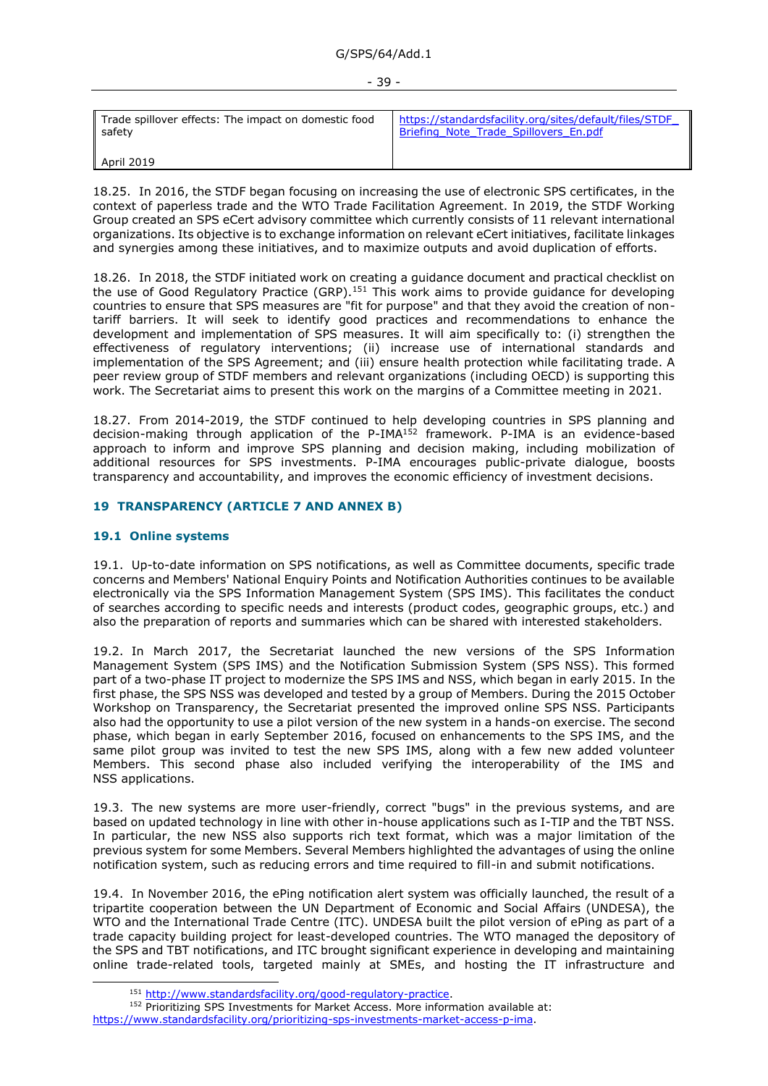| Trade spillover effects: The impact on domestic food | https://standardsfacility.org/sites/default/files/STDF |
|------------------------------------------------------|--------------------------------------------------------|
| safety                                               | Briefing Note Trade Spillovers En.pdf                  |
| $\parallel$ April 2019                               |                                                        |

18.25. In 2016, the STDF began focusing on increasing the use of electronic SPS certificates, in the context of paperless trade and the WTO Trade Facilitation Agreement. In 2019, the STDF Working Group created an SPS eCert advisory committee which currently consists of 11 relevant international organizations. Its objective is to exchange information on relevant eCert initiatives, facilitate linkages and synergies among these initiatives, and to maximize outputs and avoid duplication of efforts.

18.26. In 2018, the STDF initiated work on creating a guidance document and practical checklist on the use of Good Regulatory Practice (GRP).<sup>151</sup> This work aims to provide guidance for developing countries to ensure that SPS measures are "fit for purpose" and that they avoid the creation of nontariff barriers. It will seek to identify good practices and recommendations to enhance the development and implementation of SPS measures. It will aim specifically to: (i) strengthen the effectiveness of regulatory interventions; (ii) increase use of international standards and implementation of the SPS Agreement; and (iii) ensure health protection while facilitating trade. A peer review group of STDF members and relevant organizations (including OECD) is supporting this work. The Secretariat aims to present this work on the margins of a Committee meeting in 2021.

18.27. From 2014-2019, the STDF continued to help developing countries in SPS planning and decision-making through application of the P-IMA<sup>152</sup> framework. P-IMA is an evidence-based approach to inform and improve SPS planning and decision making, including mobilization of additional resources for SPS investments. P-IMA encourages public-private dialogue, boosts transparency and accountability, and improves the economic efficiency of investment decisions.

#### <span id="page-38-0"></span>**19 TRANSPARENCY (ARTICLE 7 AND ANNEX B)**

### <span id="page-38-1"></span>**19.1 Online systems**

19.1. Up-to-date information on SPS notifications, as well as Committee documents, specific trade concerns and Members' National Enquiry Points and Notification Authorities continues to be available electronically via the SPS Information Management System (SPS IMS). This facilitates the conduct of searches according to specific needs and interests (product codes, geographic groups, etc.) and also the preparation of reports and summaries which can be shared with interested stakeholders.

19.2. In March 2017, the Secretariat launched the new versions of the SPS Information Management System (SPS IMS) and the Notification Submission System (SPS NSS). This formed part of a two-phase IT project to modernize the SPS IMS and NSS, which began in early 2015. In the first phase, the SPS NSS was developed and tested by a group of Members. During the 2015 October Workshop on Transparency, the Secretariat presented the improved online SPS NSS. Participants also had the opportunity to use a pilot version of the new system in a hands-on exercise. The second phase, which began in early September 2016, focused on enhancements to the SPS IMS, and the same pilot group was invited to test the new SPS IMS, along with a few new added volunteer Members. This second phase also included verifying the interoperability of the IMS and NSS applications.

19.3. The new systems are more user-friendly, correct "bugs" in the previous systems, and are based on updated technology in line with other in-house applications such as I-TIP and the TBT NSS. In particular, the new NSS also supports rich text format, which was a major limitation of the previous system for some Members. Several Members highlighted the advantages of using the online notification system, such as reducing errors and time required to fill-in and submit notifications.

19.4. In November 2016, the ePing notification alert system was officially launched, the result of a tripartite cooperation between the UN Department of Economic and Social Affairs (UNDESA), the WTO and the International Trade Centre (ITC). UNDESA built the pilot version of ePing as part of a trade capacity building project for least-developed countries. The WTO managed the depository of the SPS and TBT notifications, and ITC brought significant experience in developing and maintaining online trade-related tools, targeted mainly at SMEs, and hosting the IT infrastructure and

<sup>151</sup> [http://www.standardsfacility.org/good-regulatory-practice.](http://www.standardsfacility.org/good-regulatory-practice)

<sup>152</sup> Prioritizing SPS Investments for Market Access. More information available at: [https://www.standardsfacility.org/prioritizing-sps-investments-market-access-p-ima.](https://www.standardsfacility.org/prioritizing-sps-investments-market-access-p-ima)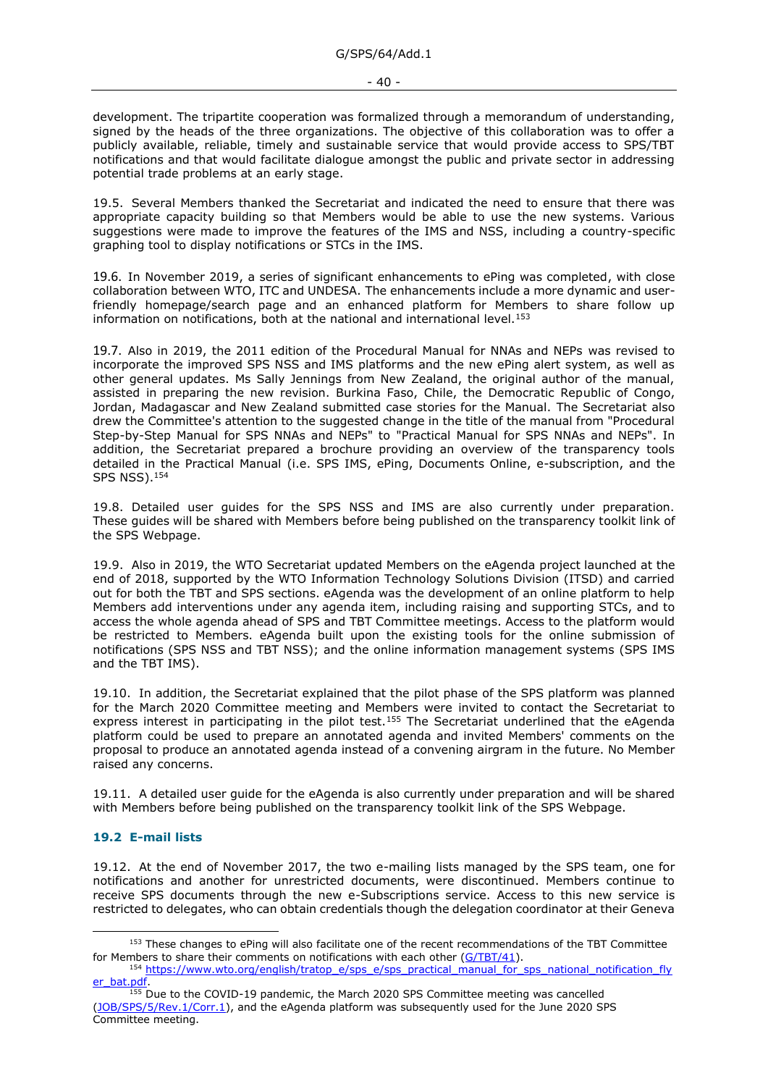development. The tripartite cooperation was formalized through a memorandum of understanding, signed by the heads of the three organizations. The objective of this collaboration was to offer a publicly available, reliable, timely and sustainable service that would provide access to SPS/TBT notifications and that would facilitate dialogue amongst the public and private sector in addressing potential trade problems at an early stage.

19.5. Several Members thanked the Secretariat and indicated the need to ensure that there was appropriate capacity building so that Members would be able to use the new systems. Various suggestions were made to improve the features of the IMS and NSS, including a country-specific graphing tool to display notifications or STCs in the IMS.

19.6. In November 2019, a series of significant enhancements to ePing was completed, with close collaboration between WTO, ITC and UNDESA. The enhancements include a more dynamic and userfriendly homepage/search page and an enhanced platform for Members to share follow up information on notifications, both at the national and international level.<sup>153</sup>

19.7. Also in 2019, the 2011 edition of the Procedural Manual for NNAs and NEPs was revised to incorporate the improved SPS NSS and IMS platforms and the new ePing alert system, as well as other general updates. Ms Sally Jennings from New Zealand, the original author of the manual, assisted in preparing the new revision. Burkina Faso, Chile, the Democratic Republic of Congo, Jordan, Madagascar and New Zealand submitted case stories for the Manual. The Secretariat also drew the Committee's attention to the suggested change in the title of the manual from "Procedural Step-by-Step Manual for SPS NNAs and NEPs" to "Practical Manual for SPS NNAs and NEPs". In addition, the Secretariat prepared a brochure providing an overview of the transparency tools detailed in the Practical Manual (i.e. SPS IMS, ePing, Documents Online, e-subscription, and the SPS NSS). 154

19.8. Detailed user guides for the SPS NSS and IMS are also currently under preparation. These guides will be shared with Members before being published on the transparency toolkit link of the SPS Webpage.

19.9. Also in 2019, the WTO Secretariat updated Members on the eAgenda project launched at the end of 2018, supported by the WTO Information Technology Solutions Division (ITSD) and carried out for both the TBT and SPS sections. eAgenda was the development of an online platform to help Members add interventions under any agenda item, including raising and supporting STCs, and to access the whole agenda ahead of SPS and TBT Committee meetings. Access to the platform would be restricted to Members. eAgenda built upon the existing tools for the online submission of notifications (SPS NSS and TBT NSS); and the online information management systems (SPS IMS and the TBT IMS).

19.10. In addition, the Secretariat explained that the pilot phase of the SPS platform was planned for the March 2020 Committee meeting and Members were invited to contact the Secretariat to express interest in participating in the pilot test.<sup>155</sup> The Secretariat underlined that the eAgenda platform could be used to prepare an annotated agenda and invited Members' comments on the proposal to produce an annotated agenda instead of a convening airgram in the future. No Member raised any concerns.

19.11. A detailed user guide for the eAgenda is also currently under preparation and will be shared with Members before being published on the transparency toolkit link of the SPS Webpage.

### <span id="page-39-0"></span>**19.2 E-mail lists**

19.12. At the end of November 2017, the two e-mailing lists managed by the SPS team, one for notifications and another for unrestricted documents, were discontinued. Members continue to receive SPS documents through the new e-Subscriptions service. Access to this new service is restricted to delegates, who can obtain credentials though the delegation coordinator at their Geneva

<sup>&</sup>lt;sup>153</sup> These changes to ePing will also facilitate one of the recent recommendations of the TBT Committee for Members to share their comments on notifications with each other [\(G/TBT/41\)](https://docs.wto.org/dol2fe/Pages/FE_Search/FE_S_S006.aspx?MetaCollection=WTO&SymbolList=%22G%2fTBT%2f41%22+OR+%22G%2fTBT%2f41%2f*%22&Serial=&IssuingDateFrom=&IssuingDateTo=&CATTITLE=&ConcernedCountryList=&OtherCountryList=&SubjectList=&TypeList=&FullTextHash=371857150&ProductList=&BodyList=&OrganizationList=&ArticleList=&Contents=&CollectionList=&RestrictionTypeName=&PostingDateFrom=&PostingDateTo=&DerestrictionDateFrom=&DerestrictionDateTo=&ReferenceList=&Language=ENGLISH&SearchPage=FE_S_S001&ActiveTabIndex=0&HSClassificationList=&ServicesClassificationList=&EnvironmentClassificationList=&ICSClassificationList=&ICSClassificationDescList:EnvironmentClassificationDescList:ServicesClassificationDescList:HSClassificationDescList=&languageUIChanged=true).

<sup>154</sup> [https://www.wto.org/english/tratop\\_e/sps\\_e/sps\\_practical\\_manual\\_for\\_sps\\_national\\_notification\\_fly](https://www.wto.org/english/tratop_e/sps_e/sps_practical_manual_for_sps_national_notification_flyer_bat.pdf) er\_bat.pdf

<sup>&</sup>lt;sup>155</sup> Due to the COVID-19 pandemic, the March 2020 SPS Committee meeting was cancelled [\(JOB/SPS/5/Rev.1/Corr.1\)](https://docs.wto.org/dol2fe/Pages/FE_Search/FE_S_S006.aspx?DataSource=Cat&query=@Symbol=%22JOB/SPS/5/Rev.1/Corr.1%22%20OR%20@Symbol=%22JOB/SPS/5/Rev.1/Corr.1/*%22&Language=English&Context=ScriptedSearches&languageUIChanged=true), and the eAgenda platform was subsequently used for the June 2020 SPS Committee meeting.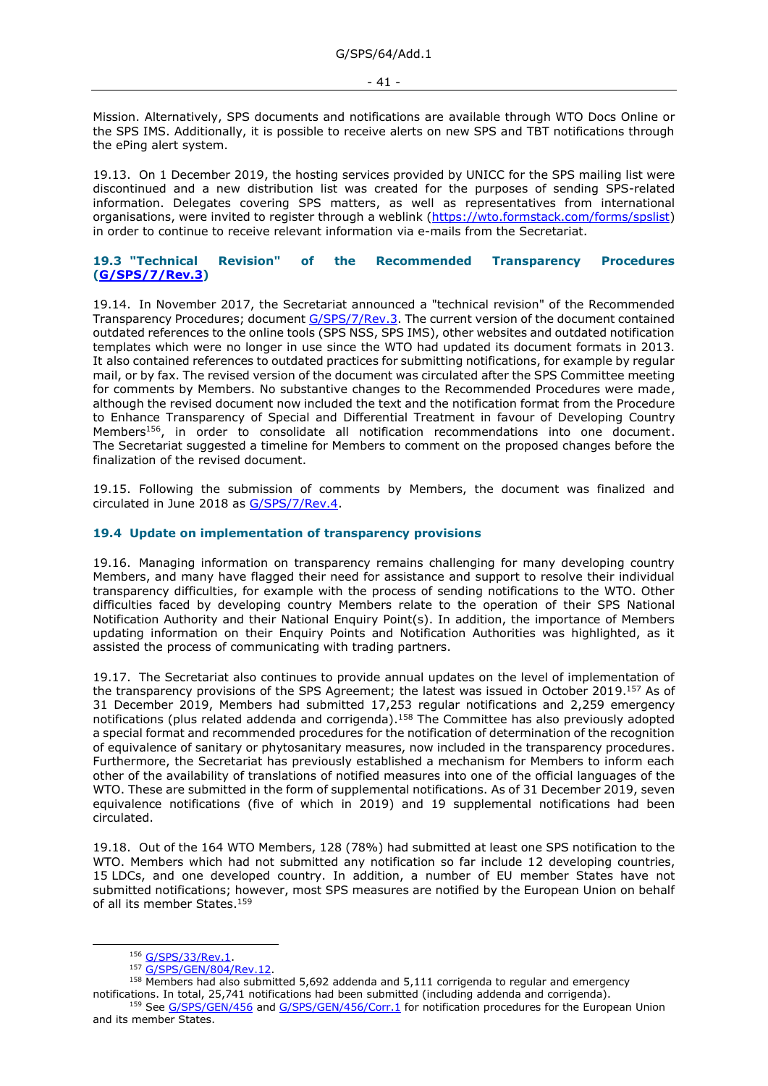Mission. Alternatively, SPS documents and notifications are available through WTO Docs Online or the SPS IMS. Additionally, it is possible to receive alerts on new SPS and TBT notifications through the ePing alert system.

19.13. On 1 December 2019, the hosting services provided by UNICC for the SPS mailing list were discontinued and a new distribution list was created for the purposes of sending SPS-related information. Delegates covering SPS matters, as well as representatives from international organisations, were invited to register through a weblink [\(https://wto.formstack.com/forms/spslist\)](https://wto.formstack.com/forms/spslist) in order to continue to receive relevant information via e-mails from the Secretariat.

## <span id="page-40-0"></span>**19.3 "Technical Revision" of the Recommended Transparency Procedures [\(G/SPS/7/Rev.3\)](https://docs.wto.org/dol2fe/Pages/FE_Search/FE_S_S006.aspx?DataSource=Cat&query=@Symbol=%22G/SPS/7/Rev.3%22%20OR%20@Symbol=%22G/SPS/7/Rev.3/*%22&Language=English&Context=ScriptedSearches&languageUIChanged=true)**

19.14. In November 2017, the Secretariat announced a "technical revision" of the Recommended Transparency Procedures; documen[t G/SPS/7/Rev.3.](https://docs.wto.org/dol2fe/Pages/FE_Search/FE_S_S006.aspx?DataSource=Cat&query=@Symbol=%22G/SPS/7/Rev.3%22%20OR%20@Symbol=%22G/SPS/7/Rev.3/*%22&Language=English&Context=ScriptedSearches&languageUIChanged=true) The current version of the document contained outdated references to the online tools (SPS NSS, SPS IMS), other websites and outdated notification templates which were no longer in use since the WTO had updated its document formats in 2013. It also contained references to outdated practices for submitting notifications, for example by regular mail, or by fax. The revised version of the document was circulated after the SPS Committee meeting for comments by Members. No substantive changes to the Recommended Procedures were made, although the revised document now included the text and the notification format from the Procedure to Enhance Transparency of Special and Differential Treatment in favour of Developing Country Members<sup>156</sup>, in order to consolidate all notification recommendations into one document. The Secretariat suggested a timeline for Members to comment on the proposed changes before the finalization of the revised document.

19.15. Following the submission of comments by Members, the document was finalized and circulated in June 2018 as [G/SPS/7/Rev.4.](https://docs.wto.org/dol2fe/Pages/FE_Search/FE_S_S006.aspx?DataSource=Cat&query=@Symbol=%22G/SPS/7/Rev.4%22%20OR%20@Symbol=%22G/SPS/7/Rev.4/*%22&Language=English&Context=ScriptedSearches&languageUIChanged=true)

### <span id="page-40-1"></span>**19.4 Update on implementation of transparency provisions**

19.16. Managing information on transparency remains challenging for many developing country Members, and many have flagged their need for assistance and support to resolve their individual transparency difficulties, for example with the process of sending notifications to the WTO. Other difficulties faced by developing country Members relate to the operation of their SPS National Notification Authority and their National Enquiry Point(s). In addition, the importance of Members updating information on their Enquiry Points and Notification Authorities was highlighted, as it assisted the process of communicating with trading partners.

19.17. The Secretariat also continues to provide annual updates on the level of implementation of the transparency provisions of the SPS Agreement; the latest was issued in October 2019.<sup>157</sup> As of 31 December 2019, Members had submitted 17,253 regular notifications and 2,259 emergency notifications (plus related addenda and corrigenda).<sup>158</sup> The Committee has also previously adopted a special format and recommended procedures for the notification of determination of the recognition of equivalence of sanitary or phytosanitary measures, now included in the transparency procedures. Furthermore, the Secretariat has previously established a mechanism for Members to inform each other of the availability of translations of notified measures into one of the official languages of the WTO. These are submitted in the form of supplemental notifications. As of 31 December 2019, seven equivalence notifications (five of which in 2019) and 19 supplemental notifications had been circulated.

19.18. Out of the 164 WTO Members, 128 (78%) had submitted at least one SPS notification to the WTO. Members which had not submitted any notification so far include 12 developing countries, 15 LDCs, and one developed country. In addition, a number of EU member States have not submitted notifications; however, most SPS measures are notified by the European Union on behalf of all its member States.<sup>159</sup>

<sup>156</sup> [G/SPS/33/Rev.1.](https://docs.wto.org/dol2fe/Pages/FE_Search/FE_S_S006.aspx?DataSource=Cat&query=@Symbol=%22G/SPS/33/Rev.1%22%20OR%20@Symbol=%22G/SPS/33/Rev.1/*%22&Language=English&Context=ScriptedSearches&languageUIChanged=true)

<sup>157</sup> [G/SPS/GEN/804/Rev.12.](https://docs.wto.org/dol2fe/Pages/FE_Search/FE_S_S006.aspx?DataSource=Cat&query=@Symbol=%22G/SPS/GEN/804/Rev.12%22%20OR%20@Symbol=%22G/SPS/GEN/804/Rev.12/*%22&Language=English&Context=ScriptedSearches&languageUIChanged=true)

<sup>158</sup> Members had also submitted 5,692 addenda and 5,111 corrigenda to regular and emergency notifications. In total, 25,741 notifications had been submitted (including addenda and corrigenda). 159 See [G/SPS/GEN/456](https://docs.wto.org/dol2fe/Pages/FE_Search/FE_S_S006.aspx?DataSource=Cat&query=@Symbol=%22G/SPS/GEN/456%22%20OR%20@Symbol=%22G/SPS/GEN/456/*%22&Language=English&Context=ScriptedSearches&languageUIChanged=true) and [G/SPS/GEN/456/Corr.1](https://docs.wto.org/dol2fe/Pages/FE_Search/FE_S_S006.aspx?DataSource=Cat&query=@Symbol=%22G/SPS/GEN/456/Corr.1%22%20OR%20@Symbol=%22G/SPS/GEN/456/Corr.1/*%22&Language=English&Context=ScriptedSearches&languageUIChanged=true) for notification procedures for the European Union

and its member States.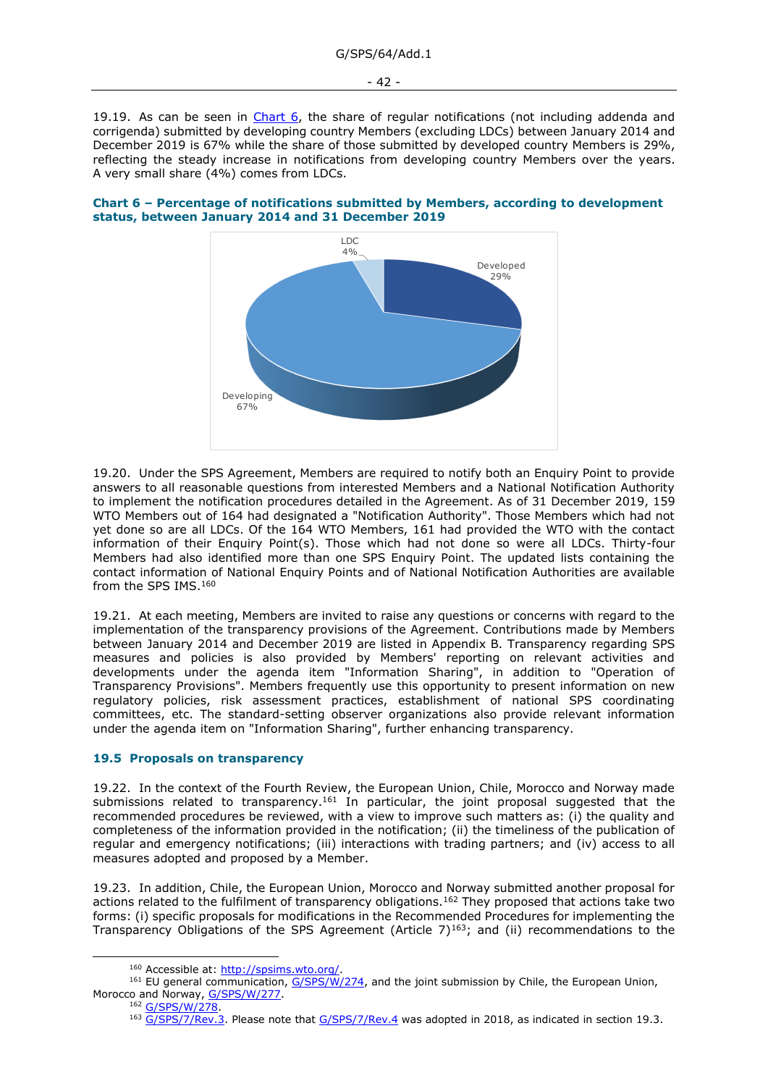19.19. As can be seen in [Chart 6,](#page-41-1) the share of regular notifications (not including addenda and corrigenda) submitted by developing country Members (excluding LDCs) between January 2014 and December 2019 is 67% while the share of those submitted by developed country Members is 29%, reflecting the steady increase in notifications from developing country Members over the years. A very small share (4%) comes from LDCs.

<span id="page-41-1"></span>



19.20. Under the SPS Agreement, Members are required to notify both an Enquiry Point to provide answers to all reasonable questions from interested Members and a National Notification Authority to implement the notification procedures detailed in the Agreement. As of 31 December 2019, 159 WTO Members out of 164 had designated a "Notification Authority". Those Members which had not yet done so are all LDCs. Of the 164 WTO Members, 161 had provided the WTO with the contact information of their Enquiry Point(s). Those which had not done so were all LDCs. Thirty-four Members had also identified more than one SPS Enquiry Point. The updated lists containing the contact information of National Enquiry Points and of National Notification Authorities are available from the SPS IMS.<sup>160</sup>

19.21. At each meeting, Members are invited to raise any questions or concerns with regard to the implementation of the transparency provisions of the Agreement. Contributions made by Members between January 2014 and December 2019 are listed in Appendix B. Transparency regarding SPS measures and policies is also provided by Members' reporting on relevant activities and developments under the agenda item "Information Sharing", in addition to "Operation of Transparency Provisions". Members frequently use this opportunity to present information on new regulatory policies, risk assessment practices, establishment of national SPS coordinating committees, etc. The standard-setting observer organizations also provide relevant information under the agenda item on "Information Sharing", further enhancing transparency.

## <span id="page-41-0"></span>**19.5 Proposals on transparency**

19.22. In the context of the Fourth Review, the European Union, Chile, Morocco and Norway made submissions related to transparency.<sup>161</sup> In particular, the joint proposal suggested that the recommended procedures be reviewed, with a view to improve such matters as: (i) the quality and completeness of the information provided in the notification; (ii) the timeliness of the publication of regular and emergency notifications; (iii) interactions with trading partners; and (iv) access to all measures adopted and proposed by a Member.

19.23. In addition, Chile, the European Union, Morocco and Norway submitted another proposal for actions related to the fulfilment of transparency obligations.<sup>162</sup> They proposed that actions take two forms: (i) specific proposals for modifications in the Recommended Procedures for implementing the Transparency Obligations of the SPS Agreement (Article  $7$ )<sup>163</sup>; and (ii) recommendations to the

<sup>162</sup> [G/SPS/W/278.](https://docs.wto.org/dol2fe/Pages/FE_Search/FE_S_S006.aspx?DataSource=Cat&query=@Symbol=%22G/SPS/W/278%22%20OR%20@Symbol=%22G/SPS/W/278/*%22&Language=English&Context=ScriptedSearches&languageUIChanged=true)

<sup>160</sup> Accessible at: [http://spsims.wto.org/.](http://spsims.wto.org/)

<sup>&</sup>lt;sup>161</sup> EU general communication, [G/SPS/W/274,](https://docs.wto.org/dol2fe/Pages/FE_Search/FE_S_S006.aspx?DataSource=Cat&query=@Symbol=%22G/SPS/W/274%22%20OR%20@Symbol=%22G/SPS/W/274/*%22&Language=English&Context=ScriptedSearches&languageUIChanged=true) and the joint submission by Chile, the European Union, Morocco and Norway, [G/SPS/W/277.](https://docs.wto.org/dol2fe/Pages/FE_Search/FE_S_S006.aspx?DataSource=Cat&query=@Symbol=%22G/SPS/W/277%22%20OR%20@Symbol=%22G/SPS/W/277/*%22&Language=English&Context=ScriptedSearches&languageUIChanged=true)

<sup>163</sup> [G/SPS/7/Rev.3.](https://docs.wto.org/dol2fe/Pages/FE_Search/FE_S_S006.aspx?DataSource=Cat&query=@Symbol=%22G/SPS/7/Rev.3%22%20OR%20@Symbol=%22G/SPS/7/Rev.3/*%22&Language=English&Context=ScriptedSearches&languageUIChanged=true) Please note that [G/SPS/7/Rev.4](https://docs.wto.org/dol2fe/Pages/FE_Search/FE_S_S006.aspx?DataSource=Cat&query=@Symbol=%22G/SPS/7/Rev.4%22%20OR%20@Symbol=%22G/SPS/7/Rev.4/*%22&Language=English&Context=ScriptedSearches&languageUIChanged=true) was adopted in 2018, as indicated in section 19.3.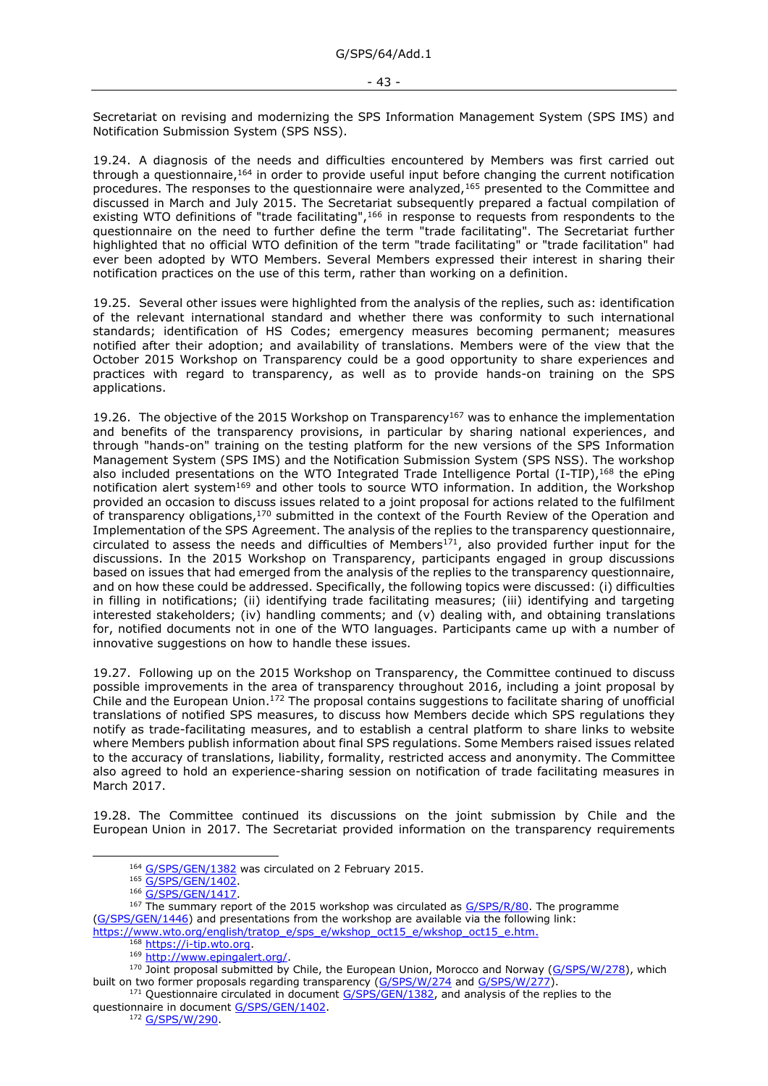Secretariat on revising and modernizing the SPS Information Management System (SPS IMS) and Notification Submission System (SPS NSS).

19.24. A diagnosis of the needs and difficulties encountered by Members was first carried out through a questionnaire,<sup>164</sup> in order to provide useful input before changing the current notification procedures. The responses to the questionnaire were analyzed,<sup>165</sup> presented to the Committee and discussed in March and July 2015. The Secretariat subsequently prepared a factual compilation of existing WTO definitions of "trade facilitating",<sup>166</sup> in response to requests from respondents to the questionnaire on the need to further define the term "trade facilitating". The Secretariat further highlighted that no official WTO definition of the term "trade facilitating" or "trade facilitation" had ever been adopted by WTO Members. Several Members expressed their interest in sharing their notification practices on the use of this term, rather than working on a definition.

19.25. Several other issues were highlighted from the analysis of the replies, such as: identification of the relevant international standard and whether there was conformity to such international standards; identification of HS Codes; emergency measures becoming permanent; measures notified after their adoption; and availability of translations. Members were of the view that the October 2015 Workshop on Transparency could be a good opportunity to share experiences and practices with regard to transparency, as well as to provide hands-on training on the SPS applications.

19.26. The objective of the 2015 Workshop on Transparency<sup>167</sup> was to enhance the implementation and benefits of the transparency provisions, in particular by sharing national experiences, and through "hands-on" training on the testing platform for the new versions of the SPS Information Management System (SPS IMS) and the Notification Submission System (SPS NSS). The workshop also included presentations on the WTO Integrated Trade Intelligence Portal (I-TIP), 168 the ePing notification alert system<sup>169</sup> and other tools to source WTO information. In addition, the Workshop provided an occasion to discuss issues related to a joint proposal for actions related to the fulfilment of transparency obligations,<sup>170</sup> submitted in the context of the Fourth Review of the Operation and Implementation of the SPS Agreement. The analysis of the replies to the transparency questionnaire, circulated to assess the needs and difficulties of Members<sup>171</sup>, also provided further input for the discussions. In the 2015 Workshop on Transparency, participants engaged in group discussions based on issues that had emerged from the analysis of the replies to the transparency questionnaire, and on how these could be addressed. Specifically, the following topics were discussed: (i) difficulties in filling in notifications; (ii) identifying trade facilitating measures; (iii) identifying and targeting interested stakeholders; (iv) handling comments; and (v) dealing with, and obtaining translations for, notified documents not in one of the WTO languages. Participants came up with a number of innovative suggestions on how to handle these issues.

19.27. Following up on the 2015 Workshop on Transparency, the Committee continued to discuss possible improvements in the area of transparency throughout 2016, including a joint proposal by Chile and the European Union.<sup>172</sup> The proposal contains suggestions to facilitate sharing of unofficial translations of notified SPS measures, to discuss how Members decide which SPS regulations they notify as trade-facilitating measures, and to establish a central platform to share links to website where Members publish information about final SPS regulations. Some Members raised issues related to the accuracy of translations, liability, formality, restricted access and anonymity. The Committee also agreed to hold an experience-sharing session on notification of trade facilitating measures in March 2017.

19.28. The Committee continued its discussions on the joint submission by Chile and the European Union in 2017. The Secretariat provided information on the transparency requirements

<sup>&</sup>lt;sup>164</sup> [G/SPS/GEN/1382](https://docs.wto.org/dol2fe/Pages/FE_Search/FE_S_S006.aspx?DataSource=Cat&query=@Symbol=%22G/SPS/GEN/1382%22%20OR%20@Symbol=%22G/SPS/GEN/1382/*%22&Language=English&Context=ScriptedSearches&languageUIChanged=true) was circulated on 2 February 2015.

<sup>165</sup> [G/SPS/GEN/1402.](https://docs.wto.org/dol2fe/Pages/FE_Search/FE_S_S006.aspx?DataSource=Cat&query=@Symbol=%22G/SPS/GEN/1402%22%20OR%20@Symbol=%22G/SPS/GEN/1402/*%22&Language=English&Context=ScriptedSearches&languageUIChanged=true)

<sup>166</sup> G/SPS/GEN/1417

<sup>&</sup>lt;sup>167</sup> The summary report of the 2015 workshop was circulated as [G/SPS/R/80.](https://docs.wto.org/dol2fe/Pages/FE_Search/FE_S_S006.aspx?DataSource=Cat&query=@Symbol=%22G/SPS/R/80%22%20OR%20@Symbol=%22G/SPS/R/80/*%22&Language=English&Context=ScriptedSearches&languageUIChanged=true) The programme [\(G/SPS/GEN/1446\)](https://docs.wto.org/dol2fe/Pages/FE_Search/FE_S_S006.aspx?MetaCollection=WTO&SymbolList=%22G%2fSPS%2fGEN%2f1446%22+OR+%22G%2fSPS%2fGEN%2f1446%2f*%22&Serial=&IssuingDateFrom=&IssuingDateTo=&CATTITLE=&ConcernedCountryList=&OtherCountryList=&SubjectList=&TypeList=&FullTextHash=371857150&ProductList=&BodyList=&OrganizationList=&ArticleList=&Contents=&CollectionList=&RestrictionTypeName=&PostingDateFrom=&PostingDateTo=&DerestrictionDateFrom=&DerestrictionDateTo=&ReferenceList=&Language=ENGLISH&SearchPage=FE_S_S001&ActiveTabIndex=0&HSClassificationList=&ServicesClassificationList=&EnvironmentClassificationList=&ICSClassificationList=&ICSClassificationDescList:EnvironmentClassificationDescList:ServicesClassificationDescList:HSClassificationDescList=&languageUIChanged=true) and presentations from the workshop are available via the following link: [https://www.wto.org/english/tratop\\_e/sps\\_e/wkshop\\_oct15\\_e/wkshop\\_oct15\\_e.htm.](https://www.wto.org/english/tratop_e/sps_e/wkshop_oct15_e/wkshop_oct15_e.htm)

<sup>168</sup> [https://i-tip.wto.org.](https://i-tip.wto.org/)

<sup>169</sup> [http://www.epingalert.org/.](http://www.epingalert.org/)

<sup>170</sup> Joint proposal submitted by Chile, the European Union, Morocco and Norway [\(G/SPS/W/278\)](https://docs.wto.org/dol2fe/Pages/FE_Search/FE_S_S006.aspx?MetaCollection=WTO&SymbolList=%22G%2fSPS%2fW%2f278%22+OR+%22G%2fSPS%2fW%2f278%2f*%22&Serial=&IssuingDateFrom=&IssuingDateTo=&CATTITLE=&ConcernedCountryList=&OtherCountryList=&SubjectList=&TypeList=&FullTextHash=371857150&ProductList=&BodyList=&OrganizationList=&ArticleList=&Contents=&CollectionList=&RestrictionTypeName=&PostingDateFrom=&PostingDateTo=&DerestrictionDateFrom=&DerestrictionDateTo=&ReferenceList=&Language=ENGLISH&SearchPage=FE_S_S001&ActiveTabIndex=0&HSClassificationList=&ServicesClassificationList=&EnvironmentClassificationList=&ICSClassificationList=&ICSClassificationDescList:EnvironmentClassificationDescList:ServicesClassificationDescList:HSClassificationDescList=&languageUIChanged=true), which built on two former proposals regarding transparency [\(G/SPS/W/274](https://docs.wto.org/dol2fe/Pages/FE_Search/FE_S_S006.aspx?MetaCollection=WTO&SymbolList=%22G%2fSPS%2fW%2f274%22+OR+%22G%2fSPS%2fW%2f274%2f*%22&Serial=&IssuingDateFrom=&IssuingDateTo=&CATTITLE=&ConcernedCountryList=&OtherCountryList=&SubjectList=&TypeList=&FullTextHash=371857150&ProductList=&BodyList=&OrganizationList=&ArticleList=&Contents=&CollectionList=&RestrictionTypeName=&PostingDateFrom=&PostingDateTo=&DerestrictionDateFrom=&DerestrictionDateTo=&ReferenceList=&Language=ENGLISH&SearchPage=FE_S_S001&ActiveTabIndex=0&HSClassificationList=&ServicesClassificationList=&EnvironmentClassificationList=&ICSClassificationList=&ICSClassificationDescList:EnvironmentClassificationDescList:ServicesClassificationDescList:HSClassificationDescList=&languageUIChanged=true) and [G/SPS/W/277\)](https://docs.wto.org/dol2fe/Pages/FE_Search/FE_S_S006.aspx?MetaCollection=WTO&SymbolList=%22G%2fSPS%2fW%2f277%22+OR+%22G%2fSPS%2fW%2f277%2f*%22&Serial=&IssuingDateFrom=&IssuingDateTo=&CATTITLE=&ConcernedCountryList=&OtherCountryList=&SubjectList=&TypeList=&FullTextHash=371857150&ProductList=&BodyList=&OrganizationList=&ArticleList=&Contents=&CollectionList=&RestrictionTypeName=&PostingDateFrom=&PostingDateTo=&DerestrictionDateFrom=&DerestrictionDateTo=&ReferenceList=&Language=ENGLISH&SearchPage=FE_S_S001&ActiveTabIndex=0&HSClassificationList=&ServicesClassificationList=&EnvironmentClassificationList=&ICSClassificationList=&ICSClassificationDescList:EnvironmentClassificationDescList:ServicesClassificationDescList:HSClassificationDescList=&languageUIChanged=true).

<sup>&</sup>lt;sup>171</sup> Ouestionnaire circulated in document [G/SPS/GEN/1382,](https://docs.wto.org/dol2fe/Pages/FE_Search/FE_S_S006.aspx?DataSource=Cat&query=@Symbol=%22G/SPS/GEN/1382%22%20OR%20@Symbol=%22G/SPS/GEN/1382/*%22&Language=English&Context=ScriptedSearches&languageUIChanged=true) and analysis of the replies to the questionnaire in document [G/SPS/GEN/1402.](https://docs.wto.org/dol2fe/Pages/FE_Search/FE_S_S006.aspx?DataSource=Cat&query=@Symbol=%22G/SPS/GEN/1402%22%20OR%20@Symbol=%22G/SPS/GEN/1402/*%22&Language=English&Context=ScriptedSearches&languageUIChanged=true)

<sup>172</sup> G/SPS/W/290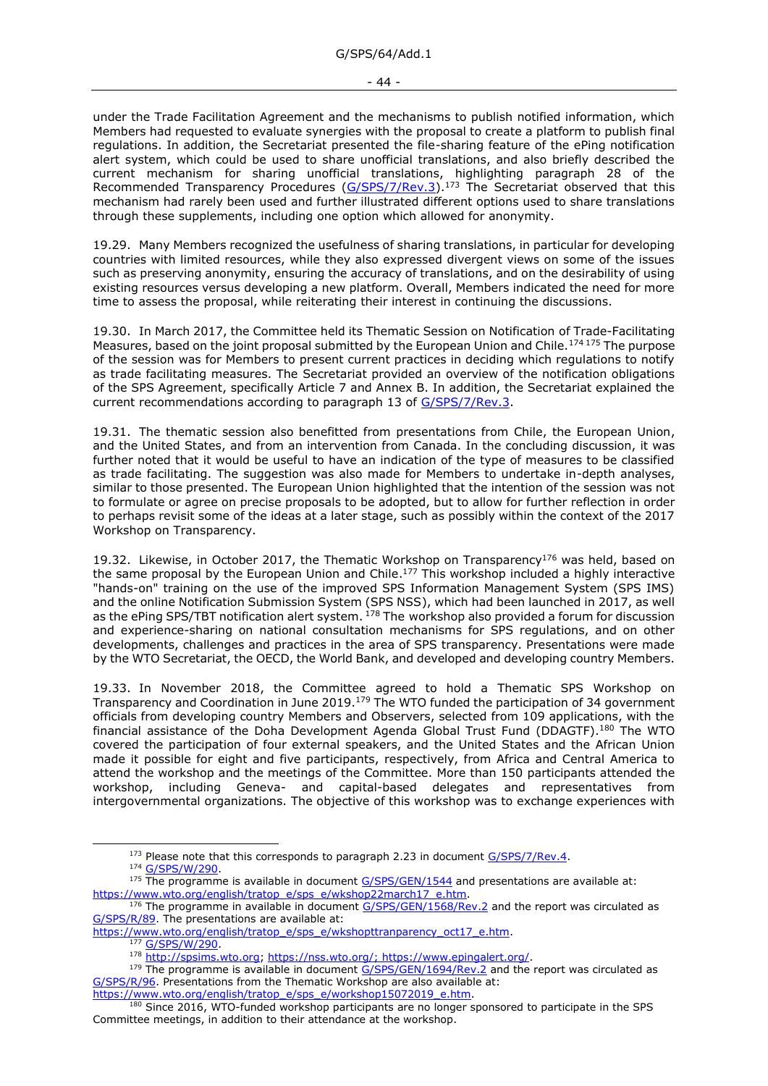- 44 -

under the Trade Facilitation Agreement and the mechanisms to publish notified information, which Members had requested to evaluate synergies with the proposal to create a platform to publish final regulations. In addition, the Secretariat presented the file-sharing feature of the ePing notification alert system, which could be used to share unofficial translations, and also briefly described the current mechanism for sharing unofficial translations, highlighting paragraph 28 of the Recommended Transparency Procedures [\(G/SPS/7/Rev.3\)](https://docs.wto.org/dol2fe/Pages/FE_Search/FE_S_S006.aspx?DataSource=Cat&query=@Symbol=%22G/SPS/7/Rev.3%22%20OR%20@Symbol=%22G/SPS/7/Rev.3/*%22&Language=English&Context=ScriptedSearches&languageUIChanged=true).<sup>173</sup> The Secretariat observed that this mechanism had rarely been used and further illustrated different options used to share translations through these supplements, including one option which allowed for anonymity.

19.29. Many Members recognized the usefulness of sharing translations, in particular for developing countries with limited resources, while they also expressed divergent views on some of the issues such as preserving anonymity, ensuring the accuracy of translations, and on the desirability of using existing resources versus developing a new platform. Overall, Members indicated the need for more time to assess the proposal, while reiterating their interest in continuing the discussions.

19.30. In March 2017, the Committee held its Thematic Session on Notification of Trade-Facilitating Measures, based on the joint proposal submitted by the European Union and Chile.<sup>174 175</sup> The purpose of the session was for Members to present current practices in deciding which regulations to notify as trade facilitating measures. The Secretariat provided an overview of the notification obligations of the SPS Agreement, specifically Article 7 and Annex B. In addition, the Secretariat explained the current recommendations according to paragraph 13 of [G/SPS/7/Rev.3.](https://docs.wto.org/dol2fe/Pages/FE_Search/FE_S_S006.aspx?DataSource=Cat&query=@Symbol=%22G/SPS/7/Rev.3%22%20OR%20@Symbol=%22G/SPS/7/Rev.3/*%22&Language=English&Context=ScriptedSearches&languageUIChanged=true)

19.31. The thematic session also benefitted from presentations from Chile, the European Union, and the United States, and from an intervention from Canada. In the concluding discussion, it was further noted that it would be useful to have an indication of the type of measures to be classified as trade facilitating. The suggestion was also made for Members to undertake in-depth analyses, similar to those presented. The European Union highlighted that the intention of the session was not to formulate or agree on precise proposals to be adopted, but to allow for further reflection in order to perhaps revisit some of the ideas at a later stage, such as possibly within the context of the 2017 Workshop on Transparency.

19.32. Likewise, in October 2017, the Thematic Workshop on Transparency<sup>176</sup> was held, based on the same proposal by the European Union and Chile.<sup>177</sup> This workshop included a highly interactive "hands-on" training on the use of the improved SPS Information Management System (SPS IMS) and the online Notification Submission System (SPS NSS), which had been launched in 2017, as well as the ePing SPS/TBT notification alert system. <sup>178</sup> The workshop also provided a forum for discussion and experience-sharing on national consultation mechanisms for SPS regulations, and on other developments, challenges and practices in the area of SPS transparency. Presentations were made by the WTO Secretariat, the OECD, the World Bank, and developed and developing country Members.

19.33. In November 2018, the Committee agreed to hold a Thematic SPS Workshop on Transparency and Coordination in June 2019.<sup>179</sup> The WTO funded the participation of 34 government officials from developing country Members and Observers, selected from 109 applications, with the financial assistance of the Doha Development Agenda Global Trust Fund (DDAGTF).<sup>180</sup> The WTO covered the participation of four external speakers, and the United States and the African Union made it possible for eight and five participants, respectively, from Africa and Central America to attend the workshop and the meetings of the Committee. More than 150 participants attended the workshop, including Geneva- and capital-based delegates and representatives from intergovernmental organizations. The objective of this workshop was to exchange experiences with

 $173$  Please note that this corresponds to paragraph 2.23 in document  $G/SPS/7/Rev.4$ .

<sup>174</sup> [G/SPS/W/290.](https://docs.wto.org/dol2fe/Pages/FE_Search/FE_S_S006.aspx?DataSource=Cat&query=@Symbol=%22G/SPS/W/290%22%20OR%20@Symbol=%22G/SPS/W/290/*%22&Language=English&Context=ScriptedSearches&languageUIChanged=true)

<sup>&</sup>lt;sup>175</sup> The programme is available in document [G/SPS/GEN/1544](https://docs.wto.org/dol2fe/Pages/FE_Search/FE_S_S006.aspx?DataSource=Cat&query=@Symbol=%22G/SPS/GEN/1544%22%20OR%20@Symbol=%22G/SPS/GEN/1544/*%22&Language=English&Context=ScriptedSearches&languageUIChanged=true) and presentations are available at: [https://www.wto.org/english/tratop\\_e/sps\\_e/wkshop22march17\\_e.htm.](https://www.wto.org/english/tratop_e/sps_e/wkshop22march17_e.htm)

 $176$  The programme in available in document  $G/SPS/GEN/1568/Rev.2$  and the report was circulated as [G/SPS/R/89.](https://docs.wto.org/dol2fe/Pages/FE_Search/FE_S_S006.aspx?DataSource=Cat&query=@Symbol=%22G/SPS/R/89%22%20OR%20@Symbol=%22G/SPS/R/89/*%22&Language=English&Context=ScriptedSearches&languageUIChanged=true) The presentations are available at:

[https://www.wto.org/english/tratop\\_e/sps\\_e/wkshopttranparency\\_oct17\\_e.htm.](https://www.wto.org/english/tratop_e/sps_e/wkshopttranparency_oct17_e.htm)

<sup>177</sup> [G/SPS/W/290.](https://docs.wto.org/dol2fe/Pages/FE_Search/FE_S_S006.aspx?DataSource=Cat&query=@Symbol=%22G/SPS/W/290%22%20OR%20@Symbol=%22G/SPS/W/290/*%22&Language=English&Context=ScriptedSearches&languageUIChanged=true)

<sup>178</sup> [http://spsims.wto.org;](http://spsims.wto.org/) [https://nss.wto.org/;](https://nss.wto.org/) [https://www.epingalert.org/.](https://www.epingalert.org/)

<sup>&</sup>lt;sup>179</sup> The programme is available in document  $G/SPS/GEN/1694/Rev.2$  and the report was circulated as [G/SPS/R/96.](https://docs.wto.org/dol2fe/Pages/FE_Search/FE_S_S006.aspx?DataSource=Cat&query=@Symbol=%22G/SPS/R/96%22%20OR%20@Symbol=%22G/SPS/R/96/*%22&Language=English&Context=ScriptedSearches&languageUIChanged=true) Presentations from the Thematic Workshop are also available at:

[https://www.wto.org/english/tratop\\_e/sps\\_e/workshop15072019\\_e.htm.](https://www.wto.org/english/tratop_e/sps_e/workshop15072019_e.htm)

<sup>180</sup> Since 2016, WTO-funded workshop participants are no longer sponsored to participate in the SPS Committee meetings, in addition to their attendance at the workshop.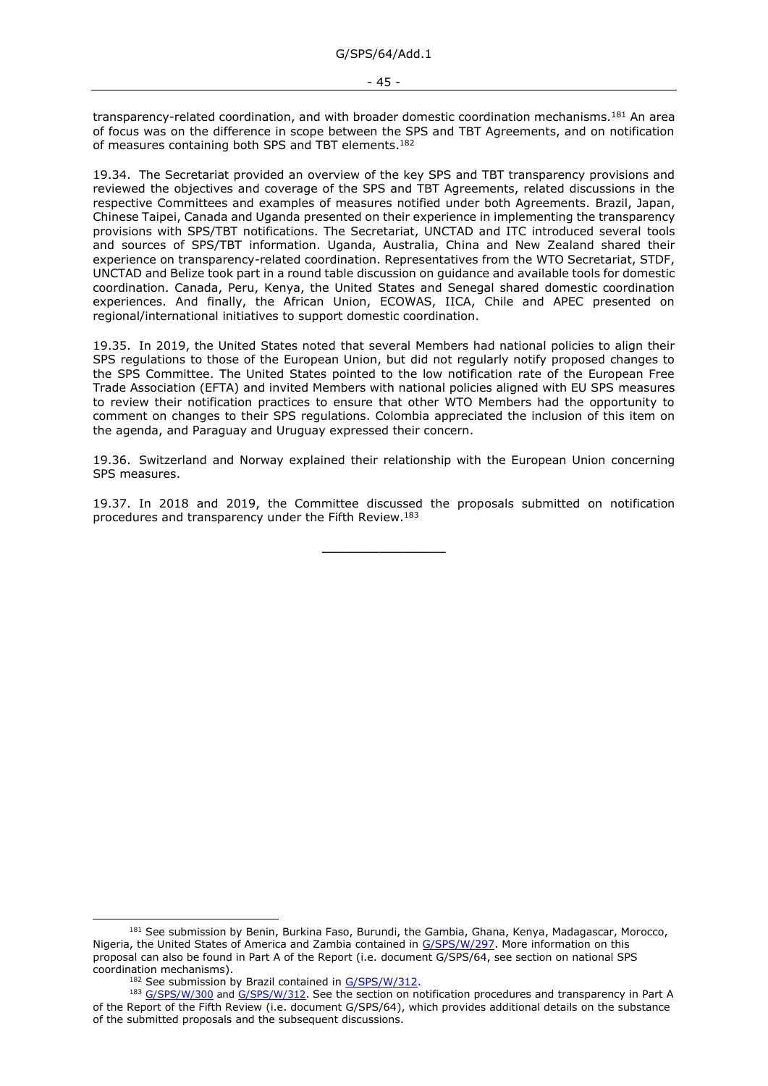transparency-related coordination, and with broader domestic coordination mechanisms.<sup>181</sup> An area of focus was on the difference in scope between the SPS and TBT Agreements, and on notification of measures containing both SPS and TBT elements.<sup>182</sup>

19.34. The Secretariat provided an overview of the key SPS and TBT transparency provisions and reviewed the objectives and coverage of the SPS and TBT Agreements, related discussions in the respective Committees and examples of measures notified under both Agreements. Brazil, Japan, Chinese Taipei, Canada and Uganda presented on their experience in implementing the transparency provisions with SPS/TBT notifications. The Secretariat, UNCTAD and ITC introduced several tools and sources of SPS/TBT information. Uganda, Australia, China and New Zealand shared their experience on transparency-related coordination. Representatives from the WTO Secretariat, STDF, UNCTAD and Belize took part in a round table discussion on guidance and available tools for domestic coordination. Canada, Peru, Kenya, the United States and Senegal shared domestic coordination experiences. And finally, the African Union, ECOWAS, IICA, Chile and APEC presented on regional/international initiatives to support domestic coordination.

19.35. In 2019, the United States noted that several Members had national policies to align their SPS regulations to those of the European Union, but did not regularly notify proposed changes to the SPS Committee. The United States pointed to the low notification rate of the European Free Trade Association (EFTA) and invited Members with national policies aligned with EU SPS measures to review their notification practices to ensure that other WTO Members had the opportunity to comment on changes to their SPS regulations. Colombia appreciated the inclusion of this item on the agenda, and Paraguay and Uruguay expressed their concern.

19.36. Switzerland and Norway explained their relationship with the European Union concerning SPS measures.

19.37. In 2018 and 2019, the Committee discussed the proposals submitted on notification procedures and transparency under the Fifth Review.<sup>183</sup>

**\_\_\_\_\_\_\_\_\_\_\_\_\_\_\_**

<sup>&</sup>lt;sup>181</sup> See submission by Benin, Burkina Faso, Burundi, the Gambia, Ghana, Kenya, Madagascar, Morocco, Nigeria, the United States of America and Zambia contained in [G/SPS/W/297.](https://docs.wto.org/dol2fe/Pages/FE_Search/FE_S_S006.aspx?DataSource=Cat&query=@Symbol=%22G/SPS/W/297%22%20OR%20@Symbol=%22G/SPS/W/297/*%22&Language=English&Context=ScriptedSearches&languageUIChanged=true) More information on this proposal can also be found in Part A of the Report (i.e. document G/SPS/64, see section on national SPS coordination mechanisms).

 $182$  See submission by Brazil contained in [G/SPS/W/312.](https://docs.wto.org/dol2fe/Pages/FE_Search/FE_S_S006.aspx?DataSource=Cat&query=@Symbol=%22G/SPS/W/312%22%20OR%20@Symbol=%22G/SPS/W/312/*%22&Language=English&Context=ScriptedSearches&languageUIChanged=true)

<sup>183</sup> [G/SPS/W/300](https://docs.wto.org/dol2fe/Pages/FE_Search/FE_S_S006.aspx?DataSource=Cat&query=@Symbol=%22G/SPS/W/300%22%20OR%20@Symbol=%22G/SPS/W/300/*%22&Language=English&Context=ScriptedSearches&languageUIChanged=true) and [G/SPS/W/312.](https://docs.wto.org/dol2fe/Pages/FE_Search/FE_S_S006.aspx?DataSource=Cat&query=@Symbol=%22G/SPS/W/312%22%20OR%20@Symbol=%22G/SPS/W/312/*%22&Language=English&Context=ScriptedSearches&languageUIChanged=true) See the section on notification procedures and transparency in Part A of the Report of the Fifth Review (i.e. document G/SPS/64), which provides additional details on the substance of the submitted proposals and the subsequent discussions.